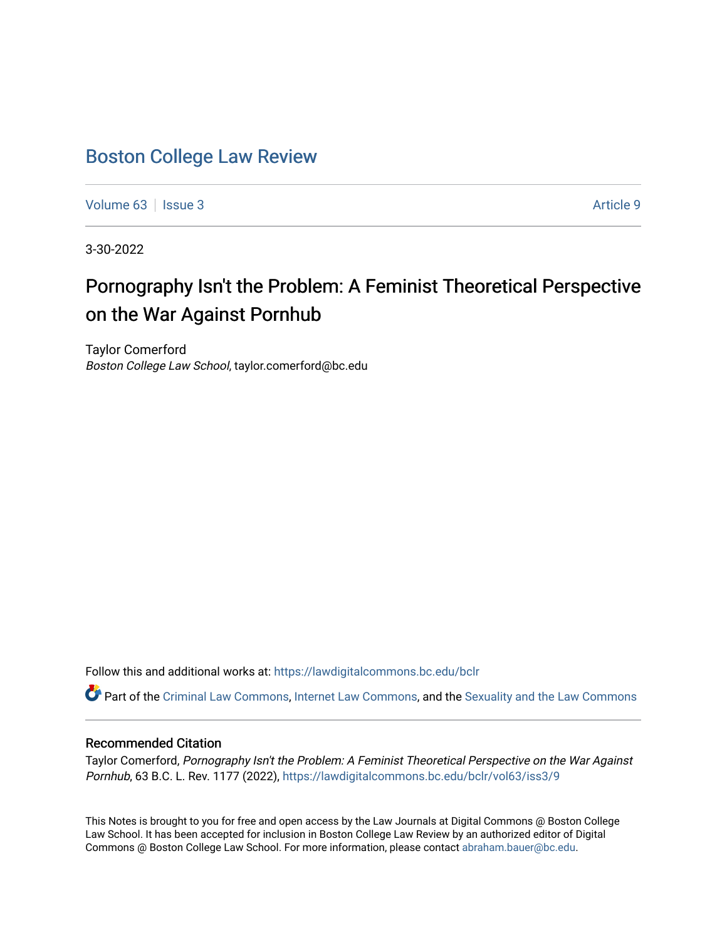## [Boston College Law Review](https://lawdigitalcommons.bc.edu/bclr)

[Volume 63](https://lawdigitalcommons.bc.edu/bclr/vol63) | [Issue 3](https://lawdigitalcommons.bc.edu/bclr/vol63/iss3) Article 9

3-30-2022

# Pornography Isn't the Problem: A F eminist Theoretical P erspective on the War Against Pornhub

Taylor Comerford Boston College Law School, taylor.comerford@bc.edu

Follow this and additional works at: [https://lawdigitalcommons.bc.edu/bclr](https://lawdigitalcommons.bc.edu/bclr?utm_source=lawdigitalcommons.bc.edu%2Fbclr%2Fvol63%2Fiss3%2F9&utm_medium=PDF&utm_campaign=PDFCoverPages) 

Part of the [Criminal Law Commons,](https://network.bepress.com/hgg/discipline/912?utm_source=lawdigitalcommons.bc.edu%2Fbclr%2Fvol63%2Fiss3%2F9&utm_medium=PDF&utm_campaign=PDFCoverPages) [Internet Law Commons,](https://network.bepress.com/hgg/discipline/892?utm_source=lawdigitalcommons.bc.edu%2Fbclr%2Fvol63%2Fiss3%2F9&utm_medium=PDF&utm_campaign=PDFCoverPages) and the [Sexuality and the Law Commons](https://network.bepress.com/hgg/discipline/877?utm_source=lawdigitalcommons.bc.edu%2Fbclr%2Fvol63%2Fiss3%2F9&utm_medium=PDF&utm_campaign=PDFCoverPages) 

## Recommended Citation

Taylor Comerford, Pornography Isn't the Problem: A Feminist Theoretical Perspective on the War Against Pornhub, 63 B.C. L. Rev. 1177 (2022), [https://lawdigitalcommons.bc.edu/bclr/vol63/iss3/9](https://lawdigitalcommons.bc.edu/bclr/vol63/iss3/9?utm_source=lawdigitalcommons.bc.edu%2Fbclr%2Fvol63%2Fiss3%2F9&utm_medium=PDF&utm_campaign=PDFCoverPages) 

This Notes is brought to you for free and open access by the Law Journals at Digital Commons @ Boston College Law School. It has been accepted for inclusion in Boston College Law Review by an authorized editor of Digital Commons @ Boston College Law School. For more information, please contact [abraham.bauer@bc.edu.](mailto:abraham.bauer@bc.edu)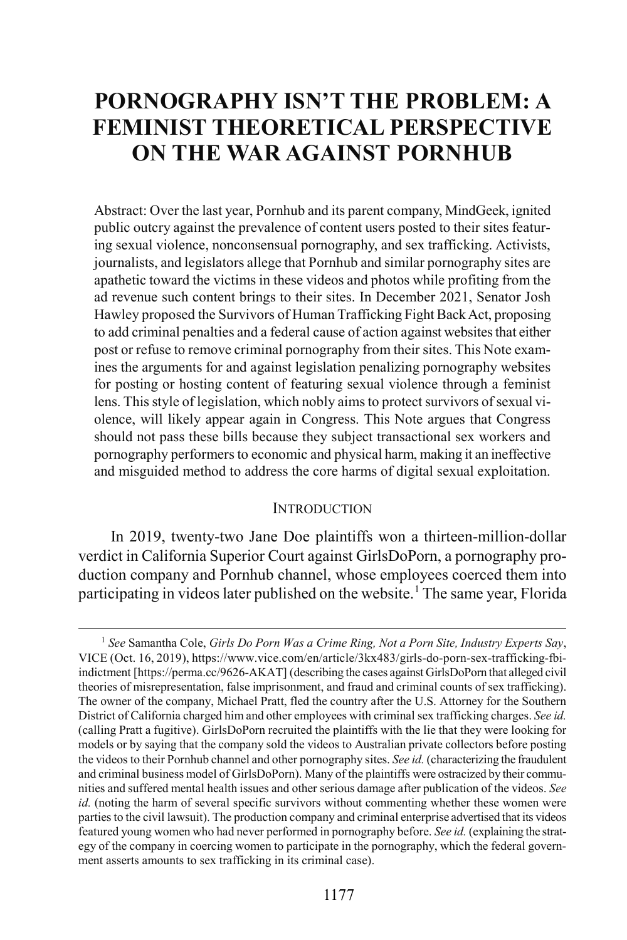## **PORNOGRAPHY ISN'T THE PROBLEM: A FEMINIST THEORETICAL PERSPECTIVE ON THE WAR AGAINST PORNHUB**

Abstract: Over the last year, Pornhub and its parent company, MindGeek, ignited public outcry against the prevalence of content users posted to their sites featuring sexual violence, nonconsensual pornography, and sex trafficking. Activists, journalists, and legislators allege that Pornhub and similar pornography sites are apathetic toward the victims in these videos and photos while profiting from the ad revenue such content brings to their sites. In December 2021, Senator Josh Hawley proposed the Survivors of Human Trafficking Fight Back Act, proposing to add criminal penalties and a federal cause of action against websites that either post or refuse to remove criminal pornography from their sites. This Note examines the arguments for and against legislation penalizing pornography websites for posting or hosting content of featuring sexual violence through a feminist lens. This style of legislation, which nobly aimsto protect survivors of sexual violence, will likely appear again in Congress. This Note argues that Congress should not pass these bills because they subject transactional sex workers and pornography performers to economic and physical harm, making it an ineffective and misguided method to address the core harms of digital sexual exploitation.

#### **INTRODUCTION**

In 2019, twenty-two Jane Doe plaintiffs won a thirteen-million-dollar verdict in California Superior Court against GirlsDoPorn, a pornography production company and Pornhub channel, whose employees coerced them into participating in videos later published on the website.<sup>[1](#page-1-0)</sup> The same year, Florida

<span id="page-1-0"></span> <sup>1</sup> *See* Samantha Cole, *Girls Do Porn Was a Crime Ring, Not a Porn Site, Industry Experts Say*, VICE (Oct. 16, 2019), https://www.vice.com/en/article/3kx483/girls-do-porn-sex-trafficking-fbiindictment [https://perma.cc/9626-AKAT] (describing the cases against GirlsDoPorn that alleged civil theories of misrepresentation, false imprisonment, and fraud and criminal counts of sex trafficking). The owner of the company, Michael Pratt, fled the country after the U.S. Attorney for the Southern District of California charged him and other employees with criminal sex trafficking charges. *See id.*  (calling Pratt a fugitive). GirlsDoPorn recruited the plaintiffs with the lie that they were looking for models or by saying that the company sold the videos to Australian private collectors before posting the videos to their Pornhub channel and other pornography sites. *See id.* (characterizing the fraudulent and criminal business model of GirlsDoPorn). Many of the plaintiffs were ostracized by their communities and suffered mental health issues and other serious damage after publication of the videos. *See id.* (noting the harm of several specific survivors without commenting whether these women were parties to the civil lawsuit). The production company and criminal enterprise advertised that its videos featured young women who had never performed in pornography before. *See id.* (explaining the strategy of the company in coercing women to participate in the pornography, which the federal government asserts amounts to sex trafficking in its criminal case).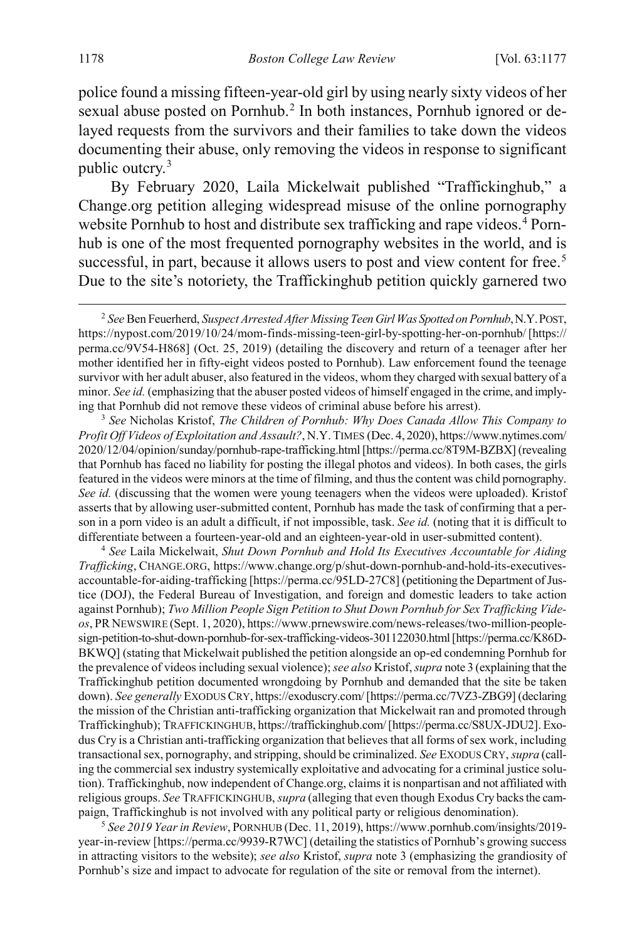police found a missing fifteen-year-old girl by using nearly sixty videos of her sexual abuse posted on Pornhub. [2](#page-2-1) In both instances, Pornhub ignored or delayed requests from the survivors and their families to take down the videos documenting their abuse, only removing the videos in response to significant public outcry.[3](#page-2-2)

<span id="page-2-5"></span><span id="page-2-0"></span>By February 2020, Laila Mickelwait published "Traffickinghub," a Change.org petition alleging widespread misuse of the online pornography website Pornhub to host and distribute sex trafficking and rape videos.<sup>[4](#page-2-3)</sup> Pornhub is one of the most frequented pornography websites in the world, and is successful, in part, because it allows users to post and view content for free.<sup>[5](#page-2-4)</sup> Due to the site's notoriety, the Traffickinghub petition quickly garnered two

<span id="page-2-2"></span><sup>3</sup> *See* Nicholas Kristof, *The Children of Pornhub: Why Does Canada Allow This Company to Profit Off Videos of Exploitation and Assault?*, N.Y. TIMES (Dec. 4, 2020), https://www.nytimes.com/ 2020/12/04/opinion/sunday/pornhub-rape-trafficking.html [https://perma.cc/8T9M-BZBX] (revealing that Pornhub has faced no liability for posting the illegal photos and videos). In both cases, the girls featured in the videos were minors at the time of filming, and thus the content was child pornography. *See id.* (discussing that the women were young teenagers when the videos were uploaded). Kristof asserts that by allowing user-submitted content, Pornhub has made the task of confirming that a person in a porn video is an adult a difficult, if not impossible, task. *See id.* (noting that it is difficult to differentiate between a fourteen-year-old and an eighteen-year-old in user-submitted content).

<span id="page-2-3"></span><sup>4</sup> *See* Laila Mickelwait, *Shut Down Pornhub and Hold Its Executives Accountable for Aiding Trafficking*, CHANGE.ORG, https://www.change.org/p/shut-down-pornhub-and-hold-its-executivesaccountable-for-aiding-trafficking [https://perma.cc/95LD-27C8] (petitioning the Department of Justice (DOJ), the Federal Bureau of Investigation, and foreign and domestic leaders to take action against Pornhub); *Two Million People Sign Petition to Shut Down Pornhub for Sex Trafficking Videos*, PR NEWSWIRE (Sept. 1, 2020), https://www.prnewswire.com/news-releases/two-million-peoplesign-petition-to-shut-down-pornhub-for-sex-trafficking-videos-301122030.html [https://perma.cc/K86D-BKWQ] (stating that Mickelwait published the petition alongside an op-ed condemning Pornhub for the prevalence of videos including sexual violence); *see also* Kristof, *supra* not[e 3](#page-2-0) (explaining that the Traffickinghub petition documented wrongdoing by Pornhub and demanded that the site be taken down). *See generally* EXODUS CRY, https://exoduscry.com/ [https://perma.cc/7VZ3-ZBG9] (declaring the mission of the Christian anti-trafficking organization that Mickelwait ran and promoted through Traffickinghub); TRAFFICKINGHUB, https://traffickinghub.com/ [https://perma.cc/S8UX-JDU2]. Exodus Cry is a Christian anti-trafficking organization that believes that all forms of sex work, including transactional sex, pornography, and stripping, should be criminalized. *See* EXODUS CRY, *supra* (calling the commercial sex industry systemically exploitative and advocating for a criminal justice solution). Traffickinghub, now independent of Change.org, claims it is nonpartisan and not affiliated with religious groups. *See* TRAFFICKINGHUB, *supra* (alleging that even though Exodus Cry backs the campaign, Traffickinghub is not involved with any political party or religious denomination).

<span id="page-2-4"></span><sup>5</sup> *See 2019 Year in Review*, PORNHUB (Dec. 11, 2019), https://www.pornhub.com/insights/2019 year-in-review [https://perma.cc/9939-R7WC] (detailing the statistics of Pornhub's growing success in attracting visitors to the website); *see also* Kristof, *supra* not[e 3](#page-2-0) (emphasizing the grandiosity of Pornhub's size and impact to advocate for regulation of the site or removal from the internet).

<span id="page-2-6"></span><span id="page-2-1"></span> <sup>2</sup> *See* Ben Feuerherd, *Suspect Arrested After Missing Teen Girl Was Spotted on Pornhub*,N.Y.POST, https://nypost.com/2019/10/24/mom-finds-missing-teen-girl-by-spotting-her-on-pornhub/ [https:// perma.cc/9V54-H868] (Oct. 25, 2019) (detailing the discovery and return of a teenager after her mother identified her in fifty-eight videos posted to Pornhub). Law enforcement found the teenage survivor with her adult abuser, also featured in the videos, whom they charged with sexual battery of a minor. *See id.* (emphasizing that the abuser posted videos of himself engaged in the crime, and implying that Pornhub did not remove these videos of criminal abuse before his arrest).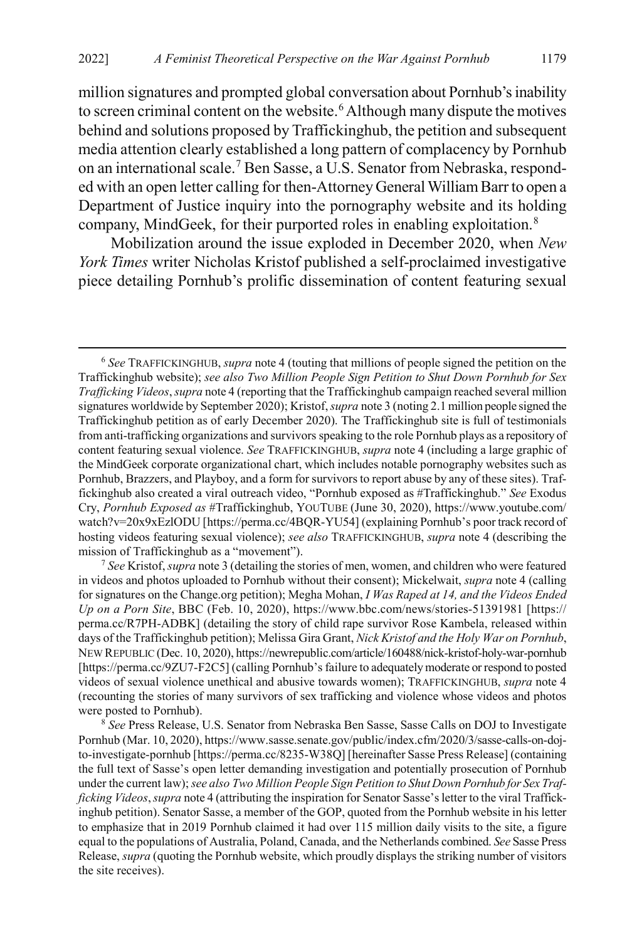<span id="page-3-3"></span>million signatures and prompted global conversation about Pornhub's inability to screen criminal content on the website.<sup>[6](#page-3-0)</sup> Although many dispute the motives behind and solutions proposed by Traffickinghub, the petition and subsequent media attention clearly established a long pattern of complacency by Pornhub on an international scale.[7](#page-3-1) Ben Sasse, a U.S. Senator from Nebraska, responded with an open letter calling for then-Attorney General William Barr to open a Department of Justice inquiry into the pornography website and its holding company, MindGeek, for their purported roles in enabling exploitation.<sup>[8](#page-3-2)</sup>

Mobilization around the issue exploded in December 2020, when *New York Times* writer Nicholas Kristof published a self-proclaimed investigative piece detailing Pornhub's prolific dissemination of content featuring sexual

<span id="page-3-1"></span><sup>7</sup> *See* Kristof, *supra* not[e 3](#page-2-0) (detailing the stories of men, women, and children who were featured in videos and photos uploaded to Pornhub without their consent); Mickelwait, *supra* note [4](#page-2-5) (calling for signatures on the Change.org petition); Megha Mohan, *I Was Raped at 14, and the Videos Ended Up on a Porn Site*, BBC (Feb. 10, 2020), https://www.bbc.com/news/stories-51391981 [https:// perma.cc/R7PH-ADBK] (detailing the story of child rape survivor Rose Kambela, released within days of the Traffickinghub petition); Melissa Gira Grant, *Nick Kristof and the Holy War on Pornhub*, NEW REPUBLIC (Dec. 10, 2020), https://newrepublic.com/article/160488/nick-kristof-holy-war-pornhub [https://perma.cc/9ZU7-F2C5] (calling Pornhub's failure to adequately moderate or respond to posted videos of sexual violence unethical and abusive towards women); TRAFFICKINGHUB, *supra* note [4](#page-2-5) (recounting the stories of many survivors of sex trafficking and violence whose videos and photos were posted to Pornhub).

<span id="page-3-2"></span><sup>8</sup> *See* Press Release, U.S. Senator from Nebraska Ben Sasse, Sasse Calls on DOJ to Investigate Pornhub (Mar. 10, 2020), https://www.sasse.senate.gov/public/index.cfm/2020/3/sasse-calls-on-dojto-investigate-pornhub [https://perma.cc/8235-W38Q] [hereinafter Sasse Press Release] (containing the full text of Sasse's open letter demanding investigation and potentially prosecution of Pornhub under the current law); *see also Two Million People Sign Petition to Shut Down Pornhub for Sex Trafficking Videos*, *supra* not[e 4](#page-2-5) (attributing the inspiration for Senator Sasse's letter to the viral Traffickinghub petition). Senator Sasse, a member of the GOP, quoted from the Pornhub website in his letter to emphasize that in 2019 Pornhub claimed it had over 115 million daily visits to the site, a figure equal to the populations of Australia, Poland, Canada, and the Netherlands combined. *See* Sasse Press Release, *supra* (quoting the Pornhub website, which proudly displays the striking number of visitors the site receives).

<span id="page-3-0"></span> <sup>6</sup> *See* TRAFFICKINGHUB, *supra* not[e 4](#page-2-5) (touting that millions of people signed the petition on the Traffickinghub website); *see also Two Million People Sign Petition to Shut Down Pornhub for Sex Trafficking Videos*, *supra* not[e 4](#page-2-5) (reporting that the Traffickinghub campaign reached several million signatures worldwide by September 2020); Kristof, *supra* not[e 3](#page-2-0) (noting 2.1 million people signed the Traffickinghub petition as of early December 2020). The Traffickinghub site is full of testimonials from anti-trafficking organizations and survivors speaking to the role Pornhub plays as a repository of content featuring sexual violence. *See* TRAFFICKINGHUB, *supra* not[e 4](#page-2-5) (including a large graphic of the MindGeek corporate organizational chart, which includes notable pornography websites such as Pornhub, Brazzers, and Playboy, and a form for survivors to report abuse by any of these sites). Traffickinghub also created a viral outreach video, "Pornhub exposed as #Traffickinghub." *See* Exodus Cry, *Pornhub Exposed as* #Traffickinghub, YOUTUBE (June 30, 2020), https://www.youtube.com/ watch?v=20x9xEzlODU [https://perma.cc/4BQR-YU54] (explaining Pornhub's poor track record of hosting videos featuring sexual violence); *see also* TRAFFICKINGHUB, *supra* note [4](#page-2-5) (describing the mission of Traffickinghub as a "movement").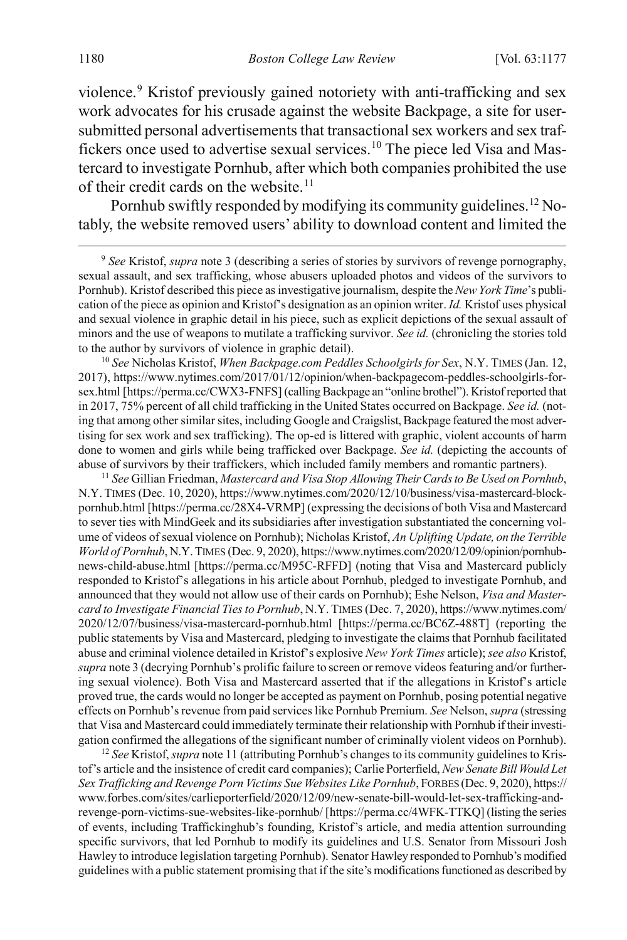<span id="page-4-6"></span>violence.<sup>[9](#page-4-1)</sup> Kristof previously gained notoriety with anti-trafficking and sex work advocates for his crusade against the website Backpage, a site for usersubmitted personal advertisements that transactional sex workers and sex traf-fickers once used to advertise sexual services.<sup>[10](#page-4-2)</sup> The piece led Visa and Mastercard to investigate Pornhub, after which both companies prohibited the use of their credit cards on the website.<sup>11</sup>

<span id="page-4-5"></span><span id="page-4-0"></span>Pornhub swiftly responded by modifying its community guidelines.<sup>[12](#page-4-4)</sup> Notably, the website removed users' ability to download content and limited the

<span id="page-4-1"></span> 9 *See* Kristof, *supra* note [3](#page-2-0) (describing a series of stories by survivors of revenge pornography, sexual assault, and sex trafficking, whose abusers uploaded photos and videos of the survivors to Pornhub). Kristof described this piece as investigative journalism, despite the *New York Time*'s publication of the piece as opinion and Kristof's designation as an opinion writer. *Id.* Kristof uses physical and sexual violence in graphic detail in his piece, such as explicit depictions of the sexual assault of minors and the use of weapons to mutilate a trafficking survivor. *See id.* (chronicling the stories told to the author by survivors of violence in graphic detail).

<span id="page-4-2"></span><sup>10</sup> *See* Nicholas Kristof, *When Backpage.com Peddles Schoolgirls for Sex*, N.Y. TIMES (Jan. 12, 2017), https://www.nytimes.com/2017/01/12/opinion/when-backpagecom-peddles-schoolgirls-forsex.html [https://perma.cc/CWX3-FNFS] (calling Backpage an "online brothel"). Kristof reported that in 2017, 75% percent of all child trafficking in the United States occurred on Backpage. *See id.* (noting that among other similar sites, including Google and Craigslist, Backpage featured the most advertising for sex work and sex trafficking). The op-ed is littered with graphic, violent accounts of harm done to women and girls while being trafficked over Backpage. *See id.* (depicting the accounts of abuse of survivors by their traffickers, which included family members and romantic partners).

<span id="page-4-3"></span><sup>11</sup> *See* Gillian Friedman, *Mastercard and Visa Stop Allowing Their Cards to Be Used on Pornhub*, N.Y. TIMES (Dec. 10, 2020), https://www.nytimes.com/2020/12/10/business/visa-mastercard-blockpornhub.html [https://perma.cc/28X4-VRMP] (expressing the decisions of both Visa and Mastercard to sever ties with MindGeek and its subsidiaries after investigation substantiated the concerning volume of videos of sexual violence on Pornhub); Nicholas Kristof, *An Uplifting Update, on the Terrible World of Pornhub*, N.Y.TIMES (Dec. 9, 2020), https://www.nytimes.com/2020/12/09/opinion/pornhubnews-child-abuse.html [https://perma.cc/M95C-RFFD] (noting that Visa and Mastercard publicly responded to Kristof's allegations in his article about Pornhub, pledged to investigate Pornhub, and announced that they would not allow use of their cards on Pornhub); Eshe Nelson, *Visa and Mastercard to Investigate Financial Ties to Pornhub*, N.Y. TIMES (Dec. 7, 2020), https://www.nytimes.com/ 2020/12/07/business/visa-mastercard-pornhub.html [https://perma.cc/BC6Z-488T] (reporting the public statements by Visa and Mastercard, pledging to investigate the claims that Pornhub facilitated abuse and criminal violence detailed in Kristof's explosive *New York Times* article); *see also* Kristof, *supra* not[e 3](#page-2-0) (decrying Pornhub's prolific failure to screen or remove videos featuring and/or furthering sexual violence). Both Visa and Mastercard asserted that if the allegations in Kristof's article proved true, the cards would no longer be accepted as payment on Pornhub, posing potential negative effects on Pornhub's revenue from paid services like Pornhub Premium. *See* Nelson, *supra* (stressing that Visa and Mastercard could immediately terminate their relationship with Pornhub if their investigation confirmed the allegations of the significant number of criminally violent videos on Pornhub).

<span id="page-4-4"></span><sup>12</sup> *See* Kristof, *supra* not[e 11](#page-4-0) (attributing Pornhub's changes to its community guidelines to Kristof's article and the insistence of credit card companies); Carlie Porterfield, *New Senate Bill Would Let Sex Trafficking and Revenge Porn Victims Sue Websites Like Pornhub*, FORBES (Dec. 9, 2020), https:// www.forbes.com/sites/carlieporterfield/2020/12/09/new-senate-bill-would-let-sex-trafficking-andrevenge-porn-victims-sue-websites-like-pornhub/ [https://perma.cc/4WFK-TTKQ] (listing the series of events, including Traffickinghub's founding, Kristof's article, and media attention surrounding specific survivors, that led Pornhub to modify its guidelines and U.S. Senator from Missouri Josh Hawley to introduce legislation targeting Pornhub). Senator Hawley responded to Pornhub's modified guidelines with a public statement promising that if the site's modifications functioned as described by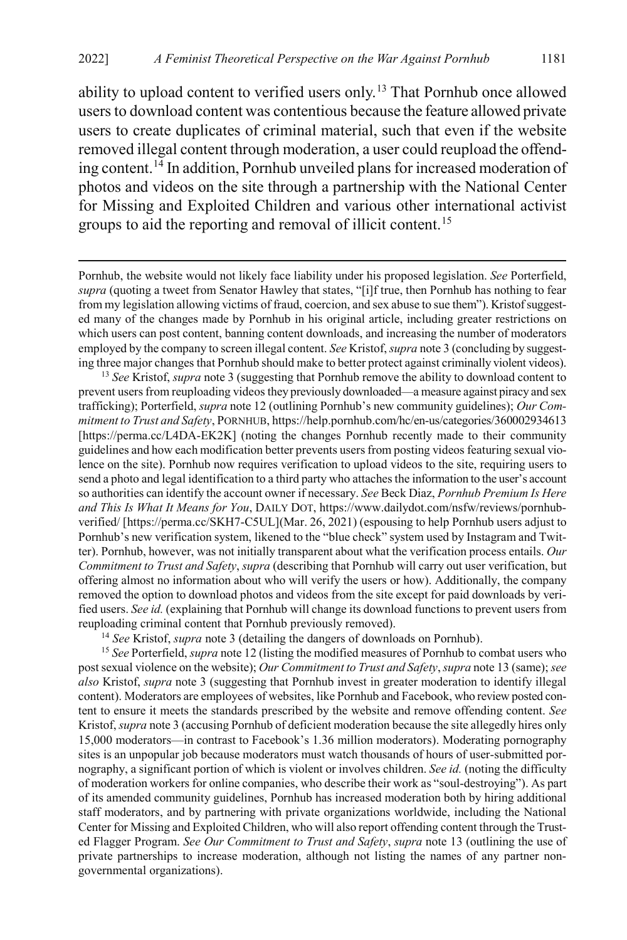<span id="page-5-0"></span>ability to upload content to verified users only.[13](#page-5-1) That Pornhub once allowed users to download content was contentious because the feature allowed private users to create duplicates of criminal material, such that even if the website removed illegal content through moderation, a user could reupload the offending content.[14](#page-5-2) In addition, Pornhub unveiled plans for increased moderation of photos and videos on the site through a partnership with the National Center for Missing and Exploited Children and various other international activist groups to aid the reporting and removal of illicit content.<sup>[15](#page-5-3)</sup>

 Pornhub, the website would not likely face liability under his proposed legislation. *See* Porterfield, *supra* (quoting a tweet from Senator Hawley that states, "[i]f true, then Pornhub has nothing to fear from my legislation allowing victims of fraud, coercion, and sex abuse to sue them"). Kristof suggested many of the changes made by Pornhub in his original article, including greater restrictions on which users can post content, banning content downloads, and increasing the number of moderators employed by the company to screen illegal content. *See* Kristof, *supra* not[e 3](#page-2-0) (concluding by suggesting three major changes that Pornhub should make to better protect against criminally violent videos).

<span id="page-5-1"></span><sup>13</sup> *See* Kristof, *supra* not[e 3](#page-2-0) (suggesting that Pornhub remove the ability to download content to prevent users from reuploading videos they previously downloaded—a measure against piracy and sex trafficking); Porterfield, *supra* not[e 12](#page-4-5) (outlining Pornhub's new community guidelines); *Our Commitment to Trust and Safety*, PORNHUB, https://help.pornhub.com/hc/en-us/categories/360002934613 [https://perma.cc/L4DA-EK2K] (noting the changes Pornhub recently made to their community guidelines and how each modification better prevents users from posting videos featuring sexual violence on the site). Pornhub now requires verification to upload videos to the site, requiring users to send a photo and legal identification to a third party who attaches the information to the user's account so authorities can identify the account owner if necessary. *See* Beck Diaz, *Pornhub Premium Is Here and This Is What It Means for You*, DAILY DOT, https://www.dailydot.com/nsfw/reviews/pornhubverified/ [https://perma.cc/SKH7-C5UL](Mar. 26, 2021) (espousing to help Pornhub users adjust to Pornhub's new verification system, likened to the "blue check" system used by Instagram and Twitter). Pornhub, however, was not initially transparent about what the verification process entails. *Our Commitment to Trust and Safety*, *supra* (describing that Pornhub will carry out user verification, but offering almost no information about who will verify the users or how). Additionally, the company removed the option to download photos and videos from the site except for paid downloads by verified users. *See id.* (explaining that Pornhub will change its download functions to prevent users from reuploading criminal content that Pornhub previously removed).

<sup>14</sup> *See* Kristof, *supra* note [3](#page-2-0) (detailing the dangers of downloads on Pornhub).

<span id="page-5-3"></span><span id="page-5-2"></span><sup>15</sup> *See* Porterfield, *supra* note [12](#page-4-5) (listing the modified measures of Pornhub to combat users who post sexual violence on the website); *Our Commitment to Trust and Safety*, *supra* not[e 13](#page-5-0) (same); *see also* Kristof, *supra* note [3](#page-2-0) (suggesting that Pornhub invest in greater moderation to identify illegal content). Moderators are employees of websites, like Pornhub and Facebook, who review posted content to ensure it meets the standards prescribed by the website and remove offending content. *See*  Kristof, *supra* not[e 3](#page-2-0) (accusing Pornhub of deficient moderation because the site allegedly hires only 15,000 moderators—in contrast to Facebook's 1.36 million moderators). Moderating pornography sites is an unpopular job because moderators must watch thousands of hours of user-submitted pornography, a significant portion of which is violent or involves children. *See id.* (noting the difficulty of moderation workers for online companies, who describe their work as "soul-destroying"). As part of its amended community guidelines, Pornhub has increased moderation both by hiring additional staff moderators, and by partnering with private organizations worldwide, including the National Center for Missing and Exploited Children, who will also report offending content through the Trusted Flagger Program. *See Our Commitment to Trust and Safety*, *supra* note [13](#page-5-0) (outlining the use of private partnerships to increase moderation, although not listing the names of any partner nongovernmental organizations).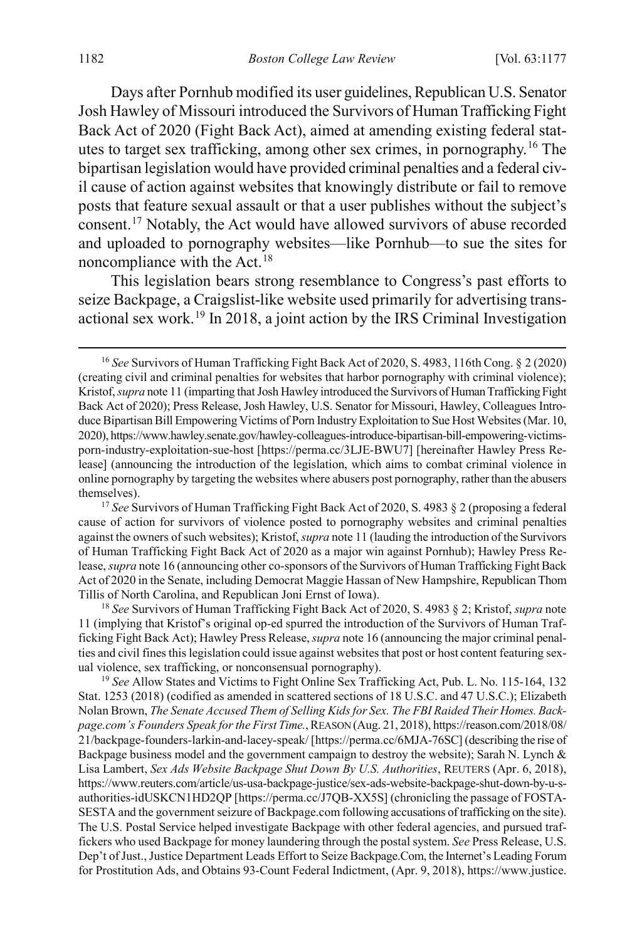<span id="page-6-0"></span>Days after Pornhub modified its user guidelines, Republican U.S. Senator Josh Hawley of Missouri introduced the Survivors of Human Trafficking Fight Back Act of 2020 (Fight Back Act), aimed at amending existing federal statutes to target sex trafficking, among other sex crimes, in pornography.[16](#page-6-1) The bipartisan legislation would have provided criminal penalties and a federal civil cause of action against websites that knowingly distribute or fail to remove posts that feature sexual assault or that a user publishes without the subject's consent.[17](#page-6-2) Notably, the Act would have allowed survivors of abuse recorded and uploaded to pornography websites—like Pornhub—to sue the sites for noncompliance with the  $Act.$ <sup>[18](#page-6-3)</sup>

<span id="page-6-5"></span>This legislation bears strong resemblance to Congress's past efforts to seize Backpage, a Craigslist-like website used primarily for advertising transactional sex work.[19](#page-6-4) In 2018, a joint action by the IRS Criminal Investigation

<span id="page-6-3"></span><sup>18</sup> *See* Survivors of Human Trafficking Fight Back Act of 2020, S. 4983 § 2; Kristof, *supra* note [11](#page-4-0) (implying that Kristof's original op-ed spurred the introduction of the Survivors of Human Trafficking Fight Back Act); Hawley Press Release, *supra* not[e 16](#page-6-0) (announcing the major criminal penalties and civil fines this legislation could issue against websites that post or host content featuring sexual violence, sex trafficking, or nonconsensual pornography).

<span id="page-6-4"></span><sup>19</sup> *See* Allow States and Victims to Fight Online Sex Trafficking Act, Pub. L. No. 115-164, 132 Stat. 1253 (2018) (codified as amended in scattered sections of 18 U.S.C. and 47 U.S.C.); Elizabeth Nolan Brown, *The Senate Accused Them of Selling Kids for Sex. The FBI Raided Their Homes. Backpage.com's Founders Speak for the First Time.*, REASON (Aug. 21, 2018), https://reason.com/2018/08/ 21/backpage-founders-larkin-and-lacey-speak/ [https://perma.cc/6MJA-76SC] (describing the rise of Backpage business model and the government campaign to destroy the website); Sarah N. Lynch & Lisa Lambert, *Sex Ads Website Backpage Shut Down By U.S. Authorities*, REUTERS (Apr. 6, 2018), https://www.reuters.com/article/us-usa-backpage-justice/sex-ads-website-backpage-shut-down-by-u-sauthorities-idUSKCN1HD2QP [https://perma.cc/J7QB-XX5S] (chronicling the passage of FOSTA-SESTA and the government seizure of Backpage.com following accusations of trafficking on the site). The U.S. Postal Service helped investigate Backpage with other federal agencies, and pursued traffickers who used Backpage for money laundering through the postal system. *See* Press Release, U.S. Dep't of Just., Justice Department Leads Effort to Seize Backpage.Com, the Internet's Leading Forum for Prostitution Ads, and Obtains 93-Count Federal Indictment, (Apr. 9, 2018), https://www.justice.

<span id="page-6-1"></span> <sup>16</sup> *See* Survivors of Human Trafficking Fight Back Act of 2020, S. 4983, 116th Cong. § 2 (2020) (creating civil and criminal penalties for websites that harbor pornography with criminal violence); Kristof, *supra* not[e 11](#page-4-0) (imparting that Josh Hawley introduced the Survivors of Human Trafficking Fight Back Act of 2020); Press Release, Josh Hawley, U.S. Senator for Missouri, Hawley, Colleagues Introduce Bipartisan Bill Empowering Victims of Porn Industry Exploitation to Sue Host Websites (Mar. 10, 2020), https://www.hawley.senate.gov/hawley-colleagues-introduce-bipartisan-bill-empowering-victimsporn-industry-exploitation-sue-host [https://perma.cc/3LJE-BWU7] [hereinafter Hawley Press Release] (announcing the introduction of the legislation, which aims to combat criminal violence in online pornography by targeting the websites where abusers post pornography, rather than the abusers themselves).

<span id="page-6-2"></span><sup>&</sup>lt;sup>17</sup> See Survivors of Human Trafficking Fight Back Act of 2020, S. 4983 § 2 (proposing a federal cause of action for survivors of violence posted to pornography websites and criminal penalties against the owners of such websites); Kristof, *supra* not[e 11](#page-4-0) (lauding the introduction of the Survivors of Human Trafficking Fight Back Act of 2020 as a major win against Pornhub); Hawley Press Release, *supra* not[e 16](#page-6-0) (announcing other co-sponsors of the Survivors of Human Trafficking Fight Back Act of 2020 in the Senate, including Democrat Maggie Hassan of New Hampshire, Republican Thom Tillis of North Carolina, and Republican Joni Ernst of Iowa).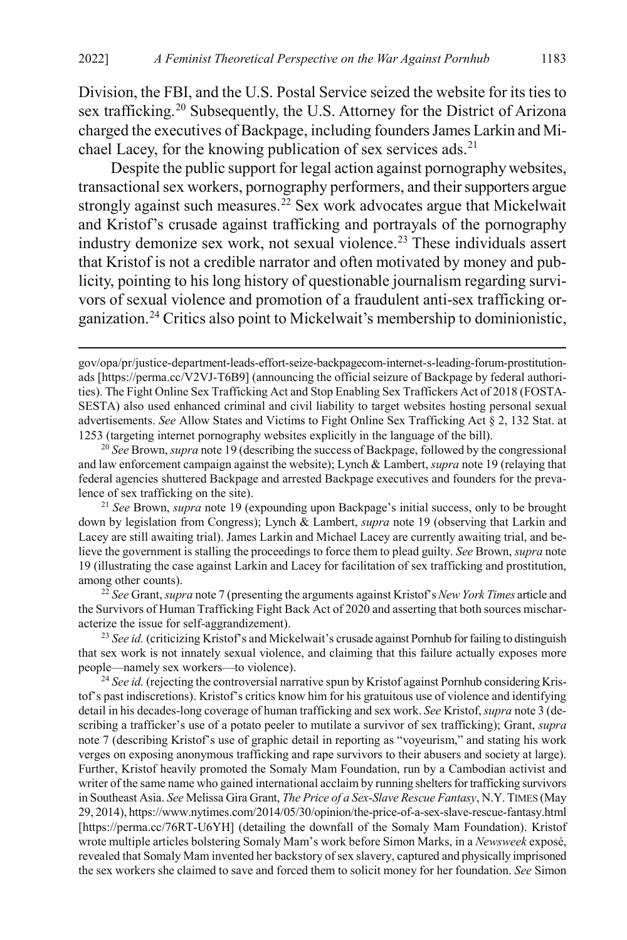Division, the FBI, and the U.S. Postal Service seized the website for its ties to sex trafficking.<sup>[20](#page-7-0)</sup> Subsequently, the U.S. Attorney for the District of Arizona charged the executives of Backpage, including founders James Larkin and Mi-chael Lacey, for the knowing publication of sex services ads.<sup>[21](#page-7-1)</sup>

Despite the public support for legal action against pornography websites, transactional sex workers, pornography performers, and their supporters argue strongly against such measures.<sup>[22](#page-7-2)</sup> Sex work advocates argue that Mickelwait and Kristof's crusade against trafficking and portrayals of the pornography industry demonize sex work, not sexual violence.[23](#page-7-3) These individuals assert that Kristof is not a credible narrator and often motivated by money and publicity, pointing to his long history of questionable journalism regarding survivors of sexual violence and promotion of a fraudulent anti-sex trafficking organization.[24](#page-7-4) Critics also point to Mickelwait's membership to dominionistic,

<span id="page-7-1"></span><sup>21</sup> *See* Brown, *supra* note [19](#page-6-5) (expounding upon Backpage's initial success, only to be brought down by legislation from Congress); Lynch & Lambert, *supra* note [19](#page-6-5) (observing that Larkin and Lacey are still awaiting trial). James Larkin and Michael Lacey are currently awaiting trial, and believe the government is stalling the proceedings to force them to plead guilty. *See* Brown, *supra* note [19](#page-6-5) (illustrating the case against Larkin and Lacey for facilitation of sex trafficking and prostitution, among other counts).

<span id="page-7-2"></span><sup>22</sup> *See* Grant, *supra* not[e 7](#page-3-3) (presenting the arguments against Kristof's *New York Times* article and the Survivors of Human Trafficking Fight Back Act of 2020 and asserting that both sources mischaracterize the issue for self-aggrandizement).

<span id="page-7-3"></span><sup>23</sup> *See id.* (criticizing Kristof's and Mickelwait's crusade against Pornhub for failing to distinguish that sex work is not innately sexual violence, and claiming that this failure actually exposes more people—namely sex workers—to violence).

<span id="page-7-4"></span><sup>24</sup> See id. (rejecting the controversial narrative spun by Kristof against Pornhub considering Kristof's past indiscretions). Kristof's critics know him for his gratuitous use of violence and identifying detail in his decades-long coverage of human trafficking and sex work. *See* Kristof, *supra* not[e 3](#page-2-0) (describing a trafficker's use of a potato peeler to mutilate a survivor of sex trafficking); Grant, *supra*  note [7](#page-3-3) (describing Kristof's use of graphic detail in reporting as "voyeurism," and stating his work verges on exposing anonymous trafficking and rape survivors to their abusers and society at large). Further, Kristof heavily promoted the Somaly Mam Foundation, run by a Cambodian activist and writer of the same name who gained international acclaim by running shelters for trafficking survivors in Southeast Asia. *See* Melissa Gira Grant, *The Price of a Sex-Slave Rescue Fantasy*, N.Y. TIMES (May 29, 2014), https://www.nytimes.com/2014/05/30/opinion/the-price-of-a-sex-slave-rescue-fantasy.html [https://perma.cc/76RT-U6YH] (detailing the downfall of the Somaly Mam Foundation). Kristof wrote multiple articles bolstering Somaly Mam's work before Simon Marks, in a *Newsweek* exposé, revealed that Somaly Mam invented her backstory of sex slavery, captured and physically imprisoned the sex workers she claimed to save and forced them to solicit money for her foundation. *See* Simon

<span id="page-7-5"></span>gov/opa/pr/justice-department-leads-effort-seize-backpagecom-internet-s-leading-forum-prostitutionads [https://perma.cc/V2VJ-T6B9] (announcing the official seizure of Backpage by federal authorities). The Fight Online Sex Trafficking Act and Stop Enabling Sex Traffickers Act of 2018 (FOSTA-SESTA) also used enhanced criminal and civil liability to target websites hosting personal sexual advertisements. *See* Allow States and Victims to Fight Online Sex Trafficking Act § 2, 132 Stat. at 1253 (targeting internet pornography websites explicitly in the language of the bill).

<span id="page-7-0"></span><sup>20</sup> *See* Brown, *supra* not[e 19](#page-6-5) (describing the success of Backpage, followed by the congressional and law enforcement campaign against the website); Lynch & Lambert, *supra* not[e 19](#page-6-5) (relaying that federal agencies shuttered Backpage and arrested Backpage executives and founders for the prevalence of sex trafficking on the site).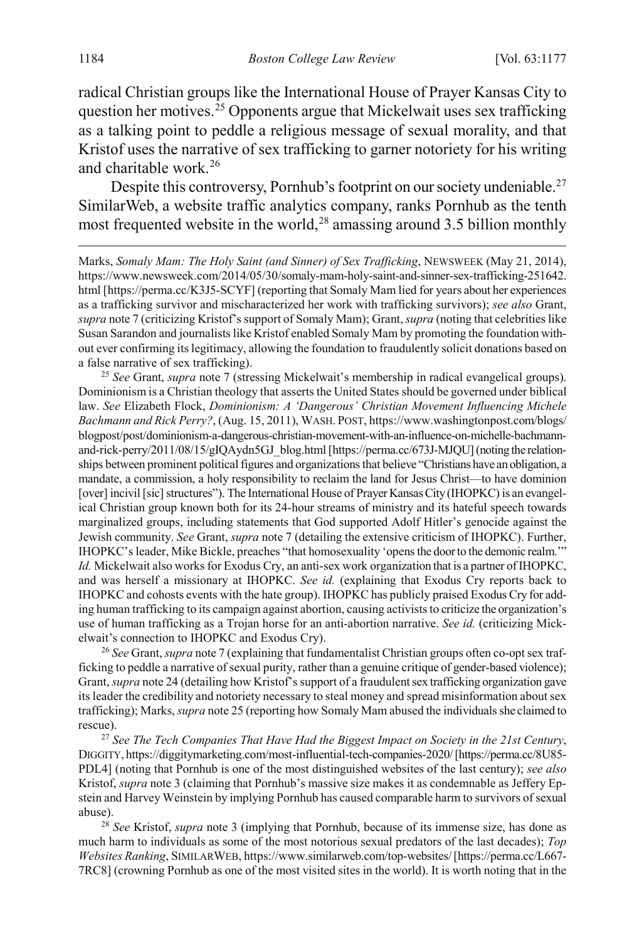<span id="page-8-0"></span>radical Christian groups like the International House of Prayer Kansas City to question her motives.<sup>[25](#page-8-1)</sup> Opponents argue that Mickelwait uses sex trafficking as a talking point to peddle a religious message of sexual morality, and that Kristof uses the narrative of sex trafficking to garner notoriety for his writing and charitable work.[26](#page-8-2)

<span id="page-8-5"></span>Despite this controversy, Pornhub's footprint on our society undeniable.<sup>27</sup> SimilarWeb, a website traffic analytics company, ranks Pornhub as the tenth most frequented website in the world,<sup>[28](#page-8-4)</sup> amassing around 3.5 billion monthly

 Marks, *Somaly Mam: The Holy Saint (and Sinner) of Sex Trafficking*, NEWSWEEK (May 21, 2014), https://www.newsweek.com/2014/05/30/somaly-mam-holy-saint-and-sinner-sex-trafficking-251642. html [https://perma.cc/K3J5-SCYF] (reporting that Somaly Mam lied for years about her experiences as a trafficking survivor and mischaracterized her work with trafficking survivors); *see also* Grant, *supra* not[e 7](#page-3-3) (criticizing Kristof's support of Somaly Mam); Grant, *supra* (noting that celebrities like Susan Sarandon and journalists like Kristof enabled Somaly Mam by promoting the foundation without ever confirming its legitimacy, allowing the foundation to fraudulently solicit donations based on a false narrative of sex trafficking).

<span id="page-8-1"></span><sup>25</sup> *See* Grant, *supra* note [7](#page-3-3) (stressing Mickelwait's membership in radical evangelical groups). Dominionism is a Christian theology that asserts the United States should be governed under biblical law. *See* Elizabeth Flock, *Dominionism: A 'Dangerous' Christian Movement Influencing Michele Bachmann and Rick Perry?*, (Aug. 15, 2011), WASH. POST, https://www.washingtonpost.com/blogs/ blogpost/post/dominionism-a-dangerous-christian-movement-with-an-influence-on-michelle-bachmannand-rick-perry/2011/08/15/gIQAydn5GJ\_blog.html [https://perma.cc/673J-MJQU] (noting the relationships between prominent political figures and organizations that believe "Christians have an obligation, a mandate, a commission, a holy responsibility to reclaim the land for Jesus Christ—to have dominion [over] incivil [sic] structures"). The International House of Prayer Kansas City (IHOPKC) is an evangelical Christian group known both for its 24-hour streams of ministry and its hateful speech towards marginalized groups, including statements that God supported Adolf Hitler's genocide against the Jewish community. *See* Grant, *supra* note [7](#page-3-3) (detailing the extensive criticism of IHOPKC). Further, IHOPKC's leader, Mike Bickle, preaches "that homosexuality 'opens the door to the demonic realm.'" *Id.* Mickelwait also works for Exodus Cry, an anti-sex work organization that is a partner of IHOPKC, and was herself a missionary at IHOPKC. *See id.* (explaining that Exodus Cry reports back to IHOPKC and cohosts events with the hate group). IHOPKC has publicly praised Exodus Cry for adding human trafficking to its campaign against abortion, causing activists to criticize the organization's use of human trafficking as a Trojan horse for an anti-abortion narrative. *See id.* (criticizing Mickelwait's connection to IHOPKC and Exodus Cry).

<span id="page-8-2"></span><sup>26</sup> *See* Grant, *supra* not[e 7](#page-3-3) (explaining that fundamentalist Christian groups often co-opt sex trafficking to peddle a narrative of sexual purity, rather than a genuine critique of gender-based violence); Grant, *supra* not[e 24](#page-7-5) (detailing how Kristof's support of a fraudulent sex trafficking organization gave its leader the credibility and notoriety necessary to steal money and spread misinformation about sex trafficking); Marks, *supra* not[e 25](#page-8-0) (reporting how Somaly Mam abused the individuals she claimed to rescue).

<span id="page-8-3"></span><sup>27</sup> *See The Tech Companies That Have Had the Biggest Impact on Society in the 21st Century*, DIGGITY, https://diggitymarketing.com/most-influential-tech-companies-2020/ [https://perma.cc/8U85- PDL4] (noting that Pornhub is one of the most distinguished websites of the last century); *see also*  Kristof, *supra* not[e 3](#page-2-0) (claiming that Pornhub's massive size makes it as condemnable as Jeffery Epstein and Harvey Weinstein by implying Pornhub has caused comparable harm to survivors of sexual abuse).

<span id="page-8-4"></span><sup>28</sup> *See* Kristof, *supra* note 3 (implying that Pornhub, because of its immense size, has done as much harm to individuals as some of the most notorious sexual predators of the last decades); *Top Websites Ranking*, SIMILARWEB, https://www.similarweb.com/top-websites/ [https://perma.cc/L667- 7RC8] (crowning Pornhub as one of the most visited sites in the world). It is worth noting that in the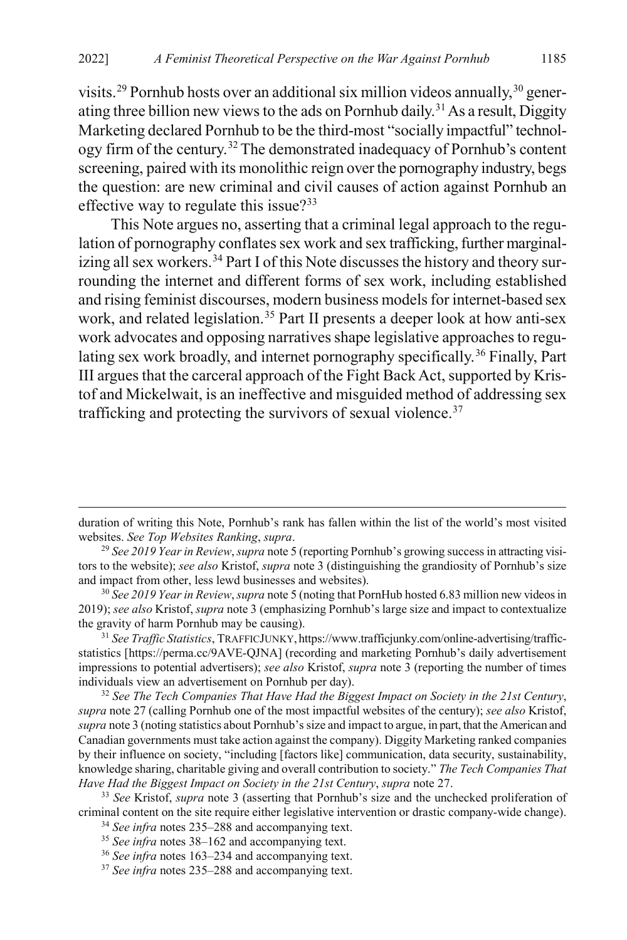visits.<sup>[29](#page-9-0)</sup> Pornhub hosts over an additional six million videos annually,<sup>[30](#page-9-1)</sup> gener-ating three billion new views to the ads on Pornhub daily.<sup>[31](#page-9-2)</sup> As a result, Diggity Marketing declared Pornhub to be the third-most "socially impactful" technology firm of the century.[32](#page-9-3)The demonstrated inadequacy of Pornhub's content screening, paired with its monolithic reign over the pornography industry, begs the question: are new criminal and civil causes of action against Pornhub an effective way to regulate this issue? $33$ 

This Note argues no, asserting that a criminal legal approach to the regulation of pornography conflates sex work and sex trafficking, further marginal-izing all sex workers.<sup>[34](#page-9-5)</sup> Part I of this Note discusses the history and theory surrounding the internet and different forms of sex work, including established and rising feminist discourses, modern business models for internet-based sex work, and related legislation.<sup>[35](#page-9-6)</sup> Part II presents a deeper look at how anti-sex work advocates and opposing narratives shape legislative approaches to regu-lating sex work broadly, and internet pornography specifically.<sup>[36](#page-9-7)</sup> Finally, Part III argues that the carceral approach of the Fight Back Act, supported by Kristof and Mickelwait, is an ineffective and misguided method of addressing sex trafficking and protecting the survivors of sexual violence. $37$ 

duration of writing this Note, Pornhub's rank has fallen within the list of the world's most visited websites. *See Top Websites Ranking*, *supra*.

<span id="page-9-0"></span><sup>29</sup> *See 2019 Year in Review*, *supra* not[e 5](#page-2-6) (reporting Pornhub's growing success in attracting visitors to the website); *see also* Kristof, *supra* not[e 3](#page-2-0) (distinguishing the grandiosity of Pornhub's size and impact from other, less lewd businesses and websites).

<span id="page-9-1"></span><sup>30</sup> *See 2019 Year in Review*, *supra* not[e 5](#page-2-6) (noting that PornHub hosted 6.83 million new videos in 2019); *see also* Kristof, *supra* not[e 3](#page-2-0) (emphasizing Pornhub's large size and impact to contextualize the gravity of harm Pornhub may be causing).

<span id="page-9-2"></span><sup>31</sup> *See Traffic Statistics*, TRAFFICJUNKY, https://www.trafficjunky.com/online-advertising/trafficstatistics [https://perma.cc/9AVE-QJNA] (recording and marketing Pornhub's daily advertisement impressions to potential advertisers); *see also* Kristof, *supra* note [3](#page-2-0) (reporting the number of times individuals view an advertisement on Pornhub per day).

<span id="page-9-3"></span><sup>32</sup> *See The Tech Companies That Have Had the Biggest Impact on Society in the 21st Century*, *supra* not[e 27](#page-8-5) (calling Pornhub one of the most impactful websites of the century); *see also* Kristof, *supra* not[e 3](#page-2-0) (noting statistics about Pornhub's size and impact to argue, in part, that the American and Canadian governments must take action against the company). Diggity Marketing ranked companies by their influence on society, "including [factors like] communication, data security, sustainability, knowledge sharing, charitable giving and overall contribution to society." *The Tech Companies That Have Had the Biggest Impact on Society in the 21st Century*, *supra* not[e 27.](#page-8-5)

<span id="page-9-7"></span><span id="page-9-6"></span><span id="page-9-5"></span><span id="page-9-4"></span><sup>33</sup> *See* Kristof, *supra* note [3](#page-2-0) (asserting that Pornhub's size and the unchecked proliferation of criminal content on the site require either legislative intervention or drastic company-wide change).

<sup>34</sup> *See infra* note[s 235](#page-41-0)[–288](#page-48-0) and accompanying text.

<sup>35</sup> *See infra* note[s 38–](#page-10-0)[162](#page-31-0) and accompanying text.

<sup>36</sup> *See infra* note[s 163](#page-31-1)[–234](#page-41-1) and accompanying text.

<span id="page-9-8"></span><sup>37</sup> *See infra* note[s 235](#page-41-0)[–288](#page-48-0) and accompanying text.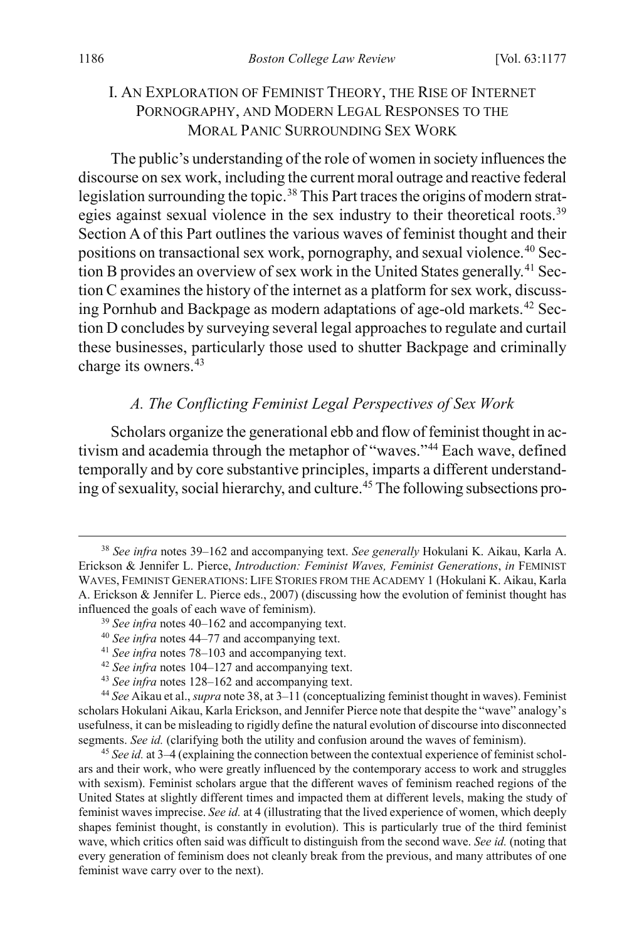## <span id="page-10-1"></span><span id="page-10-0"></span>I. AN EXPLORATION OF FEMINIST THEORY, THE RISE OF INTERNET PORNOGRAPHY, AND MODERN LEGAL RESPONSES TO THE MORAL PANIC SURROUNDING SEX WORK

The public's understanding of the role of women in society influences the discourse on sex work, including the current moral outrage and reactive federal legislation surrounding the topic.<sup>[38](#page-10-4)</sup> This Part traces the origins of modern strat-egies against sexual violence in the sex industry to their theoretical roots.<sup>[39](#page-10-5)</sup> Section A of this Part outlines the various waves of feminist thought and their positions on transactional sex work, pornography, and sexual violence.<sup>[40](#page-10-6)</sup> Sec-tion B provides an overview of sex work in the United States generally.<sup>[41](#page-10-7)</sup> Section C examines the history of the internet as a platform for sex work, discuss-ing Pornhub and Backpage as modern adaptations of age-old markets.<sup>[42](#page-10-8)</sup> Section D concludes by surveying several legal approaches to regulate and curtail these businesses, particularly those used to shutter Backpage and criminally charge its owners.<sup>[43](#page-10-9)</sup>

## <span id="page-10-12"></span><span id="page-10-3"></span><span id="page-10-2"></span>*A. The Conflicting Feminist Legal Perspectives of Sex Work*

Scholars organize the generational ebb and flow of feminist thought in activism and academia through the metaphor of "waves."[44](#page-10-10) Each wave, defined temporally and by core substantive principles, imparts a different understanding of sexuality, social hierarchy, and culture.[45](#page-10-11) The following subsections pro-

- <span id="page-10-5"></span><sup>40</sup> *See infra* note[s 44–](#page-10-3)[77](#page-17-0) and accompanying text.
- <sup>41</sup> *See infra* note[s 78–](#page-17-1)[103](#page-21-0) and accompanying text.
- <sup>42</sup> *See infra* note[s 104](#page-21-1)[–127](#page-24-0) and accompanying text.
- <sup>43</sup> *See infra* note[s 128](#page-25-0)[–162](#page-31-0) and accompanying text.

<span id="page-10-10"></span><span id="page-10-9"></span><span id="page-10-8"></span><span id="page-10-7"></span><span id="page-10-6"></span><sup>44</sup> *See* Aikau et al., *supra* not[e 38,](#page-10-0) at 3–11 (conceptualizing feminist thought in waves). Feminist scholars Hokulani Aikau, Karla Erickson, and Jennifer Pierce note that despite the "wave" analogy's usefulness, it can be misleading to rigidly define the natural evolution of discourse into disconnected segments. *See id.* (clarifying both the utility and confusion around the waves of feminism).

<span id="page-10-11"></span><sup>45</sup> *See id.* at 3–4 (explaining the connection between the contextual experience of feminist scholars and their work, who were greatly influenced by the contemporary access to work and struggles with sexism). Feminist scholars argue that the different waves of feminism reached regions of the United States at slightly different times and impacted them at different levels, making the study of feminist waves imprecise. *See id.* at 4 (illustrating that the lived experience of women, which deeply shapes feminist thought, is constantly in evolution). This is particularly true of the third feminist wave, which critics often said was difficult to distinguish from the second wave. *See id.* (noting that every generation of feminism does not cleanly break from the previous, and many attributes of one feminist wave carry over to the next).

<span id="page-10-4"></span> <sup>38</sup> *See infra* notes [39](#page-10-1)[–162](#page-31-0) and accompanying text. *See generally* Hokulani K. Aikau, Karla A. Erickson & Jennifer L. Pierce, *Introduction: Feminist Waves, Feminist Generations*, *in* FEMINIST WAVES, FEMINIST GENERATIONS: LIFE STORIES FROM THE ACADEMY 1 (Hokulani K. Aikau, Karla A. Erickson & Jennifer L. Pierce eds., 2007) (discussing how the evolution of feminist thought has influenced the goals of each wave of feminism).

<sup>39</sup> *See infra* note[s 40–](#page-10-2)[162](#page-31-0) and accompanying text.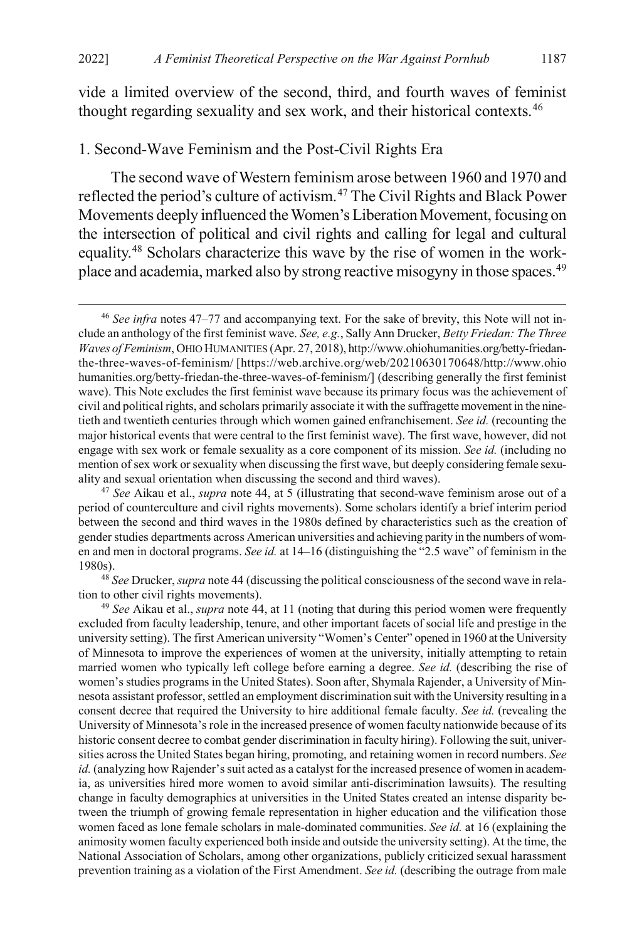vide a limited overview of the second, third, and fourth waves of feminist thought regarding sexuality and sex work, and their historical contexts.[46](#page-11-1)

#### 1. Second-Wave Feminism and the Post-Civil Rights Era

<span id="page-11-0"></span>The second wave of Western feminism arose between 1960 and 1970 and reflected the period's culture of activism.[47](#page-11-2) The Civil Rights and Black Power Movements deeply influenced the Women's Liberation Movement, focusing on the intersection of political and civil rights and calling for legal and cultural equality.[48](#page-11-3) Scholars characterize this wave by the rise of women in the workplace and academia, marked also by strong reactive misogyny in those spaces.<sup>49</sup>

<span id="page-11-2"></span><sup>47</sup> *See* Aikau et al., *supra* note [44,](#page-10-3) at 5 (illustrating that second-wave feminism arose out of a period of counterculture and civil rights movements). Some scholars identify a brief interim period between the second and third waves in the 1980s defined by characteristics such as the creation of gender studies departments across American universities and achieving parity in the numbers of women and men in doctoral programs. *See id.* at 14–16 (distinguishing the "2.5 wave" of feminism in the 1980s).

<span id="page-11-3"></span><sup>48</sup> *See* Drucker, *supra* not[e 44](#page-10-3) (discussing the political consciousness of the second wave in relation to other civil rights movements).

<span id="page-11-4"></span><sup>49</sup> *See* Aikau et al., *supra* note [44,](#page-10-3) at 11 (noting that during this period women were frequently excluded from faculty leadership, tenure, and other important facets of social life and prestige in the university setting). The first American university "Women's Center" opened in 1960 at the University of Minnesota to improve the experiences of women at the university, initially attempting to retain married women who typically left college before earning a degree. *See id.* (describing the rise of women's studies programs in the United States). Soon after, Shymala Rajender, a University of Minnesota assistant professor, settled an employment discrimination suit with the University resulting in a consent decree that required the University to hire additional female faculty. *See id.* (revealing the University of Minnesota's role in the increased presence of women faculty nationwide because of its historic consent decree to combat gender discrimination in faculty hiring). Following the suit, universities across the United States began hiring, promoting, and retaining women in record numbers. *See id.* (analyzing how Rajender's suit acted as a catalyst for the increased presence of women in academia, as universities hired more women to avoid similar anti-discrimination lawsuits). The resulting change in faculty demographics at universities in the United States created an intense disparity between the triumph of growing female representation in higher education and the vilification those women faced as lone female scholars in male-dominated communities. *See id.* at 16 (explaining the animosity women faculty experienced both inside and outside the university setting). At the time, the National Association of Scholars, among other organizations, publicly criticized sexual harassment prevention training as a violation of the First Amendment. *See id.* (describing the outrage from male

<span id="page-11-1"></span> <sup>46</sup> *See infra* note[s 47](#page-11-0)[–77](#page-17-0) and accompanying text. For the sake of brevity, this Note will not include an anthology of the first feminist wave. *See, e.g.*, Sally Ann Drucker, *Betty Friedan: The Three Waves of Feminism*, OHIO HUMANITIES (Apr. 27, 2018), http://www.ohiohumanities.org/betty-friedanthe-three-waves-of-feminism/ [https://web.archive.org/web/20210630170648/http://www.ohio humanities.org/betty-friedan-the-three-waves-of-feminism/] (describing generally the first feminist wave). This Note excludes the first feminist wave because its primary focus was the achievement of civil and political rights, and scholars primarily associate it with the suffragette movement in the ninetieth and twentieth centuries through which women gained enfranchisement. *See id.* (recounting the major historical events that were central to the first feminist wave). The first wave, however, did not engage with sex work or female sexuality as a core component of its mission. *See id.* (including no mention of sex work or sexuality when discussing the first wave, but deeply considering female sexuality and sexual orientation when discussing the second and third waves).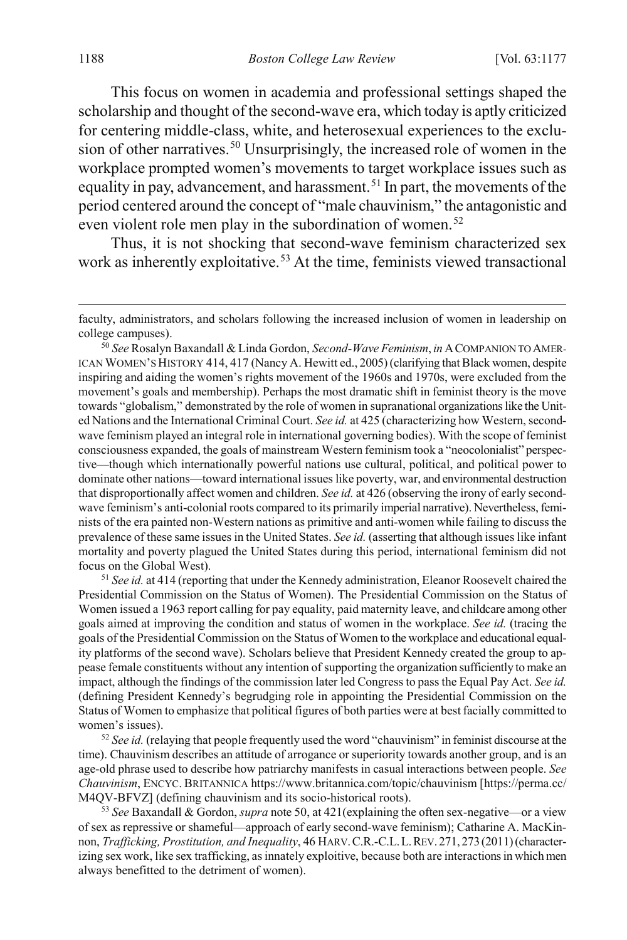<span id="page-12-0"></span>This focus on women in academia and professional settings shaped the scholarship and thought of the second-wave era, which today is aptly criticized for centering middle-class, white, and heterosexual experiences to the exclu-sion of other narratives.<sup>[50](#page-12-1)</sup> Unsurprisingly, the increased role of women in the workplace prompted women's movements to target workplace issues such as equality in pay, advancement, and harassment.<sup>[51](#page-12-2)</sup> In part, the movements of the period centered around the concept of "male chauvinism," the antagonistic and even violent role men play in the subordination of women.<sup>[52](#page-12-3)</sup>

<span id="page-12-5"></span>Thus, it is not shocking that second-wave feminism characterized sex work as inherently exploitative.<sup>[53](#page-12-4)</sup> At the time, feminists viewed transactional

<span id="page-12-1"></span><sup>50</sup> *See* Rosalyn Baxandall & Linda Gordon, *Second-Wave Feminism*, *in* ACOMPANION TO AMER-ICAN WOMEN'S HISTORY 414, 417 (Nancy A. Hewitt ed., 2005) (clarifying that Black women, despite inspiring and aiding the women's rights movement of the 1960s and 1970s, were excluded from the movement's goals and membership). Perhaps the most dramatic shift in feminist theory is the move towards "globalism," demonstrated by the role of women in supranational organizations like the United Nations and the International Criminal Court. *See id.* at 425 (characterizing how Western, secondwave feminism played an integral role in international governing bodies). With the scope of feminist consciousness expanded, the goals of mainstream Western feminism took a "neocolonialist" perspective—though which internationally powerful nations use cultural, political, and political power to dominate other nations—toward international issues like poverty, war, and environmental destruction that disproportionally affect women and children. *See id.* at 426 (observing the irony of early secondwave feminism's anti-colonial roots compared to its primarily imperial narrative). Nevertheless, feminists of the era painted non-Western nations as primitive and anti-women while failing to discuss the prevalence of these same issues in the United States. *See id.* (asserting that although issues like infant mortality and poverty plagued the United States during this period, international feminism did not focus on the Global West).

<span id="page-12-2"></span><sup>51</sup> *See id.* at 414 (reporting that under the Kennedy administration, Eleanor Roosevelt chaired the Presidential Commission on the Status of Women). The Presidential Commission on the Status of Women issued a 1963 report calling for pay equality, paid maternity leave, and childcare among other goals aimed at improving the condition and status of women in the workplace. *See id.* (tracing the goals of the Presidential Commission on the Status of Women to the workplace and educational equality platforms of the second wave). Scholars believe that President Kennedy created the group to appease female constituents without any intention of supporting the organization sufficiently to make an impact, although the findings of the commission later led Congress to pass the Equal Pay Act. *See id.* (defining President Kennedy's begrudging role in appointing the Presidential Commission on the Status of Women to emphasize that political figures of both parties were at best facially committed to women's issues).

<span id="page-12-3"></span><sup>52</sup> *See id.* (relaying that people frequently used the word "chauvinism" in feminist discourse at the time). Chauvinism describes an attitude of arrogance or superiority towards another group, and is an age-old phrase used to describe how patriarchy manifests in casual interactions between people. *See Chauvinism*, ENCYC. BRITANNICA https://www.britannica.com/topic/chauvinism [https://perma.cc/ M4QV-BFVZ] (defining chauvinism and its socio-historical roots).

<span id="page-12-4"></span><sup>53</sup> *See* Baxandall & Gordon, *supra* not[e 50,](#page-12-0) at 421(explaining the often sex-negative—or a view of sex as repressive or shameful—approach of early second-wave feminism); Catharine A. MacKinnon, *Trafficking, Prostitution, and Inequality*, 46 HARV.C.R.-C.L.L.REV. 271, 273(2011)(characterizing sex work, like sex trafficking, as innately exploitive, because both are interactions in which men always benefitted to the detriment of women).

faculty, administrators, and scholars following the increased inclusion of women in leadership on college campuses).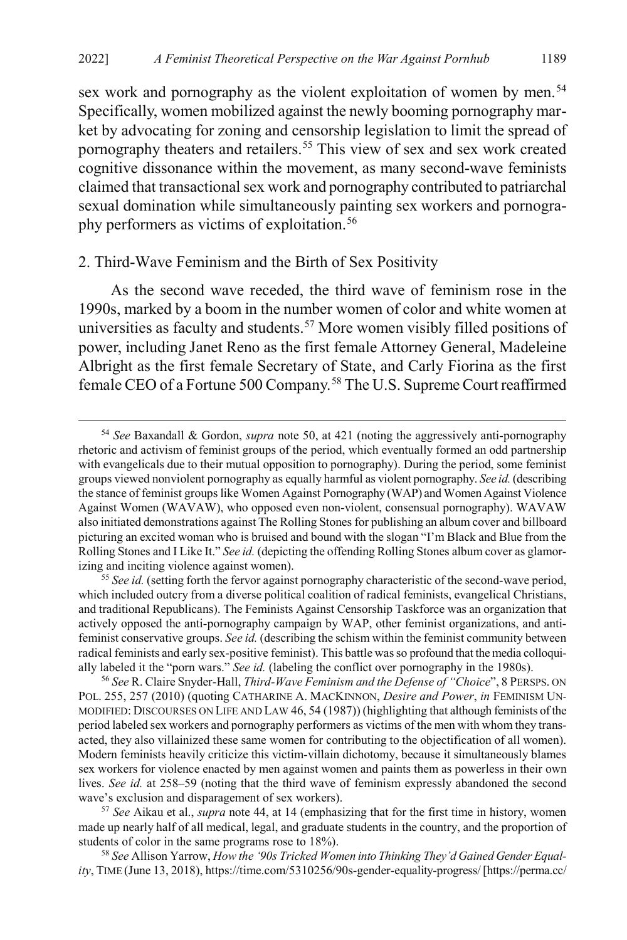sex work and pornography as the violent exploitation of women by men.<sup>[54](#page-13-0)</sup> Specifically, women mobilized against the newly booming pornography market by advocating for zoning and censorship legislation to limit the spread of pornography theaters and retailers.<sup>55</sup> This view of sex and sex work created cognitive dissonance within the movement, as many second-wave feminists claimed that transactional sex work and pornography contributed to patriarchal sexual domination while simultaneously painting sex workers and pornogra-phy performers as victims of exploitation.<sup>[56](#page-13-2)</sup>

#### <span id="page-13-5"></span>2. Third-Wave Feminism and the Birth of Sex Positivity

As the second wave receded, the third wave of feminism rose in the 1990s, marked by a boom in the number women of color and white women at universities as faculty and students.<sup>[57](#page-13-3)</sup> More women visibly filled positions of power, including Janet Reno as the first female Attorney General, Madeleine Albright as the first female Secretary of State, and Carly Fiorina as the first female CEO of a Fortune 500 Company.[58](#page-13-4) The U.S. Supreme Court reaffirmed

<span id="page-13-6"></span><span id="page-13-0"></span> <sup>54</sup> *See* Baxandall & Gordon, *supra* note [50,](#page-12-0) at 421 (noting the aggressively anti-pornography rhetoric and activism of feminist groups of the period, which eventually formed an odd partnership with evangelicals due to their mutual opposition to pornography). During the period, some feminist groups viewed nonviolent pornography as equally harmful as violent pornography. *See id.* (describing the stance of feminist groups like Women Against Pornography (WAP) and Women Against Violence Against Women (WAVAW), who opposed even non-violent, consensual pornography). WAVAW also initiated demonstrations against The Rolling Stones for publishing an album cover and billboard picturing an excited woman who is bruised and bound with the slogan "I'm Black and Blue from the Rolling Stones and I Like It." *See id.* (depicting the offending Rolling Stones album cover as glamorizing and inciting violence against women).

<span id="page-13-1"></span><sup>&</sup>lt;sup>55</sup> See id. (setting forth the fervor against pornography characteristic of the second-wave period, which included outcry from a diverse political coalition of radical feminists, evangelical Christians, and traditional Republicans). The Feminists Against Censorship Taskforce was an organization that actively opposed the anti-pornography campaign by WAP, other feminist organizations, and antifeminist conservative groups. *See id.* (describing the schism within the feminist community between radical feminists and early sex-positive feminist). This battle was so profound that the media colloquially labeled it the "porn wars." *See id.* (labeling the conflict over pornography in the 1980s).

<span id="page-13-2"></span><sup>56</sup> *See* R. Claire Snyder-Hall, *Third-Wave Feminism and the Defense of "Choice*", 8 PERSPS. ON POL. 255, 257 (2010) (quoting CATHARINE A. MACKINNON, *Desire and Power*, *in* FEMINISM UN-MODIFIED: DISCOURSES ON LIFE AND LAW 46, 54 (1987)) (highlighting that although feminists of the period labeled sex workers and pornography performers as victims of the men with whom they transacted, they also villainized these same women for contributing to the objectification of all women). Modern feminists heavily criticize this victim-villain dichotomy, because it simultaneously blames sex workers for violence enacted by men against women and paints them as powerless in their own lives. *See id.* at 258–59 (noting that the third wave of feminism expressly abandoned the second wave's exclusion and disparagement of sex workers).

<span id="page-13-3"></span><sup>57</sup> *See* Aikau et al., *supra* not[e 44,](#page-10-3) at 14 (emphasizing that for the first time in history, women made up nearly half of all medical, legal, and graduate students in the country, and the proportion of students of color in the same programs rose to 18%).

<span id="page-13-4"></span><sup>58</sup> *See* Allison Yarrow, *How the '90s Tricked Women into Thinking They'd Gained Gender Equality*, TIME (June 13, 2018), https://time.com/5310256/90s-gender-equality-progress/ [https://perma.cc/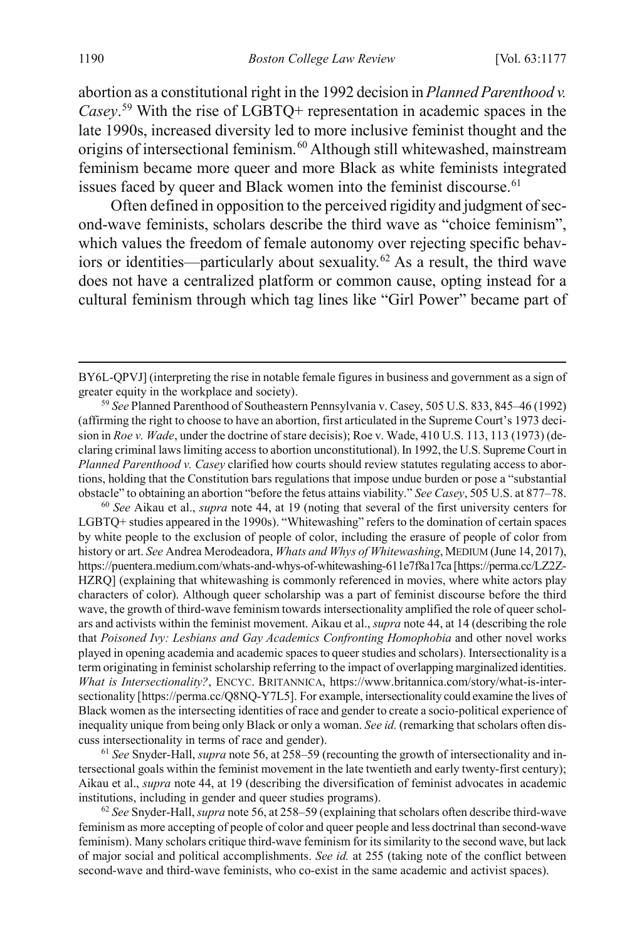<span id="page-14-4"></span>abortion as a constitutional right in the 1992 decision in *Planned Parenthood v. Casey*. [59](#page-14-0) With the rise of LGBTQ+ representation in academic spaces in the late 1990s, increased diversity led to more inclusive feminist thought and the origins of intersectional feminism.<sup>[60](#page-14-1)</sup> Although still whitewashed, mainstream feminism became more queer and more Black as white feminists integrated issues faced by queer and Black women into the feminist discourse.<sup>[61](#page-14-2)</sup>

Often defined in opposition to the perceived rigidity and judgment of second-wave feminists, scholars describe the third wave as "choice feminism", which values the freedom of female autonomy over rejecting specific behaviors or identities—particularly about sexuality.[62](#page-14-3) As a result, the third wave does not have a centralized platform or common cause, opting instead for a cultural feminism through which tag lines like "Girl Power" became part of

<span id="page-14-1"></span><sup>60</sup> *See* Aikau et al., *supra* note [44,](#page-10-3) at 19 (noting that several of the first university centers for LGBTQ+ studies appeared in the 1990s). "Whitewashing" refers to the domination of certain spaces by white people to the exclusion of people of color, including the erasure of people of color from history or art. *See* Andrea Merodeadora, *Whats and Whys of Whitewashing*, MEDIUM (June 14, 2017), https://puentera.medium.com/whats-and-whys-of-whitewashing-611e7f8a17ca [https://perma.cc/LZ2Z-HZRQ] (explaining that whitewashing is commonly referenced in movies, where white actors play characters of color). Although queer scholarship was a part of feminist discourse before the third wave, the growth of third-wave feminism towards intersectionality amplified the role of queer scholars and activists within the feminist movement. Aikau et al., *supra* not[e 44,](#page-10-3) at 14 (describing the role that *Poisoned Ivy: Lesbians and Gay Academics Confronting Homophobia* and other novel works played in opening academia and academic spaces to queer studies and scholars). Intersectionality is a term originating in feminist scholarship referring to the impact of overlapping marginalized identities. *What is Intersectionality?*, ENCYC. BRITANNICA, https://www.britannica.com/story/what-is-intersectionality [https://perma.cc/Q8NQ-Y7L5]. For example, intersectionality could examine the lives of Black women as the intersecting identities of race and gender to create a socio-political experience of inequality unique from being only Black or only a woman. *See id.* (remarking that scholars often discuss intersectionality in terms of race and gender).

<span id="page-14-2"></span><sup>61</sup> *See* Snyder-Hall, *supra* not[e 56,](#page-13-5) at 258–59 (recounting the growth of intersectionality and intersectional goals within the feminist movement in the late twentieth and early twenty-first century); Aikau et al., *supra* note [44,](#page-10-3) at 19 (describing the diversification of feminist advocates in academic institutions, including in gender and queer studies programs).

<span id="page-14-3"></span><sup>62</sup> *See* Snyder-Hall, *supra* not[e 56,](#page-13-5) at 258–59 (explaining that scholars often describe third-wave feminism as more accepting of people of color and queer people and less doctrinal than second-wave feminism). Many scholars critique third-wave feminism for its similarity to the second wave, but lack of major social and political accomplishments. *See id.* at 255 (taking note of the conflict between second-wave and third-wave feminists, who co-exist in the same academic and activist spaces).

BY6L-QPVJ] (interpreting the rise in notable female figures in business and government as a sign of greater equity in the workplace and society).

<span id="page-14-0"></span><sup>59</sup> *See* Planned Parenthood of Southeastern Pennsylvania v. Casey, 505 U.S. 833, 845–46 (1992) (affirming the right to choose to have an abortion, first articulated in the Supreme Court's 1973 decision in *Roe v. Wade*, under the doctrine of stare decisis); Roe v. Wade, 410 U.S. 113, 113 (1973) (declaring criminal laws limiting access to abortion unconstitutional). In 1992, the U.S. Supreme Court in *Planned Parenthood v. Casey* clarified how courts should review statutes regulating access to abortions, holding that the Constitution bars regulations that impose undue burden or pose a "substantial obstacle" to obtaining an abortion "before the fetus attains viability." *See Casey*, 505 U.S. at 877–78.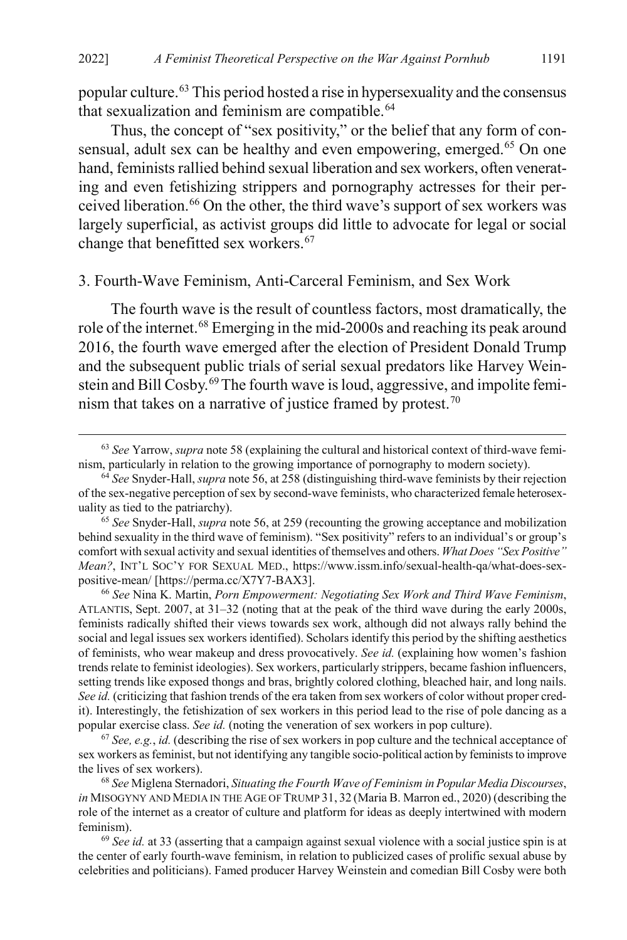popular culture[.63](#page-15-0) This period hosted a rise in hypersexuality and the consensus that sexualization and feminism are compatible.<sup>[64](#page-15-1)</sup>

Thus, the concept of "sex positivity," or the belief that any form of con-sensual, adult sex can be healthy and even empowering, emerged.<sup>[65](#page-15-2)</sup> On one hand, feminists rallied behind sexual liberation and sex workers, often venerating and even fetishizing strippers and pornography actresses for their per-ceived liberation.<sup>[66](#page-15-3)</sup> On the other, the third wave's support of sex workers was largely superficial, as activist groups did little to advocate for legal or social change that benefitted sex workers.<sup>[67](#page-15-4)</sup>

#### 3. Fourth-Wave Feminism, Anti-Carceral Feminism, and Sex Work

<span id="page-15-8"></span>The fourth wave is the result of countless factors, most dramatically, the role of the internet.<sup>[68](#page-15-5)</sup> Emerging in the mid-2000s and reaching its peak around 2016, the fourth wave emerged after the election of President Donald Trump and the subsequent public trials of serial sexual predators like Harvey Wein-stein and Bill Cosby.<sup>[69](#page-15-6)</sup>The fourth wave is loud, aggressive, and impolite femi-nism that takes on a narrative of justice framed by protest.<sup>[70](#page-15-7)</sup>

<span id="page-15-3"></span><sup>66</sup> *See* Nina K. Martin, *Porn Empowerment: Negotiating Sex Work and Third Wave Feminism*, ATLANTIS, Sept. 2007, at 31–32 (noting that at the peak of the third wave during the early 2000s, feminists radically shifted their views towards sex work, although did not always rally behind the social and legal issues sex workers identified). Scholars identify this period by the shifting aesthetics of feminists, who wear makeup and dress provocatively. *See id.* (explaining how women's fashion trends relate to feminist ideologies). Sex workers, particularly strippers, became fashion influencers, setting trends like exposed thongs and bras, brightly colored clothing, bleached hair, and long nails. *See id.* (criticizing that fashion trends of the era taken from sex workers of color without proper credit). Interestingly, the fetishization of sex workers in this period lead to the rise of pole dancing as a popular exercise class. *See id.* (noting the veneration of sex workers in pop culture).

<span id="page-15-4"></span><sup>67</sup> *See, e.g.*, *id.* (describing the rise of sex workers in pop culture and the technical acceptance of sex workers as feminist, but not identifying any tangible socio-political action by feminists to improve the lives of sex workers).

<span id="page-15-5"></span><sup>68</sup> *See* Miglena Sternadori, *Situating the Fourth Wave of Feminism in Popular Media Discourses*, *in* MISOGYNY AND MEDIA IN THE AGE OF TRUMP 31, 32 (Maria B. Marron ed., 2020) (describing the role of the internet as a creator of culture and platform for ideas as deeply intertwined with modern feminism).

<span id="page-15-6"></span><sup>69</sup> *See id.* at 33 (asserting that a campaign against sexual violence with a social justice spin is at the center of early fourth-wave feminism, in relation to publicized cases of prolific sexual abuse by celebrities and politicians). Famed producer Harvey Weinstein and comedian Bill Cosby were both

<span id="page-15-7"></span><span id="page-15-0"></span> <sup>63</sup> *See* Yarrow, *supra* not[e 58](#page-13-6) (explaining the cultural and historical context of third-wave feminism, particularly in relation to the growing importance of pornography to modern society).

<span id="page-15-1"></span><sup>64</sup> *See* Snyder-Hall, *supra* not[e 56,](#page-13-5) at 258 (distinguishing third-wave feminists by their rejection of the sex-negative perception of sex by second-wave feminists, who characterized female heterosexuality as tied to the patriarchy).

<span id="page-15-2"></span><sup>65</sup> *See* Snyder-Hall, *supra* not[e 56,](#page-13-5) at 259 (recounting the growing acceptance and mobilization behind sexuality in the third wave of feminism). "Sex positivity" refers to an individual's or group's comfort with sexual activity and sexual identities of themselves and others. *What Does "Sex Positive" Mean?*, INT'L SOC'Y FOR SEXUAL MED., https://www.issm.info/sexual-health-qa/what-does-sexpositive-mean/ [https://perma.cc/X7Y7-BAX3].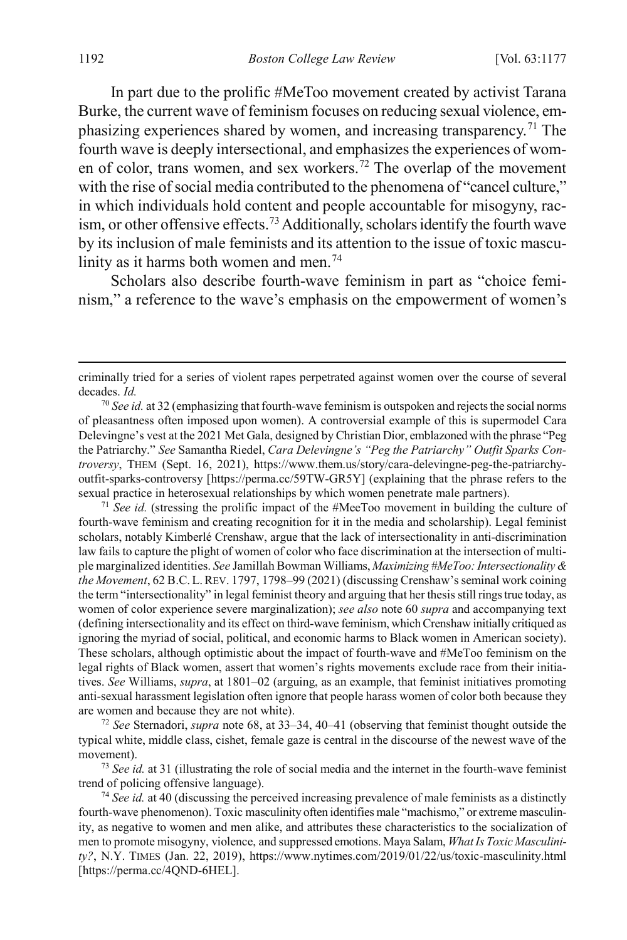In part due to the prolific #MeToo movement created by activist Tarana Burke, the current wave of feminism focuses on reducing sexual violence, emphasizing experiences shared by women, and increasing transparency.<sup>71</sup> The fourth wave is deeply intersectional, and emphasizes the experiences of wom-en of color, trans women, and sex workers.<sup>[72](#page-16-1)</sup> The overlap of the movement with the rise of social media contributed to the phenomena of "cancel culture," in which individuals hold content and people accountable for misogyny, rac-ism, or other offensive effects.<sup>[73](#page-16-2)</sup> Additionally, scholars identify the fourth wave by its inclusion of male feminists and its attention to the issue of toxic mascu-linity as it harms both women and men.<sup>[74](#page-16-3)</sup>

Scholars also describe fourth-wave feminism in part as "choice feminism," a reference to the wave's emphasis on the empowerment of women's

<span id="page-16-1"></span><sup>72</sup> *See* Sternadori, *supra* note [68,](#page-15-8) at 33–34, 40–41 (observing that feminist thought outside the typical white, middle class, cishet, female gaze is central in the discourse of the newest wave of the movement).

<span id="page-16-2"></span><sup>73</sup> *See id.* at 31 (illustrating the role of social media and the internet in the fourth-wave feminist trend of policing offensive language).

criminally tried for a series of violent rapes perpetrated against women over the course of several decades. *Id.*

<sup>70</sup> *See id.* at 32 (emphasizing that fourth-wave feminism is outspoken and rejects the social norms of pleasantness often imposed upon women). A controversial example of this is supermodel Cara Delevingne's vest at the 2021 Met Gala, designed by Christian Dior, emblazoned with the phrase "Peg the Patriarchy." *See* Samantha Riedel, *Cara Delevingne's "Peg the Patriarchy" Outfit Sparks Controversy*, THEM (Sept. 16, 2021), https://www.them.us/story/cara-delevingne-peg-the-patriarchyoutfit-sparks-controversy [https://perma.cc/59TW-GR5Y] (explaining that the phrase refers to the sexual practice in heterosexual relationships by which women penetrate male partners).

<span id="page-16-0"></span><sup>71</sup> *See id.* (stressing the prolific impact of the #MeeToo movement in building the culture of fourth-wave feminism and creating recognition for it in the media and scholarship). Legal feminist scholars, notably Kimberlé Crenshaw, argue that the lack of intersectionality in anti-discrimination law fails to capture the plight of women of color who face discrimination at the intersection of multiple marginalized identities. *See* Jamillah Bowman Williams, *Maximizing #MeToo: Intersectionality & the Movement*, 62 B.C. L.REV. 1797, 1798–99 (2021) (discussing Crenshaw's seminal work coining the term "intersectionality" in legal feminist theory and arguing that her thesis still rings true today, as women of color experience severe marginalization); *see also* not[e 60](#page-14-4) *supra* and accompanying text (defining intersectionality and its effect on third-wave feminism, which Crenshaw initially critiqued as ignoring the myriad of social, political, and economic harms to Black women in American society). These scholars, although optimistic about the impact of fourth-wave and #MeToo feminism on the legal rights of Black women, assert that women's rights movements exclude race from their initiatives. *See* Williams, *supra*, at 1801–02 (arguing, as an example, that feminist initiatives promoting anti-sexual harassment legislation often ignore that people harass women of color both because they are women and because they are not white).

<span id="page-16-3"></span><sup>74</sup> *See id.* at 40 (discussing the perceived increasing prevalence of male feminists as a distinctly fourth-wave phenomenon). Toxic masculinity often identifies male "machismo," or extreme masculinity, as negative to women and men alike, and attributes these characteristics to the socialization of men to promote misogyny, violence, and suppressed emotions. Maya Salam, *What Is Toxic Masculinity?*, N.Y. TIMES (Jan. 22, 2019), https://www.nytimes.com/2019/01/22/us/toxic-masculinity.html [https://perma.cc/4QND-6HEL].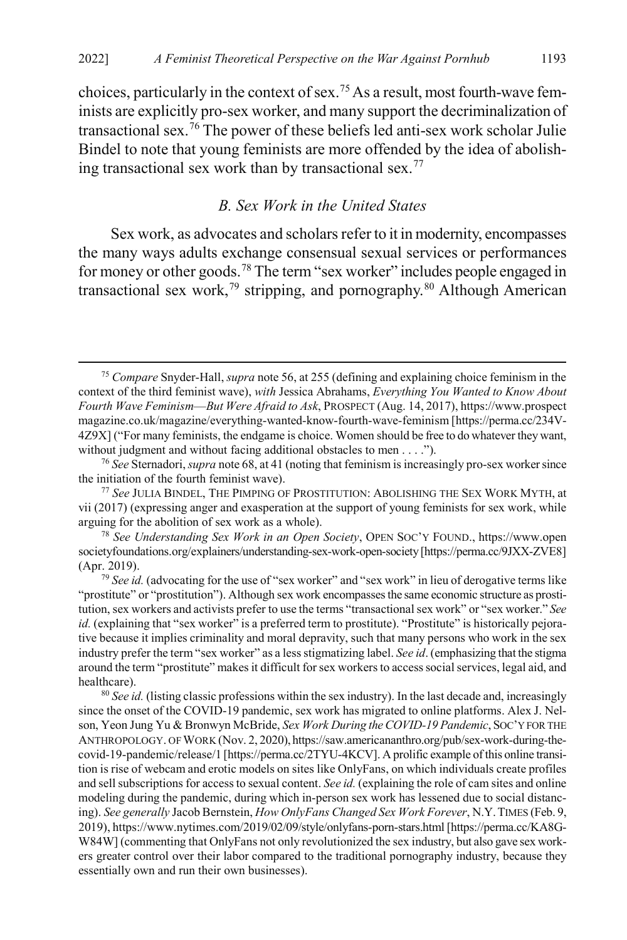choices, particularly in the context of sex.<sup>[75](#page-17-2)</sup> As a result, most fourth-wave feminists are explicitly pro-sex worker, and many support the decriminalization of transactional sex.[76](#page-17-3) The power of these beliefs led anti-sex work scholar Julie Bindel to note that young feminists are more offended by the idea of abolishing transactional sex work than by transactional sex.[77](#page-17-4)

#### <span id="page-17-8"></span><span id="page-17-1"></span><span id="page-17-0"></span>*B. Sex Work in the United States*

Sex work, as advocates and scholars refer to it in modernity, encompasses the many ways adults exchange consensual sexual services or performances for money or other goods.[78](#page-17-5) The term "sex worker" includes people engaged in transactional sex work,<sup>[79](#page-17-6)</sup> stripping, and pornography.<sup>[80](#page-17-7)</sup> Although American

<span id="page-17-7"></span><sup>80</sup> *See id.* (listing classic professions within the sex industry). In the last decade and, increasingly since the onset of the COVID-19 pandemic, sex work has migrated to online platforms. Alex J. Nelson, Yeon Jung Yu & Bronwyn McBride, *Sex Work During the COVID-19 Pandemic*, SOC'Y FOR THE ANTHROPOLOGY. OF WORK (Nov. 2, 2020), https://saw.americananthro.org/pub/sex-work-during-thecovid-19-pandemic/release/1 [https://perma.cc/2TYU-4KCV]. A prolific example of this online transition is rise of webcam and erotic models on sites like OnlyFans, on which individuals create profiles and sell subscriptions for access to sexual content. *See id.* (explaining the role of cam sites and online modeling during the pandemic, during which in-person sex work has lessened due to social distancing). *See generally* Jacob Bernstein, *How OnlyFans Changed Sex Work Forever*, N.Y.TIMES (Feb. 9, 2019), https://www.nytimes.com/2019/02/09/style/onlyfans-porn-stars.html [https://perma.cc/KA8G-W84W] (commenting that OnlyFans not only revolutionized the sex industry, but also gave sex workers greater control over their labor compared to the traditional pornography industry, because they essentially own and run their own businesses).

<span id="page-17-2"></span> <sup>75</sup> *Compare* Snyder-Hall, *supra* not[e 56,](#page-13-5) at 255 (defining and explaining choice feminism in the context of the third feminist wave), *with* Jessica Abrahams, *Everything You Wanted to Know About Fourth Wave Feminism––But Were Afraid to Ask*, PROSPECT (Aug. 14, 2017), https://www.prospect magazine.co.uk/magazine/everything-wanted-know-fourth-wave-feminism [https://perma.cc/234V-4Z9X] ("For many feminists, the endgame is choice. Women should be free to do whatever they want, without judgment and without facing additional obstacles to men . . . .").

<span id="page-17-3"></span><sup>76</sup> *See* Sternadori, *supra* not[e 68,](#page-15-8) at 41 (noting that feminism is increasingly pro-sex worker since the initiation of the fourth feminist wave).

<span id="page-17-4"></span><sup>77</sup> *See* JULIA BINDEL, THE PIMPING OF PROSTITUTION: ABOLISHING THE SEX WORK MYTH, at vii (2017) (expressing anger and exasperation at the support of young feminists for sex work, while arguing for the abolition of sex work as a whole).

<span id="page-17-5"></span><sup>78</sup> *See Understanding Sex Work in an Open Society*, OPEN SOC'Y FOUND., https://www.open societyfoundations.org/explainers/understanding-sex-work-open-society [https://perma.cc/9JXX-ZVE8] (Apr. 2019).

<span id="page-17-6"></span><sup>&</sup>lt;sup>79</sup> See id. (advocating for the use of "sex worker" and "sex work" in lieu of derogative terms like "prostitute" or "prostitution"). Although sex work encompasses the same economic structure as prostitution, sex workers and activists prefer to use the terms "transactional sex work" or "sex worker." *See id.* (explaining that "sex worker" is a preferred term to prostitute). "Prostitute" is historically pejorative because it implies criminality and moral depravity, such that many persons who work in the sex industry prefer the term "sex worker" as a less stigmatizing label. *See id*. (emphasizing that the stigma around the term "prostitute" makes it difficult for sex workers to access social services, legal aid, and healthcare).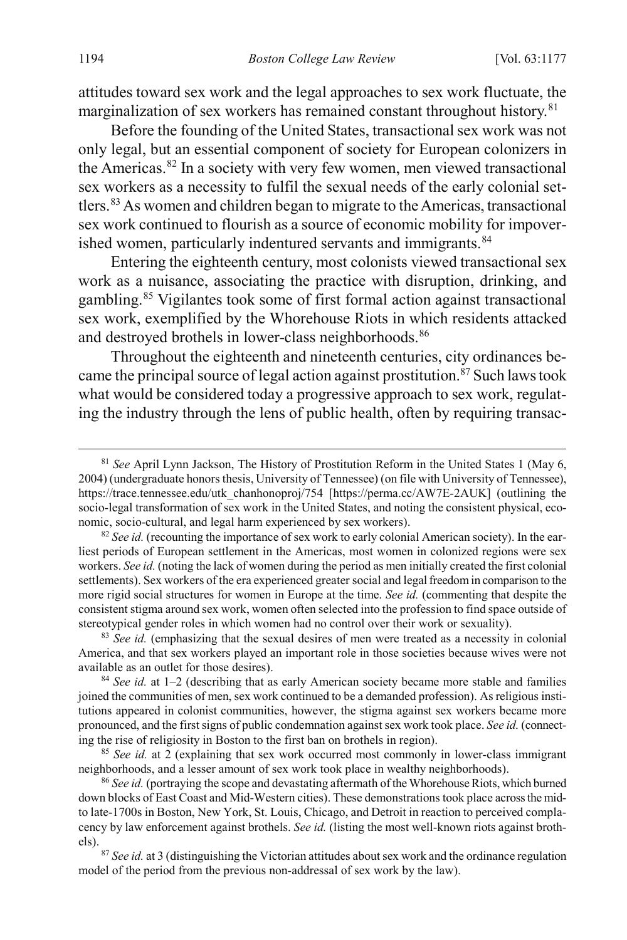<span id="page-18-7"></span>attitudes toward sex work and the legal approaches to sex work fluctuate, the marginalization of sex workers has remained constant throughout history.<sup>[81](#page-18-0)</sup>

Before the founding of the United States, transactional sex work was not only legal, but an essential component of society for European colonizers in the Americas.[82](#page-18-1) In a society with very few women, men viewed transactional sex workers as a necessity to fulfil the sexual needs of the early colonial settlers.[83](#page-18-2)As women and children began to migrate to the Americas, transactional sex work continued to flourish as a source of economic mobility for impover-ished women, particularly indentured servants and immigrants.<sup>[84](#page-18-3)</sup>

Entering the eighteenth century, most colonists viewed transactional sex work as a nuisance, associating the practice with disruption, drinking, and gambling.[85](#page-18-4) Vigilantes took some of first formal action against transactional sex work, exemplified by the Whorehouse Riots in which residents attacked and destroyed brothels in lower-class neighborhoods.<sup>[86](#page-18-5)</sup>

Throughout the eighteenth and nineteenth centuries, city ordinances became the principal source of legal action against prostitution.<sup>87</sup> Such laws took what would be considered today a progressive approach to sex work, regulating the industry through the lens of public health, often by requiring transac-

<span id="page-18-0"></span> <sup>81</sup> *See* April Lynn Jackson, The History of Prostitution Reform in the United States 1 (May 6, 2004) (undergraduate honors thesis, University of Tennessee) (on file with University of Tennessee), https://trace.tennessee.edu/utk\_chanhonoproj/754 [https://perma.cc/AW7E-2AUK] (outlining the socio-legal transformation of sex work in the United States, and noting the consistent physical, economic, socio-cultural, and legal harm experienced by sex workers).

<span id="page-18-1"></span><sup>&</sup>lt;sup>82</sup> *See id.* (recounting the importance of sex work to early colonial American society). In the earliest periods of European settlement in the Americas, most women in colonized regions were sex workers. *See id.* (noting the lack of women during the period as men initially created the first colonial settlements). Sex workers of the era experienced greater social and legal freedom in comparison to the more rigid social structures for women in Europe at the time. *See id.* (commenting that despite the consistent stigma around sex work, women often selected into the profession to find space outside of stereotypical gender roles in which women had no control over their work or sexuality).

<span id="page-18-2"></span><sup>&</sup>lt;sup>83</sup> *See id.* (emphasizing that the sexual desires of men were treated as a necessity in colonial America, and that sex workers played an important role in those societies because wives were not available as an outlet for those desires).

<span id="page-18-3"></span><sup>84</sup> *See id.* at 1–2 (describing that as early American society became more stable and families joined the communities of men, sex work continued to be a demanded profession). As religious institutions appeared in colonist communities, however, the stigma against sex workers became more pronounced, and the first signs of public condemnation against sex work took place. *See id.* (connecting the rise of religiosity in Boston to the first ban on brothels in region).

<span id="page-18-4"></span><sup>&</sup>lt;sup>85</sup> See id. at 2 (explaining that sex work occurred most commonly in lower-class immigrant neighborhoods, and a lesser amount of sex work took place in wealthy neighborhoods).

<span id="page-18-5"></span><sup>86</sup> *See id.* (portraying the scope and devastating aftermath of the Whorehouse Riots, which burned down blocks of East Coast and Mid-Western cities). These demonstrations took place across the midto late-1700s in Boston, New York, St. Louis, Chicago, and Detroit in reaction to perceived complacency by law enforcement against brothels. *See id.* (listing the most well-known riots against brothels).

<span id="page-18-6"></span><sup>87</sup> *See id.* at 3 (distinguishing the Victorian attitudes about sex work and the ordinance regulation model of the period from the previous non-addressal of sex work by the law).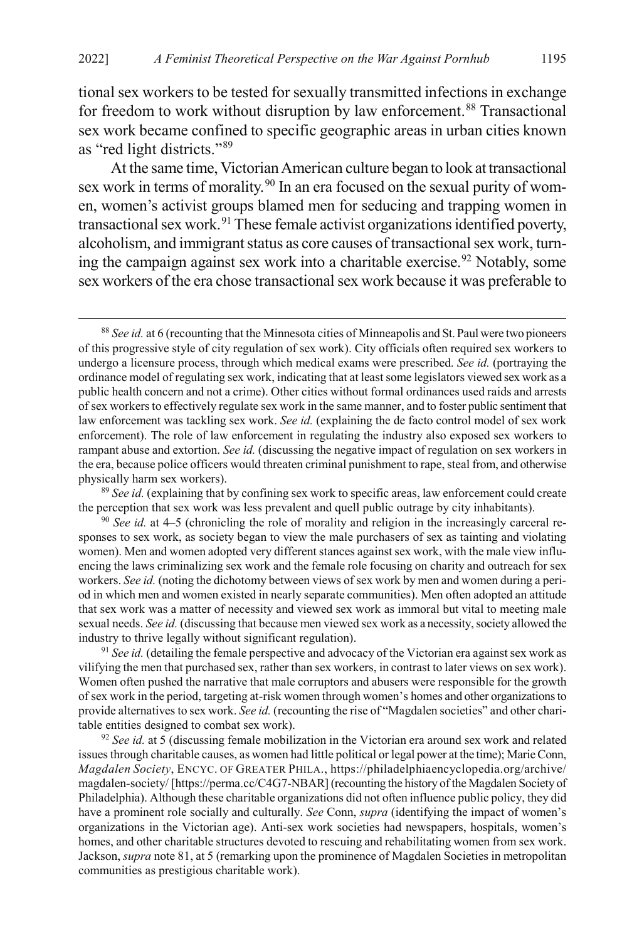tional sex workers to be tested for sexually transmitted infections in exchange for freedom to work without disruption by law enforcement.<sup>[88](#page-19-0)</sup> Transactional sex work became confined to specific geographic areas in urban cities known as "red light districts.["89](#page-19-1)

At the same time, Victorian American culture began to look at transactional sex work in terms of morality.<sup>[90](#page-19-2)</sup> In an era focused on the sexual purity of women, women's activist groups blamed men for seducing and trapping women in transactional sex work.<sup>[91](#page-19-3)</sup> These female activist organizations identified poverty, alcoholism, and immigrant status as core causes of transactional sex work, turn-ing the campaign against sex work into a charitable exercise.<sup>[92](#page-19-4)</sup> Notably, some sex workers of the era chose transactional sex work because it was preferable to

<span id="page-19-1"></span><sup>89</sup> See id. (explaining that by confining sex work to specific areas, law enforcement could create the perception that sex work was less prevalent and quell public outrage by city inhabitants).

<span id="page-19-3"></span><sup>91</sup> See id. (detailing the female perspective and advocacy of the Victorian era against sex work as vilifying the men that purchased sex, rather than sex workers, in contrast to later views on sex work). Women often pushed the narrative that male corruptors and abusers were responsible for the growth of sex work in the period, targeting at-risk women through women's homes and other organizations to provide alternatives to sex work. *See id.* (recounting the rise of "Magdalen societies" and other charitable entities designed to combat sex work).

<span id="page-19-4"></span><sup>92</sup> *See id.* at 5 (discussing female mobilization in the Victorian era around sex work and related issues through charitable causes, as women had little political or legal power at the time); Marie Conn, *Magdalen Society*, ENCYC. OF GREATER PHILA., https://philadelphiaencyclopedia.org/archive/ magdalen-society/ [https://perma.cc/C4G7-NBAR] (recounting the history of the Magdalen Society of Philadelphia). Although these charitable organizations did not often influence public policy, they did have a prominent role socially and culturally. *See* Conn, *supra* (identifying the impact of women's organizations in the Victorian age). Anti-sex work societies had newspapers, hospitals, women's homes, and other charitable structures devoted to rescuing and rehabilitating women from sex work. Jackson, *supra* not[e 81,](#page-18-7) at 5 (remarking upon the prominence of Magdalen Societies in metropolitan communities as prestigious charitable work).

<span id="page-19-0"></span> <sup>88</sup> *See id.* at 6 (recounting that the Minnesota cities of Minneapolis and St. Paul were two pioneers of this progressive style of city regulation of sex work). City officials often required sex workers to undergo a licensure process, through which medical exams were prescribed. *See id.* (portraying the ordinance model of regulating sex work, indicating that at least some legislators viewed sex work as a public health concern and not a crime). Other cities without formal ordinances used raids and arrests of sex workers to effectively regulate sex work in the same manner, and to foster public sentiment that law enforcement was tackling sex work. *See id.* (explaining the de facto control model of sex work enforcement). The role of law enforcement in regulating the industry also exposed sex workers to rampant abuse and extortion. *See id.* (discussing the negative impact of regulation on sex workers in the era, because police officers would threaten criminal punishment to rape, steal from, and otherwise physically harm sex workers).

<span id="page-19-2"></span><sup>90</sup> *See id.* at 4–5 (chronicling the role of morality and religion in the increasingly carceral responses to sex work, as society began to view the male purchasers of sex as tainting and violating women). Men and women adopted very different stances against sex work, with the male view influencing the laws criminalizing sex work and the female role focusing on charity and outreach for sex workers. *See id.* (noting the dichotomy between views of sex work by men and women during a period in which men and women existed in nearly separate communities). Men often adopted an attitude that sex work was a matter of necessity and viewed sex work as immoral but vital to meeting male sexual needs. *See id.* (discussing that because men viewed sex work as a necessity, society allowed the industry to thrive legally without significant regulation).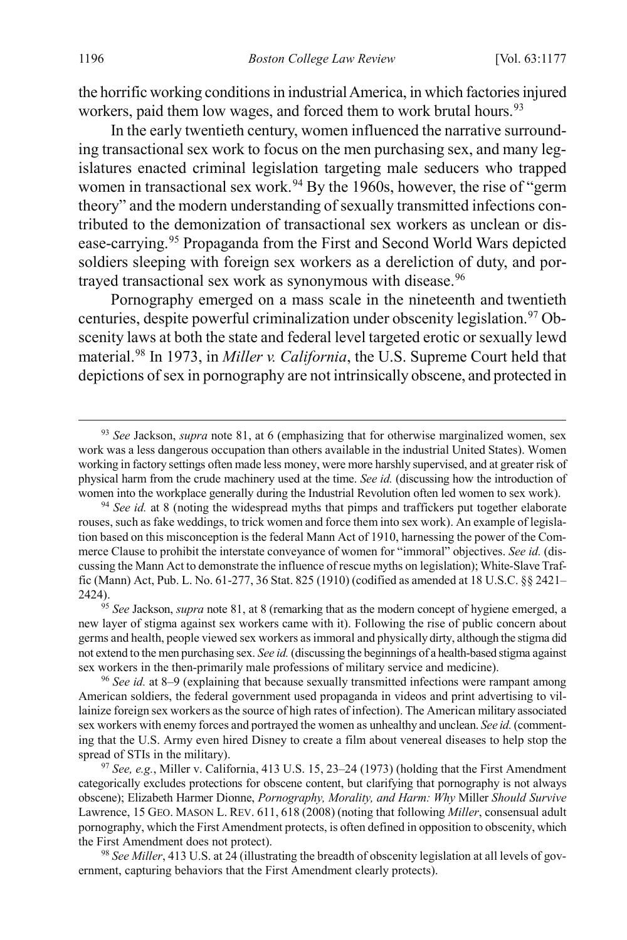the horrific working conditions in industrial America, in which factories injured workers, paid them low wages, and forced them to work brutal hours.<sup>[93](#page-20-0)</sup>

In the early twentieth century, women influenced the narrative surrounding transactional sex work to focus on the men purchasing sex, and many legislatures enacted criminal legislation targeting male seducers who trapped women in transactional sex work.<sup>[94](#page-20-1)</sup> By the 1960s, however, the rise of "germ" theory" and the modern understanding of sexually transmitted infections contributed to the demonization of transactional sex workers as unclean or disease-carrying.[95](#page-20-2) Propaganda from the First and Second World Wars depicted soldiers sleeping with foreign sex workers as a dereliction of duty, and por-trayed transactional sex work as synonymous with disease.<sup>[96](#page-20-3)</sup>

Pornography emerged on a mass scale in the nineteenth and twentieth centuries, despite powerful criminalization under obscenity legislation.<sup>[97](#page-20-4)</sup> Obscenity laws at both the state and federal level targeted erotic or sexually lewd material.[98](#page-20-5) In 1973, in *Miller v. California*, the U.S. Supreme Court held that depictions of sex in pornography are not intrinsically obscene, and protected in

<span id="page-20-0"></span> <sup>93</sup> *See* Jackson, *supra* not[e 81,](#page-18-7) at 6 (emphasizing that for otherwise marginalized women, sex work was a less dangerous occupation than others available in the industrial United States). Women working in factory settings often made less money, were more harshly supervised, and at greater risk of physical harm from the crude machinery used at the time. *See id.* (discussing how the introduction of women into the workplace generally during the Industrial Revolution often led women to sex work).

<span id="page-20-1"></span><sup>&</sup>lt;sup>94</sup> See id. at 8 (noting the widespread myths that pimps and traffickers put together elaborate rouses, such as fake weddings, to trick women and force them into sex work). An example of legislation based on this misconception is the federal Mann Act of 1910, harnessing the power of the Commerce Clause to prohibit the interstate conveyance of women for "immoral" objectives. *See id.* (discussing the Mann Act to demonstrate the influence of rescue myths on legislation); White-Slave Traffic (Mann) Act, Pub. L. No. 61-277, 36 Stat. 825 (1910) (codified as amended at 18 U.S.C. §§ 2421– 2424).

<span id="page-20-2"></span><sup>95</sup> *See* Jackson, *supra* note [81,](#page-18-7) at 8 (remarking that as the modern concept of hygiene emerged, a new layer of stigma against sex workers came with it). Following the rise of public concern about germs and health, people viewed sex workers as immoral and physically dirty, although the stigma did not extend to the men purchasing sex. *See id.* (discussing the beginnings of a health-based stigma against sex workers in the then-primarily male professions of military service and medicine).

<span id="page-20-3"></span><sup>96</sup> *See id.* at 8–9 (explaining that because sexually transmitted infections were rampant among American soldiers, the federal government used propaganda in videos and print advertising to villainize foreign sex workers as the source of high rates of infection). The American military associated sex workers with enemy forces and portrayed the women as unhealthy and unclean. *See id.*(commenting that the U.S. Army even hired Disney to create a film about venereal diseases to help stop the spread of STIs in the military).

<span id="page-20-4"></span><sup>97</sup> *See, e.g.*, Miller v. California, 413 U.S. 15, 23–24 (1973) (holding that the First Amendment categorically excludes protections for obscene content, but clarifying that pornography is not always obscene); Elizabeth Harmer Dionne, *Pornography, Morality, and Harm: Why* Miller *Should Survive*  Lawrence, 15 GEO. MASON L. REV. 611, 618 (2008) (noting that following *Miller*, consensual adult pornography, which the First Amendment protects, is often defined in opposition to obscenity, which the First Amendment does not protect).

<span id="page-20-5"></span><sup>98</sup> *See Miller*, 413 U.S. at 24 (illustrating the breadth of obscenity legislation at all levels of government, capturing behaviors that the First Amendment clearly protects).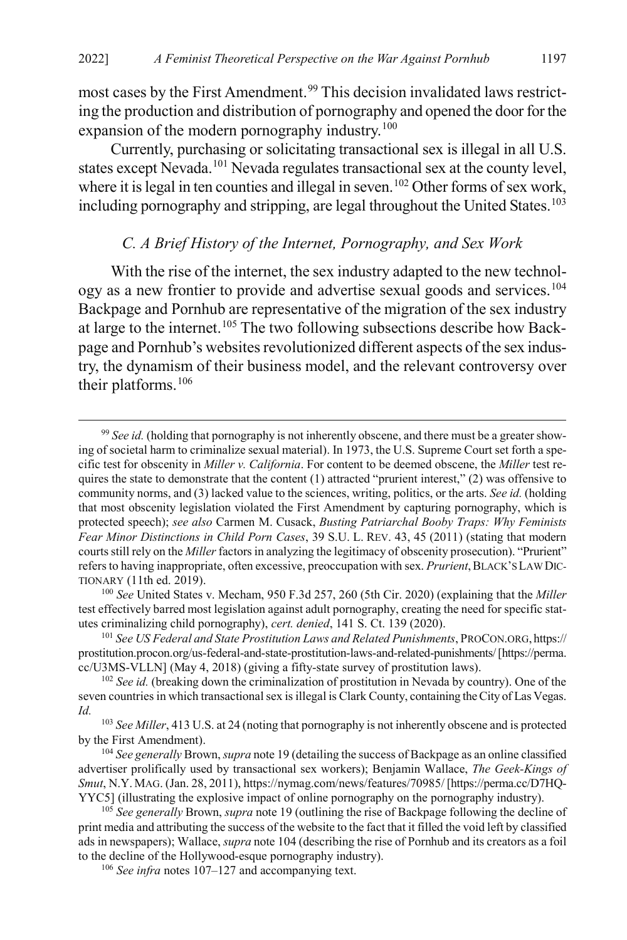most cases by the First Amendment.<sup>[99](#page-21-2)</sup> This decision invalidated laws restricting the production and distribution of pornography and opened the door for the expansion of the modern pornography industry.<sup>[100](#page-21-3)</sup>

Currently, purchasing or solicitating transactional sex is illegal in all U.S. states except Nevada.[101](#page-21-4) Nevada regulates transactional sex at the county level, where it is legal in ten counties and illegal in seven.<sup>102</sup> Other forms of sex work, including pornography and stripping, are legal throughout the United States.<sup>[103](#page-21-6)</sup>

#### <span id="page-21-10"></span><span id="page-21-1"></span><span id="page-21-0"></span>*C. A Brief History of the Internet, Pornography, and Sex Work*

With the rise of the internet, the sex industry adapted to the new technol-ogy as a new frontier to provide and advertise sexual goods and services.<sup>[104](#page-21-7)</sup> Backpage and Pornhub are representative of the migration of the sex industry at large to the internet.<sup>[105](#page-21-8)</sup> The two following subsections describe how Backpage and Pornhub's websites revolutionized different aspects of the sex industry, the dynamism of their business model, and the relevant controversy over their platforms.<sup>[106](#page-21-9)</sup>

<span id="page-21-3"></span><sup>100</sup> *See* United States v. Mecham, 950 F.3d 257, 260 (5th Cir. 2020) (explaining that the *Miller*  test effectively barred most legislation against adult pornography, creating the need for specific statutes criminalizing child pornography), *cert. denied*, 141 S. Ct. 139 (2020).

<span id="page-21-2"></span><sup>&</sup>lt;sup>99</sup> See id. (holding that pornography is not inherently obscene, and there must be a greater showing of societal harm to criminalize sexual material). In 1973, the U.S. Supreme Court set forth a specific test for obscenity in *Miller v. California*. For content to be deemed obscene, the *Miller* test requires the state to demonstrate that the content  $(1)$  attracted "prurient interest,"  $(2)$  was offensive to community norms, and (3) lacked value to the sciences, writing, politics, or the arts. *See id.* (holding that most obscenity legislation violated the First Amendment by capturing pornography, which is protected speech); *see also* Carmen M. Cusack, *Busting Patriarchal Booby Traps: Why Feminists Fear Minor Distinctions in Child Porn Cases*, 39 S.U. L. REV. 43, 45 (2011) (stating that modern courts still rely on the *Miller*factors in analyzing the legitimacy of obscenity prosecution). "Prurient" refers to having inappropriate, often excessive, preoccupation with sex. *Prurient*, BLACK'S LAW DIC-TIONARY (11th ed. 2019).

<span id="page-21-4"></span><sup>101</sup> *See US Federal and State Prostitution Laws and Related Punishments*, PROCON.ORG, https:// prostitution.procon.org/us-federal-and-state-prostitution-laws-and-related-punishments/ [https://perma. cc/U3MS-VLLN] (May 4, 2018) (giving a fifty-state survey of prostitution laws).

<span id="page-21-5"></span><sup>&</sup>lt;sup>102</sup> *See id.* (breaking down the criminalization of prostitution in Nevada by country). One of the seven countries in which transactional sex is illegal is Clark County, containing the City of Las Vegas. *Id.*

<span id="page-21-6"></span><sup>103</sup> *See Miller*, 413 U.S. at 24 (noting that pornography is not inherently obscene and is protected by the First Amendment).

<span id="page-21-7"></span><sup>104</sup> *See generally* Brown, *supra* not[e 19](#page-6-5) (detailing the success of Backpage as an online classified advertiser prolifically used by transactional sex workers); Benjamin Wallace, *The Geek-Kings of Smut*, N.Y. MAG. (Jan. 28, 2011), https://nymag.com/news/features/70985/ [https://perma.cc/D7HQ-YYC5] (illustrating the explosive impact of online pornography on the pornography industry).

<span id="page-21-9"></span><span id="page-21-8"></span><sup>105</sup> *See generally* Brown, *supra* not[e 19](#page-6-5) (outlining the rise of Backpage following the decline of print media and attributing the success of the website to the fact that it filled the void left by classified ads in newspapers); Wallace, *supra* not[e 104](#page-21-1) (describing the rise of Pornhub and its creators as a foil to the decline of the Hollywood-esque pornography industry).

<sup>106</sup> *See infra* notes [107–](#page-22-0)[127](#page-24-0) and accompanying text.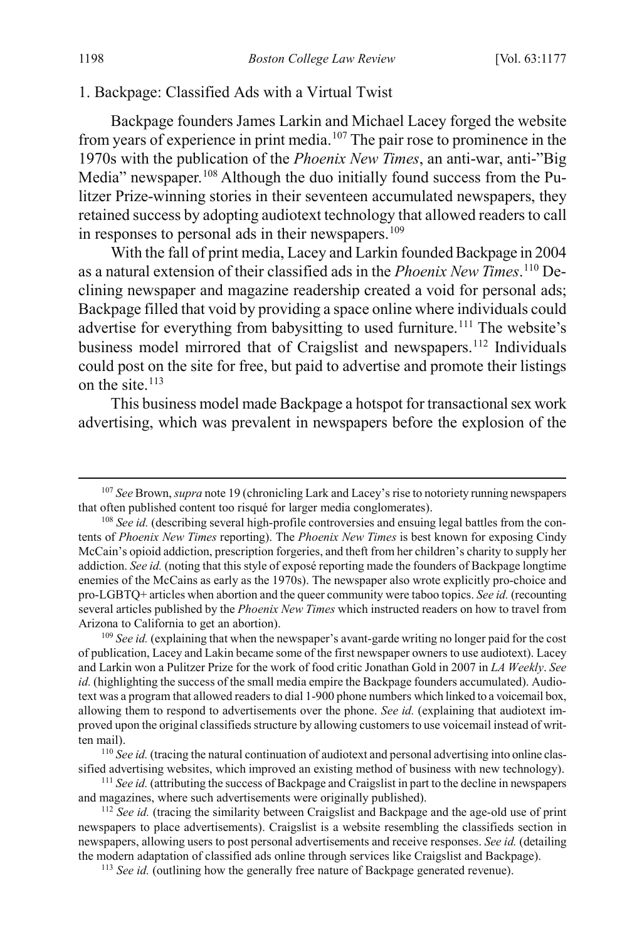#### 1. Backpage: Classified Ads with a Virtual Twist

<span id="page-22-0"></span>Backpage founders James Larkin and Michael Lacey forged the website from years of experience in print media.[107](#page-22-1) The pair rose to prominence in the 1970s with the publication of the *Phoenix New Times*, an anti-war, anti-"Big Media" newspaper.<sup>[108](#page-22-2)</sup> Although the duo initially found success from the Pulitzer Prize-winning stories in their seventeen accumulated newspapers, they retained success by adopting audiotext technology that allowed readers to call in responses to personal ads in their newspapers.<sup>[109](#page-22-3)</sup>

With the fall of print media, Lacey and Larkin founded Backpage in 2004 as a natural extension of their classified ads in the *Phoenix New Times*. [110](#page-22-4) Declining newspaper and magazine readership created a void for personal ads; Backpage filled that void by providing a space online where individuals could advertise for everything from babysitting to used furniture.<sup>[111](#page-22-5)</sup> The website's business model mirrored that of Craigslist and newspapers.<sup>[112](#page-22-6)</sup> Individuals could post on the site for free, but paid to advertise and promote their listings on the site  $^{113}$ 

This business model made Backpage a hotspot for transactional sex work advertising, which was prevalent in newspapers before the explosion of the

<span id="page-22-1"></span> <sup>107</sup> *See* Brown, *supra* not[e 19](#page-6-5) (chronicling Lark and Lacey's rise to notoriety running newspapers that often published content too risqué for larger media conglomerates).

<span id="page-22-2"></span><sup>&</sup>lt;sup>108</sup> *See id.* (describing several high-profile controversies and ensuing legal battles from the contents of *Phoenix New Times* reporting). The *Phoenix New Times* is best known for exposing Cindy McCain's opioid addiction, prescription forgeries, and theft from her children's charity to supply her addiction. *See id.* (noting that this style of exposé reporting made the founders of Backpage longtime enemies of the McCains as early as the 1970s). The newspaper also wrote explicitly pro-choice and pro-LGBTQ+ articles when abortion and the queer community were taboo topics. *See id.* (recounting several articles published by the *Phoenix New Times* which instructed readers on how to travel from Arizona to California to get an abortion).

<span id="page-22-3"></span><sup>&</sup>lt;sup>109</sup> See id. (explaining that when the newspaper's avant-garde writing no longer paid for the cost of publication, Lacey and Lakin became some of the first newspaper owners to use audiotext). Lacey and Larkin won a Pulitzer Prize for the work of food critic Jonathan Gold in 2007 in *LA Weekly*. *See id.* (highlighting the success of the small media empire the Backpage founders accumulated). Audiotext was a program that allowed readers to dial 1-900 phone numbers which linked to a voicemail box, allowing them to respond to advertisements over the phone. *See id.* (explaining that audiotext improved upon the original classifieds structure by allowing customers to use voicemail instead of written mail).

<span id="page-22-4"></span><sup>110</sup> *See id.* (tracing the natural continuation of audiotext and personal advertising into online classified advertising websites, which improved an existing method of business with new technology).

<span id="page-22-5"></span><sup>111</sup> *See id.* (attributing the success of Backpage and Craigslist in part to the decline in newspapers and magazines, where such advertisements were originally published).

<span id="page-22-7"></span><span id="page-22-6"></span><sup>&</sup>lt;sup>112</sup> *See id.* (tracing the similarity between Craigslist and Backpage and the age-old use of print newspapers to place advertisements). Craigslist is a website resembling the classifieds section in newspapers, allowing users to post personal advertisements and receive responses. *See id.* (detailing the modern adaptation of classified ads online through services like Craigslist and Backpage).

<sup>&</sup>lt;sup>113</sup> *See id.* (outlining how the generally free nature of Backpage generated revenue).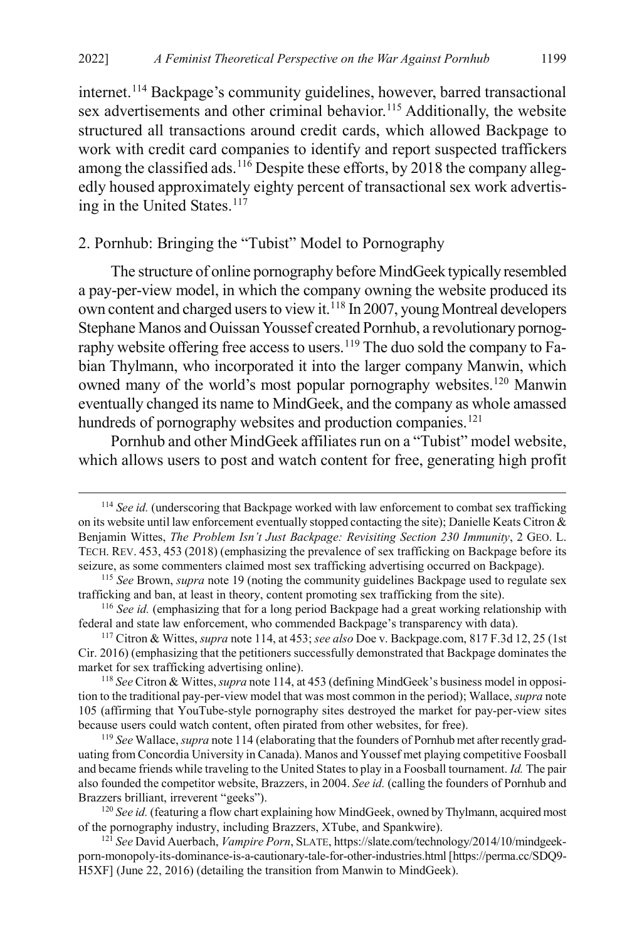<span id="page-23-0"></span>internet.<sup>[114](#page-23-1)</sup> Backpage's community guidelines, however, barred transactional sex advertisements and other criminal behavior.<sup>115</sup> Additionally, the website structured all transactions around credit cards, which allowed Backpage to work with credit card companies to identify and report suspected traffickers among the classified ads.<sup>[116](#page-23-3)</sup> Despite these efforts, by 2018 the company allegedly housed approximately eighty percent of transactional sex work advertis-ing in the United States.<sup>[117](#page-23-4)</sup>

## 2. Pornhub: Bringing the "Tubist" Model to Pornography

The structure of online pornography before MindGeek typically resembled a pay-per-view model, in which the company owning the website produced its own content and charged users to view it.<sup>[118](#page-23-5)</sup> In 2007, young Montreal developers Stephane Manos and Ouissan Youssef created Pornhub, a revolutionary pornography website offering free access to users.<sup>119</sup> The duo sold the company to Fabian Thylmann, who incorporated it into the larger company Manwin, which owned many of the world's most popular pornography websites.<sup>[120](#page-23-7)</sup> Manwin eventually changed its name to MindGeek, and the company as whole amassed hundreds of pornography websites and production companies.<sup>[121](#page-23-8)</sup>

<span id="page-23-9"></span>Pornhub and other MindGeek affiliates run on a "Tubist" model website, which allows users to post and watch content for free, generating high profit

<span id="page-23-1"></span> <sup>114</sup> *See id.* (underscoring that Backpage worked with law enforcement to combat sex trafficking on its website until law enforcement eventually stopped contacting the site); Danielle Keats Citron & Benjamin Wittes, *The Problem Isn't Just Backpage: Revisiting Section 230 Immunity*, 2 GEO. L. TECH. REV. 453, 453 (2018) (emphasizing the prevalence of sex trafficking on Backpage before its seizure, as some commenters claimed most sex trafficking advertising occurred on Backpage).

<span id="page-23-2"></span><sup>115</sup> *See* Brown, *supra* not[e 19](#page-6-5) (noting the community guidelines Backpage used to regulate sex trafficking and ban, at least in theory, content promoting sex trafficking from the site).

<span id="page-23-3"></span><sup>116</sup> *See id.* (emphasizing that for a long period Backpage had a great working relationship with federal and state law enforcement, who commended Backpage's transparency with data).

<span id="page-23-4"></span><sup>117</sup> Citron & Wittes, *supra* not[e 114,](#page-23-0) at 453; *see also* Doe v. Backpage.com, 817 F.3d 12, 25 (1st Cir. 2016) (emphasizing that the petitioners successfully demonstrated that Backpage dominates the market for sex trafficking advertising online).

<span id="page-23-5"></span><sup>118</sup> *See* Citron & Wittes, *supra* not[e 114,](#page-23-0) at 453 (defining MindGeek's business model in opposition to the traditional pay-per-view model that was most common in the period); Wallace, *supra* note [105](#page-21-10) (affirming that YouTube-style pornography sites destroyed the market for pay-per-view sites because users could watch content, often pirated from other websites, for free).

<span id="page-23-6"></span><sup>119</sup> *See* Wallace, *supra* not[e 114](#page-23-0) (elaborating that the founders of Pornhub met after recently graduating from Concordia University in Canada). Manos and Youssef met playing competitive Foosball and became friends while traveling to the United States to play in a Foosball tournament. *Id.* The pair also founded the competitor website, Brazzers, in 2004. *See id.* (calling the founders of Pornhub and Brazzers brilliant, irreverent "geeks").

<span id="page-23-7"></span><sup>&</sup>lt;sup>120</sup> See id. (featuring a flow chart explaining how MindGeek, owned by Thylmann, acquired most of the pornography industry, including Brazzers, XTube, and Spankwire).

<span id="page-23-8"></span><sup>121</sup> *See* David Auerbach, *Vampire Porn*, SLATE, https://slate.com/technology/2014/10/mindgeekporn-monopoly-its-dominance-is-a-cautionary-tale-for-other-industries.html [https://perma.cc/SDQ9- H5XF] (June 22, 2016) (detailing the transition from Manwin to MindGeek).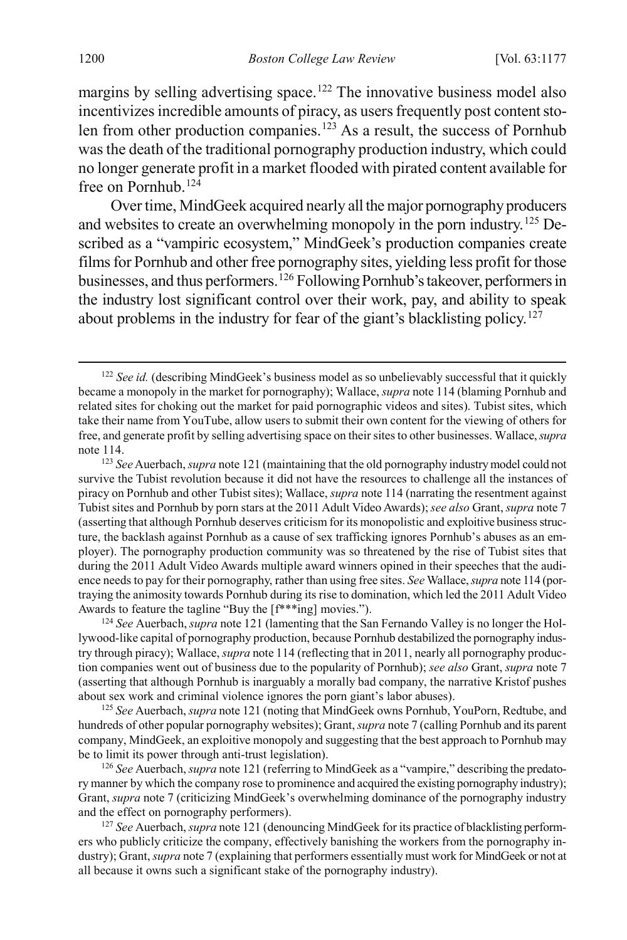margins by selling advertising space.<sup>[122](#page-24-1)</sup> The innovative business model also incentivizes incredible amounts of piracy, as users frequently post content sto-len from other production companies.<sup>[123](#page-24-2)</sup> As a result, the success of Pornhub was the death of the traditional pornography production industry, which could no longer generate profit in a market flooded with pirated content available for free on Pornhub.<sup>[124](#page-24-3)</sup>

Over time, MindGeek acquired nearly all the major pornography producers and websites to create an overwhelming monopoly in the porn industry.[125](#page-24-4) Described as a "vampiric ecosystem," MindGeek's production companies create films for Pornhub and other free pornography sites, yielding less profit for those businesses, and thus performers.[126](#page-24-5) Following Pornhub's takeover, performers in the industry lost significant control over their work, pay, and ability to speak about problems in the industry for fear of the giant's blacklisting policy.<sup>127</sup>

<span id="page-24-1"></span><span id="page-24-0"></span><sup>&</sup>lt;sup>122</sup> See id. (describing MindGeek's business model as so unbelievably successful that it quickly became a monopoly in the market for pornography); Wallace, *supra* not[e 114](#page-23-0) (blaming Pornhub and related sites for choking out the market for paid pornographic videos and sites). Tubist sites, which take their name from YouTube, allow users to submit their own content for the viewing of others for free, and generate profit by selling advertising space on their sites to other businesses. Wallace, *supra* note [114.](#page-23-0)

<span id="page-24-2"></span><sup>123</sup> *See* Auerbach, *supra* not[e 121](#page-23-9) (maintaining that the old pornography industry model could not survive the Tubist revolution because it did not have the resources to challenge all the instances of piracy on Pornhub and other Tubist sites); Wallace, *supra* not[e 114](#page-23-0) (narrating the resentment against Tubist sites and Pornhub by porn stars at the 2011 Adult Video Awards); *see also* Grant, *supra* not[e 7](#page-3-3) (asserting that although Pornhub deserves criticism for its monopolistic and exploitive business structure, the backlash against Pornhub as a cause of sex trafficking ignores Pornhub's abuses as an employer). The pornography production community was so threatened by the rise of Tubist sites that during the 2011 Adult Video Awards multiple award winners opined in their speeches that the audience needs to pay for their pornography, rather than using free sites. *See* Wallace, *supra* not[e 114](#page-23-0) (portraying the animosity towards Pornhub during its rise to domination, which led the 2011 Adult Video Awards to feature the tagline "Buy the [f\*\*\*ing] movies.").

<span id="page-24-3"></span><sup>124</sup> *See* Auerbach, *supra* not[e 121](#page-23-9) (lamenting that the San Fernando Valley is no longer the Hollywood-like capital of pornography production, because Pornhub destabilized the pornography industry through piracy); Wallace, *supra* not[e 114](#page-23-0) (reflecting that in 2011, nearly all pornography production companies went out of business due to the popularity of Pornhub); *see also* Grant, *supra* not[e 7](#page-3-3) (asserting that although Pornhub is inarguably a morally bad company, the narrative Kristof pushes about sex work and criminal violence ignores the porn giant's labor abuses).

<span id="page-24-4"></span><sup>125</sup> *See* Auerbach, *supra* not[e 121](#page-23-9) (noting that MindGeek owns Pornhub, YouPorn, Redtube, and hundreds of other popular pornography websites); Grant, *supra* not[e 7](#page-3-3) (calling Pornhub and its parent company, MindGeek, an exploitive monopoly and suggesting that the best approach to Pornhub may be to limit its power through anti-trust legislation).

<span id="page-24-5"></span><sup>126</sup> *See* Auerbach, *supra* not[e 121](#page-23-9) (referring to MindGeek as a "vampire," describing the predatory manner by which the company rose to prominence and acquired the existing pornography industry); Grant, *supra* not[e 7](#page-3-3) (criticizing MindGeek's overwhelming dominance of the pornography industry and the effect on pornography performers).

<span id="page-24-6"></span><sup>127</sup> *See* Auerbach, *supra* not[e 121](#page-23-9) (denouncing MindGeek for its practice of blacklisting performers who publicly criticize the company, effectively banishing the workers from the pornography industry); Grant, *supra* not[e 7](#page-3-3) (explaining that performers essentially must work for MindGeek or not at all because it owns such a significant stake of the pornography industry).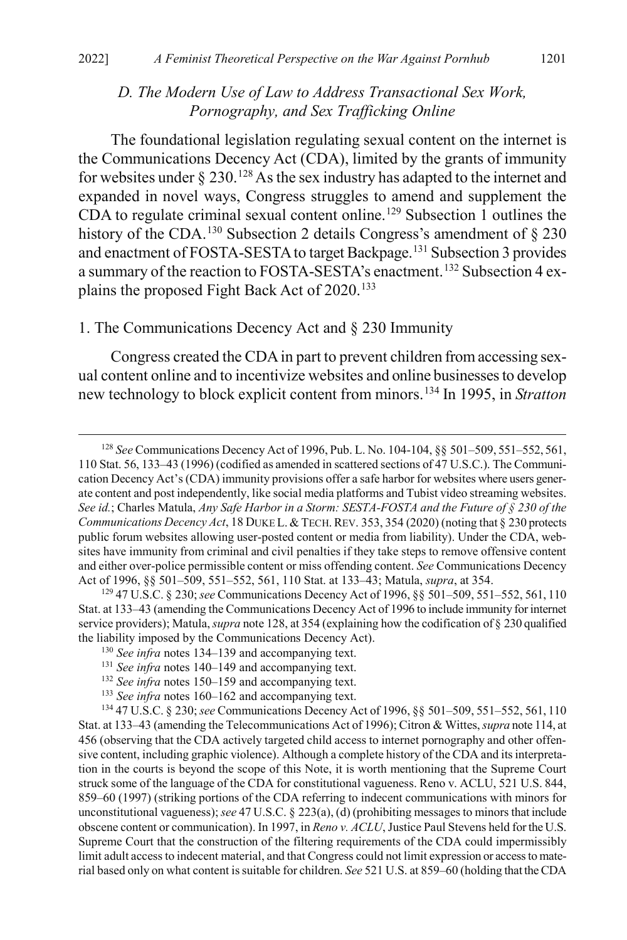## <span id="page-25-0"></span>*D. The Modern Use of Law to Address Transactional Sex Work, Pornography, and Sex Trafficking Online*

The foundational legislation regulating sexual content on the internet is the Communications Decency Act (CDA), limited by the grants of immunity for websites under  $\S 230$ .<sup>[128](#page-25-2)</sup> As the sex industry has adapted to the internet and expanded in novel ways, Congress struggles to amend and supplement the CDA to regulate criminal sexual content online.[129](#page-25-3) Subsection 1 outlines the history of the CDA.<sup>[130](#page-25-4)</sup> Subsection 2 details Congress's amendment of  $\S$  230 and enactment of FOSTA-SESTA to target Backpage.[131](#page-25-5) Subsection 3 provides a summary of the reaction to FOSTA-SESTA's enactment.[132](#page-25-6) Subsection 4 ex-plains the proposed Fight Back Act of 2020.<sup>[133](#page-25-7)</sup>

#### 1. The Communications Decency Act and § 230 Immunity

<span id="page-25-1"></span>Congress created the CDA in part to prevent children from accessing sexual content online and to incentivize websites and online businesses to develop new technology to block explicit content from minors.[134](#page-25-8) In 1995, in *Stratton* 

<span id="page-25-2"></span> <sup>128</sup> *See* Communications Decency Act of 1996, Pub. L. No. 104-104, §§ 501–509, 551–552, 561, 110 Stat. 56, 133–43 (1996) (codified as amended in scattered sections of 47 U.S.C.). The Communication Decency Act's (CDA) immunity provisions offer a safe harbor for websites where users generate content and post independently, like social media platforms and Tubist video streaming websites. *See id.*; Charles Matula, *Any Safe Harbor in a Storm: SESTA-FOSTA and the Future of § 230 of the Communications Decency Act*, 18 DUKE L. & TECH. REV. 353, 354 (2020) (noting that § 230 protects public forum websites allowing user-posted content or media from liability). Under the CDA, websites have immunity from criminal and civil penalties if they take steps to remove offensive content and either over-police permissible content or miss offending content. *See* Communications Decency Act of 1996, §§ 501–509, 551–552, 561, 110 Stat. at 133–43; Matula, *supra*, at 354.

<span id="page-25-4"></span><span id="page-25-3"></span><sup>129</sup> 47 U.S.C. § 230; *see* Communications Decency Act of 1996, §§ 501–509, 551–552, 561, 110 Stat. at 133–43 (amending the Communications Decency Act of 1996 to include immunity for internet service providers); Matula, *supra* not[e 128,](#page-25-0) at 354 (explaining how the codification of § 230 qualified the liability imposed by the Communications Decency Act).

<sup>130</sup> *See infra* notes [134–](#page-25-1)[139](#page-27-0) and accompanying text.

<sup>131</sup> *See infra* notes [140–](#page-27-1)[149](#page-28-0) and accompanying text.

<sup>132</sup> *See infra* notes [150–](#page-29-0)[159](#page-30-0) and accompanying text.

<sup>133</sup> *See infra* notes [160–](#page-30-1)[162](#page-31-0) and accompanying text.

<span id="page-25-8"></span><span id="page-25-7"></span><span id="page-25-6"></span><span id="page-25-5"></span><sup>134</sup> 47 U.S.C. § 230; *see* Communications Decency Act of 1996, §§ 501–509, 551–552, 561, 110 Stat. at 133–43 (amending the Telecommunications Act of 1996); Citron & Wittes, *supra* not[e 114,](#page-23-0) at 456 (observing that the CDA actively targeted child access to internet pornography and other offensive content, including graphic violence). Although a complete history of the CDA and its interpretation in the courts is beyond the scope of this Note, it is worth mentioning that the Supreme Court struck some of the language of the CDA for constitutional vagueness. Reno v. ACLU, 521 U.S. 844, 859–60 (1997) (striking portions of the CDA referring to indecent communications with minors for unconstitutional vagueness); *see* 47 U.S.C. § 223(a), (d) (prohibiting messages to minors that include obscene content or communication). In 1997, in *Reno v. ACLU*, Justice Paul Stevens held for the U.S. Supreme Court that the construction of the filtering requirements of the CDA could impermissibly limit adult access to indecent material, and that Congress could not limit expression or access to material based only on what content issuitable for children. *See* 521 U.S. at 859–60 (holding that the CDA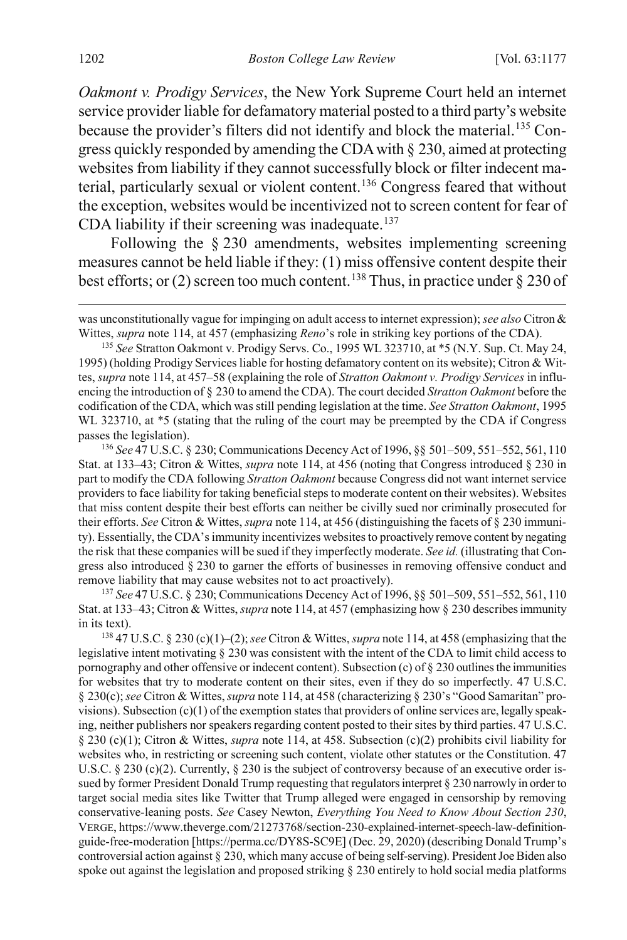*Oakmont v. Prodigy Services*, the New York Supreme Court held an internet service provider liable for defamatory material posted to a third party's website because the provider's filters did not identify and block the material.<sup>[135](#page-26-0)</sup> Congress quickly responded by amending the CDA with § 230, aimed at protecting websites from liability if they cannot successfully block or filter indecent material, particularly sexual or violent content.[136](#page-26-1) Congress feared that without the exception, websites would be incentivized not to screen content for fear of CDA liability if their screening was inadequate.<sup>137</sup>

Following the § 230 amendments, websites implementing screening measures cannot be held liable if they: (1) miss offensive content despite their best efforts; or (2) screen too much content.<sup>[138](#page-26-3)</sup> Thus, in practice under  $\S 230$  of

<span id="page-26-0"></span><sup>135</sup> *See* Stratton Oakmont v. Prodigy Servs. Co., 1995 WL 323710, at \*5 (N.Y. Sup. Ct. May 24, 1995) (holding Prodigy Services liable for hosting defamatory content on its website); Citron & Wittes, *supra* not[e 114,](#page-23-0) at 457–58 (explaining the role of *Stratton Oakmont v. Prodigy Services* in influencing the introduction of § 230 to amend the CDA). The court decided *Stratton Oakmont* before the codification of the CDA, which was still pending legislation at the time. *See Stratton Oakmont*, 1995 WL 323710, at  $*5$  (stating that the ruling of the court may be preempted by the CDA if Congress passes the legislation).

<span id="page-26-1"></span><sup>136</sup> *See* 47 U.S.C. § 230; Communications Decency Act of 1996, §§ 501–509, 551–552, 561, 110 Stat. at 133–43; Citron & Wittes, *supra* not[e 114,](#page-23-0) at 456 (noting that Congress introduced § 230 in part to modify the CDA following *Stratton Oakmont* because Congress did not want internet service providers to face liability for taking beneficial steps to moderate content on their websites). Websites that miss content despite their best efforts can neither be civilly sued nor criminally prosecuted for their efforts. *See* Citron & Wittes, *supra* not[e 114,](#page-23-0) at 456 (distinguishing the facets of § 230 immunity). Essentially, the CDA's immunity incentivizes websites to proactively remove content by negating the risk that these companies will be sued if they imperfectly moderate. *See id.* (illustrating that Congress also introduced § 230 to garner the efforts of businesses in removing offensive conduct and remove liability that may cause websites not to act proactively).

<span id="page-26-2"></span><sup>137</sup> *See* 47 U.S.C. § 230; Communications Decency Act of 1996, §§ 501–509, 551–552, 561, 110 Stat. at 133–43; Citron & Wittes, *supra* not[e 114,](#page-23-0) at 457 (emphasizing how § 230 describes immunity in its text).

<span id="page-26-3"></span><sup>138</sup> 47 U.S.C. § 230 (c)(1)–(2); *see* Citron & Wittes, *supra* not[e 114,](#page-23-0) at 458 (emphasizing that the legislative intent motivating § 230 was consistent with the intent of the CDA to limit child access to pornography and other offensive or indecent content). Subsection (c) of  $\S 230$  outlines the immunities for websites that try to moderate content on their sites, even if they do so imperfectly. 47 U.S.C. § 230(c); *see* Citron & Wittes, *supra* not[e 114,](#page-23-0) at 458 (characterizing § 230's "Good Samaritan" provisions). Subsection  $(c)(1)$  of the exemption states that providers of online services are, legally speaking, neither publishers nor speakers regarding content posted to their sites by third parties. 47 U.S.C. § 230 (c)(1); Citron & Wittes, *supra* not[e 114,](#page-23-0) at 458. Subsection (c)(2) prohibits civil liability for websites who, in restricting or screening such content, violate other statutes or the Constitution. 47 U.S.C.  $\S$  230 (c)(2). Currently,  $\S$  230 is the subject of controversy because of an executive order issued by former President Donald Trump requesting that regulators interpret § 230 narrowly in order to target social media sites like Twitter that Trump alleged were engaged in censorship by removing conservative-leaning posts. *See* Casey Newton, *Everything You Need to Know About Section 230*, VERGE, https://www.theverge.com/21273768/section-230-explained-internet-speech-law-definitionguide-free-moderation [https://perma.cc/DY8S-SC9E] (Dec. 29, 2020) (describing Donald Trump's controversial action against § 230, which many accuse of being self-serving). President Joe Biden also spoke out against the legislation and proposed striking § 230 entirely to hold social media platforms

was unconstitutionally vague for impinging on adult access to internet expression); *see also* Citron & Wittes, *supra* not[e 114,](#page-23-0) at 457 (emphasizing *Reno*'s role in striking key portions of the CDA).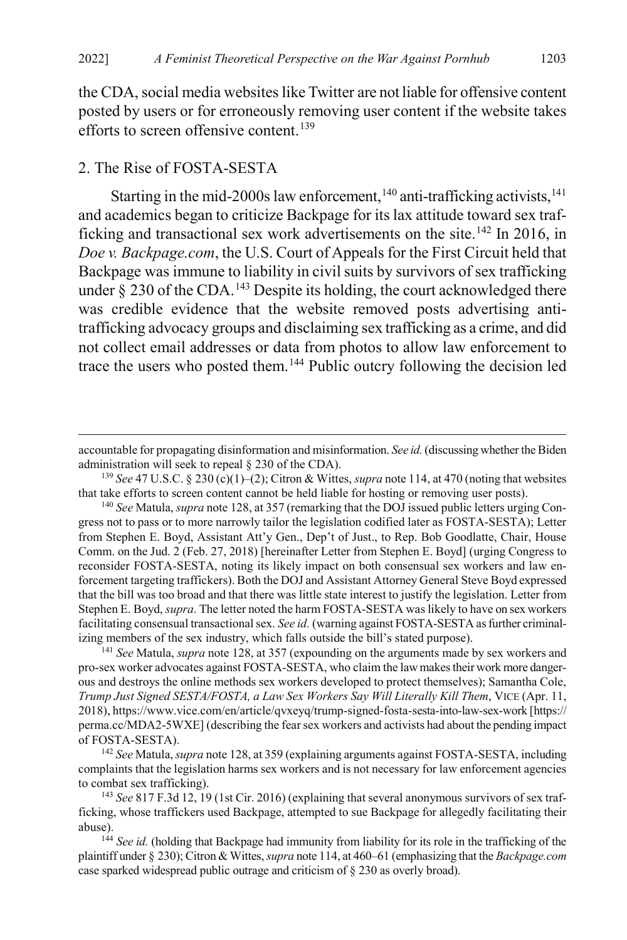<span id="page-27-0"></span>the CDA, social media websites like Twitter are not liable for offensive content posted by users or for erroneously removing user content if the website takes efforts to screen offensive content.<sup>[139](#page-27-2)</sup>

#### 2. The Rise of FOSTA-SESTA

<span id="page-27-8"></span><span id="page-27-1"></span>Starting in the mid-2000s law enforcement,  $140$  anti-trafficking activists,  $141$ and academics began to criticize Backpage for its lax attitude toward sex traf-ficking and transactional sex work advertisements on the site.<sup>[142](#page-27-5)</sup> In 2016, in *Doe v. Backpage.com*, the U.S. Court of Appeals for the First Circuit held that Backpage was immune to liability in civil suits by survivors of sex trafficking under  $\S$  230 of the CDA.<sup>[143](#page-27-6)</sup> Despite its holding, the court acknowledged there was credible evidence that the website removed posts advertising antitrafficking advocacy groups and disclaiming sex trafficking as a crime, and did not collect email addresses or data from photos to allow law enforcement to trace the users who posted them.[144](#page-27-7) Public outcry following the decision led

<span id="page-27-4"></span><sup>141</sup> *See* Matula, *supra* note [128,](#page-25-0) at 357 (expounding on the arguments made by sex workers and pro-sex worker advocates against FOSTA-SESTA, who claim the law makes their work more dangerous and destroys the online methods sex workers developed to protect themselves); Samantha Cole, *Trump Just Signed SESTA/FOSTA, a Law Sex Workers Say Will Literally Kill Them*, VICE (Apr. 11, 2018), https://www.vice.com/en/article/qvxeyq/trump-signed-fosta-sesta-into-law-sex-work [https:// perma.cc/MDA2-5WXE] (describing the fear sex workers and activists had about the pending impact of FOSTA-SESTA).

<span id="page-27-5"></span><sup>142</sup> *See* Matula, *supra* not[e 128,](#page-25-0) at 359 (explaining arguments against FOSTA-SESTA, including complaints that the legislation harms sex workers and is not necessary for law enforcement agencies to combat sex trafficking).

<span id="page-27-6"></span><sup>143</sup> *See* 817 F.3d 12, 19 (1st Cir. 2016) (explaining that several anonymous survivors of sex trafficking, whose traffickers used Backpage, attempted to sue Backpage for allegedly facilitating their abuse).

<span id="page-27-7"></span><sup>144</sup> See id. (holding that Backpage had immunity from liability for its role in the trafficking of the plaintiff under § 230); Citron & Wittes, *supra* not[e 114,](#page-23-0) at 460–61 (emphasizing that the *Backpage.com* case sparked widespread public outrage and criticism of § 230 as overly broad).

accountable for propagating disinformation and misinformation. *See id.* (discussing whether the Biden administration will seek to repeal § 230 of the CDA).

<span id="page-27-2"></span><sup>139</sup> *See* 47 U.S.C. § 230 (c)(1)–(2); Citron & Wittes, *supra* not[e 114,](#page-23-0) at 470 (noting that websites that take efforts to screen content cannot be held liable for hosting or removing user posts).

<span id="page-27-3"></span><sup>140</sup> *See* Matula, *supra* not[e 128,](#page-25-0) at 357 (remarking that the DOJ issued public letters urging Congress not to pass or to more narrowly tailor the legislation codified later as FOSTA-SESTA); Letter from Stephen E. Boyd, Assistant Att'y Gen., Dep't of Just., to Rep. Bob Goodlatte, Chair, House Comm. on the Jud. 2 (Feb. 27, 2018) [hereinafter Letter from Stephen E. Boyd] (urging Congress to reconsider FOSTA-SESTA, noting its likely impact on both consensual sex workers and law enforcement targeting traffickers). Both the DOJ and Assistant Attorney General Steve Boyd expressed that the bill was too broad and that there was little state interest to justify the legislation. Letter from Stephen E. Boyd, *supra*. The letter noted the harm FOSTA-SESTA was likely to have on sex workers facilitating consensual transactional sex. *See id.* (warning against FOSTA-SESTA as further criminalizing members of the sex industry, which falls outside the bill's stated purpose).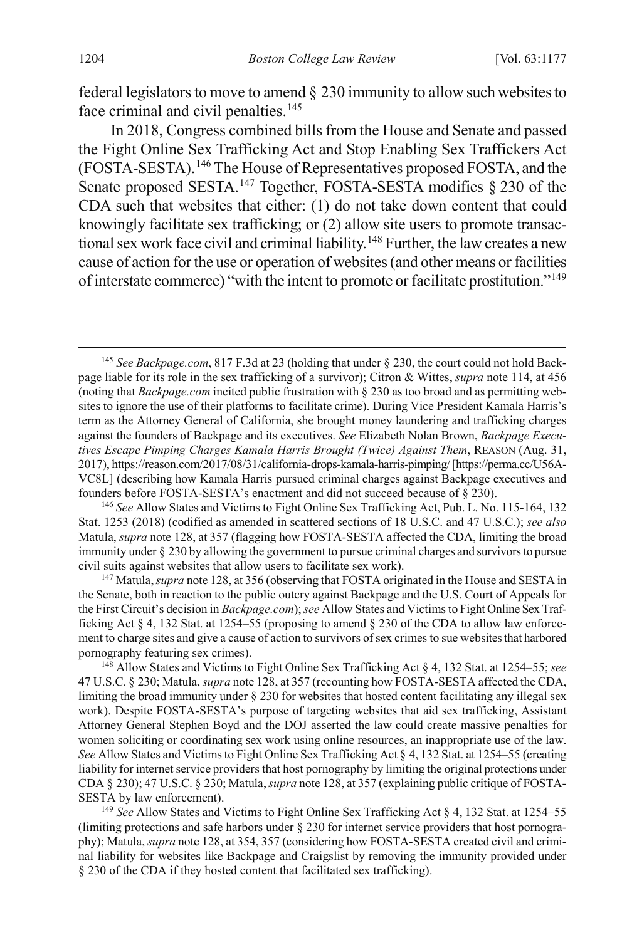federal legislators to move to amend § 230 immunity to allow such websites to face criminal and civil penalties.<sup>[145](#page-28-1)</sup>

In 2018, Congress combined bills from the House and Senate and passed the Fight Online Sex Trafficking Act and Stop Enabling Sex Traffickers Act (FOSTA-SESTA).[146](#page-28-2) The House of Representatives proposed FOSTA, and the Senate proposed SESTA.<sup>[147](#page-28-3)</sup> Together, FOSTA-SESTA modifies § 230 of the CDA such that websites that either: (1) do not take down content that could knowingly facilitate sex trafficking; or (2) allow site users to promote transac-tional sex work face civil and criminal liability.<sup>[148](#page-28-4)</sup> Further, the law creates a new cause of action for the use or operation of websites (and other means or facilities of interstate commerce) "with the intent to promote or facilitate prostitution."[149](#page-28-5)

<span id="page-28-2"></span><sup>146</sup> *See* Allow States and Victims to Fight Online Sex Trafficking Act, Pub. L. No. 115-164, 132 Stat. 1253 (2018) (codified as amended in scattered sections of 18 U.S.C. and 47 U.S.C.); *see also* Matula, *supra* not[e 128,](#page-25-0) at 357 (flagging how FOSTA-SESTA affected the CDA, limiting the broad immunity under § 230 by allowing the government to pursue criminal charges and survivors to pursue civil suits against websites that allow users to facilitate sex work).

<span id="page-28-3"></span><sup>147</sup> Matula, *supra* note [128,](#page-25-0) at 356 (observing that FOSTA originated in the House and SESTA in the Senate, both in reaction to the public outcry against Backpage and the U.S. Court of Appeals for the First Circuit's decision in *Backpage.com*); *see* Allow States and Victims to Fight Online Sex Trafficking Act § 4, 132 Stat. at 1254–55 (proposing to amend § 230 of the CDA to allow law enforcement to charge sites and give a cause of action to survivors of sex crimes to sue websites that harbored pornography featuring sex crimes).

<span id="page-28-4"></span><sup>148</sup> Allow States and Victims to Fight Online Sex Trafficking Act § 4, 132 Stat. at 1254–55; *see* 47 U.S.C. § 230; Matula, *supra* not[e 128,](#page-25-0) at 357 (recounting how FOSTA-SESTA affected the CDA, limiting the broad immunity under § 230 for websites that hosted content facilitating any illegal sex work). Despite FOSTA-SESTA's purpose of targeting websites that aid sex trafficking, Assistant Attorney General Stephen Boyd and the DOJ asserted the law could create massive penalties for women soliciting or coordinating sex work using online resources, an inappropriate use of the law. *See* Allow States and Victims to Fight Online Sex Trafficking Act § 4, 132 Stat. at 1254–55 (creating liability for internet service providers that host pornography by limiting the original protections under CDA § 230); 47 U.S.C. § 230; Matula, *supra* not[e 128,](#page-25-0) at 357 (explaining public critique of FOSTA-SESTA by law enforcement).

<span id="page-28-5"></span><sup>149</sup> *See* Allow States and Victims to Fight Online Sex Trafficking Act § 4, 132 Stat. at 1254–55 (limiting protections and safe harbors under § 230 for internet service providers that host pornography); Matula, *supra* not[e 128,](#page-25-0) at 354, 357 (considering how FOSTA-SESTA created civil and criminal liability for websites like Backpage and Craigslist by removing the immunity provided under § 230 of the CDA if they hosted content that facilitated sex trafficking).

<span id="page-28-1"></span><span id="page-28-0"></span> <sup>145</sup> *See Backpage.com*, 817 F.3d at 23 (holding that under § 230, the court could not hold Backpage liable for its role in the sex trafficking of a survivor); Citron & Wittes, *supra* note [114,](#page-23-0) at 456 (noting that *Backpage.com* incited public frustration with § 230 as too broad and as permitting websites to ignore the use of their platforms to facilitate crime). During Vice President Kamala Harris's term as the Attorney General of California, she brought money laundering and trafficking charges against the founders of Backpage and its executives. *See* Elizabeth Nolan Brown, *Backpage Executives Escape Pimping Charges Kamala Harris Brought (Twice) Against Them*, REASON (Aug. 31, 2017), https://reason.com/2017/08/31/california-drops-kamala-harris-pimping/ [https://perma.cc/U56A-VC8L] (describing how Kamala Harris pursued criminal charges against Backpage executives and founders before FOSTA-SESTA's enactment and did not succeed because of § 230).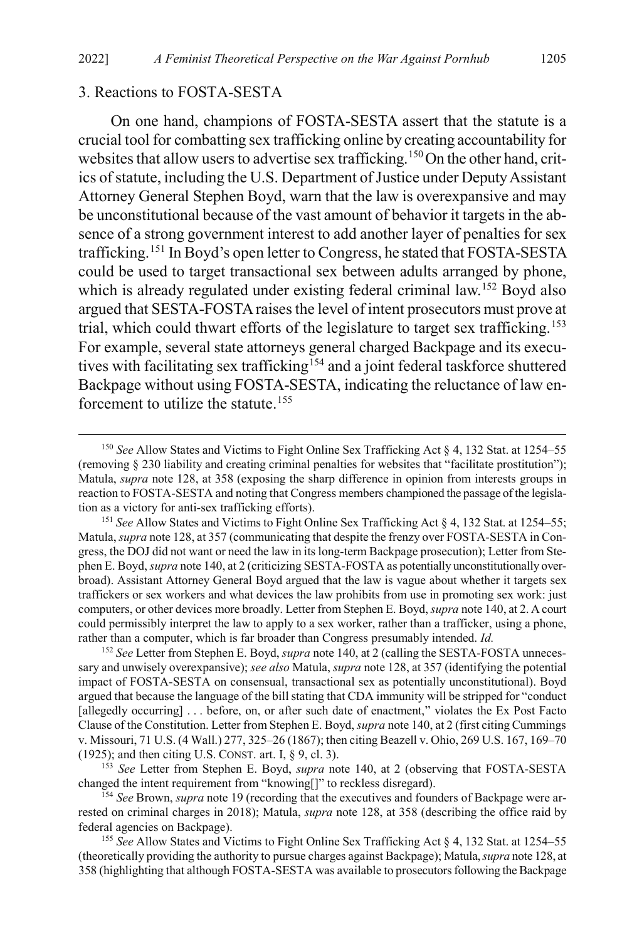#### 3. Reactions to FOSTA-SESTA

<span id="page-29-0"></span>On one hand, champions of FOSTA-SESTA assert that the statute is a crucial tool for combatting sex trafficking online by creating accountability for websites that allow users to advertise sex trafficking.<sup>150</sup>On the other hand, critics of statute, including the U.S. Department of Justice under Deputy Assistant Attorney General Stephen Boyd, warn that the law is overexpansive and may be unconstitutional because of the vast amount of behavior it targets in the absence of a strong government interest to add another layer of penalties for sex trafficking.[151](#page-29-2) In Boyd's open letter to Congress, he stated that FOSTA-SESTA could be used to target transactional sex between adults arranged by phone, which is already regulated under existing federal criminal law.<sup>[152](#page-29-3)</sup> Boyd also argued that SESTA-FOSTA raises the level of intent prosecutors must prove at trial, which could thwart efforts of the legislature to target sex trafficking.<sup>[153](#page-29-4)</sup> For example, several state attorneys general charged Backpage and its execu-tives with facilitating sex trafficking<sup>[154](#page-29-5)</sup> and a joint federal taskforce shuttered Backpage without using FOSTA-SESTA, indicating the reluctance of law en-forcement to utilize the statute.<sup>[155](#page-29-6)</sup>

<span id="page-29-1"></span> <sup>150</sup> *See* Allow States and Victims to Fight Online Sex Trafficking Act § 4, 132 Stat. at 1254–55 (removing § 230 liability and creating criminal penalties for websites that "facilitate prostitution"); Matula, *supra* note [128,](#page-25-0) at 358 (exposing the sharp difference in opinion from interests groups in reaction to FOSTA-SESTA and noting that Congress members championed the passage of the legislation as a victory for anti-sex trafficking efforts).

<span id="page-29-2"></span><sup>151</sup> *See* Allow States and Victims to Fight Online Sex Trafficking Act § 4, 132 Stat. at 1254–55; Matula, *supra* not[e 128,](#page-25-0) at 357 (communicating that despite the frenzy over FOSTA-SESTA in Congress, the DOJ did not want or need the law in its long-term Backpage prosecution); Letter from Stephen E. Boyd, *supra* not[e 140,](#page-27-8) at 2 (criticizing SESTA-FOSTA as potentially unconstitutionally overbroad). Assistant Attorney General Boyd argued that the law is vague about whether it targets sex traffickers or sex workers and what devices the law prohibits from use in promoting sex work: just computers, or other devices more broadly. Letter from Stephen E. Boyd, *supra* not[e 140,](#page-27-8) at 2. A court could permissibly interpret the law to apply to a sex worker, rather than a trafficker, using a phone, rather than a computer, which is far broader than Congress presumably intended. *Id.*

<span id="page-29-3"></span><sup>152</sup> *See* Letter from Stephen E. Boyd, *supra* not[e 140,](#page-27-8) at 2 (calling the SESTA-FOSTA unnecessary and unwisely overexpansive); *see also* Matula, *supra* not[e 128,](#page-25-0) at 357 (identifying the potential impact of FOSTA-SESTA on consensual, transactional sex as potentially unconstitutional). Boyd argued that because the language of the bill stating that CDA immunity will be stripped for "conduct [allegedly occurring] . . . before, on, or after such date of enactment," violates the Ex Post Facto Clause of the Constitution. Letter from Stephen E. Boyd, *supra* not[e 140,](#page-27-8) at 2 (first citing Cummings v. Missouri, 71 U.S. (4 Wall.) 277, 325–26 (1867); then citing Beazell v. Ohio, 269 U.S. 167, 169–70 (1925); and then citing U.S. CONST. art. I, § 9, cl. 3).

<span id="page-29-4"></span><sup>153</sup> *See* Letter from Stephen E. Boyd, *supra* note [140,](#page-27-8) at 2 (observing that FOSTA-SESTA changed the intent requirement from "knowing[]" to reckless disregard).

<span id="page-29-5"></span><sup>&</sup>lt;sup>154</sup> See Brown, *supra* not[e 19](#page-6-5) (recording that the executives and founders of Backpage were arrested on criminal charges in 2018); Matula, *supra* not[e 128,](#page-25-0) at 358 (describing the office raid by federal agencies on Backpage).

<span id="page-29-6"></span><sup>155</sup> *See* Allow States and Victims to Fight Online Sex Trafficking Act § 4, 132 Stat. at 1254–55 (theoretically providing the authority to pursue charges against Backpage); Matula,*supra* not[e 128,](#page-25-0) at 358 (highlighting that although FOSTA-SESTA was available to prosecutors following the Backpage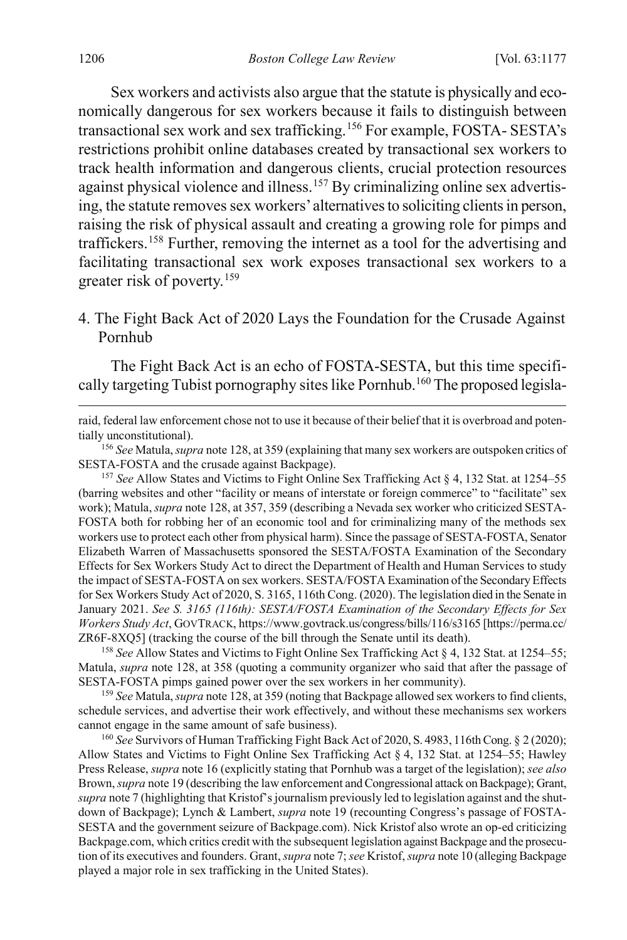Sex workers and activists also argue that the statute is physically and economically dangerous for sex workers because it fails to distinguish between transactional sex work and sex trafficking.[156](#page-30-2) For example, FOSTA- SESTA's restrictions prohibit online databases created by transactional sex workers to track health information and dangerous clients, crucial protection resources against physical violence and illness.<sup>[157](#page-30-3)</sup> By criminalizing online sex advertising, the statute removes sex workers' alternatives to soliciting clients in person, raising the risk of physical assault and creating a growing role for pimps and traffickers.[158](#page-30-4) Further, removing the internet as a tool for the advertising and facilitating transactional sex work exposes transactional sex workers to a greater risk of poverty.[159](#page-30-5)

<span id="page-30-0"></span>4. The Fight Back Act of 2020 Lays the Foundation for the Crusade Against Pornhub

The Fight Back Act is an echo of FOSTA-SESTA, but this time specifi-cally targeting Tubist pornography sites like Pornhub.<sup>[160](#page-30-6)</sup> The proposed legisla-

raid, federal law enforcement chose not to use it because of their belief that it is overbroad and potentially unconstitutional).

<span id="page-30-2"></span><sup>156</sup> *See* Matula, *supra* not[e 128,](#page-25-0) at 359 (explaining that many sex workers are outspoken critics of SESTA-FOSTA and the crusade against Backpage).

<span id="page-30-3"></span><sup>157</sup> *See* Allow States and Victims to Fight Online Sex Trafficking Act § 4, 132 Stat. at 1254–55 (barring websites and other "facility or means of interstate or foreign commerce" to "facilitate" sex work); Matula, *supra* not[e 128,](#page-25-0) at 357, 359 (describing a Nevada sex worker who criticized SESTA-FOSTA both for robbing her of an economic tool and for criminalizing many of the methods sex workers use to protect each other from physical harm). Since the passage of SESTA-FOSTA, Senator Elizabeth Warren of Massachusetts sponsored the SESTA/FOSTA Examination of the Secondary Effects for Sex Workers Study Act to direct the Department of Health and Human Services to study the impact of SESTA-FOSTA on sex workers. SESTA/FOSTA Examination of the Secondary Effects for Sex Workers Study Act of 2020, S. 3165, 116th Cong. (2020). The legislation died in the Senate in January 2021. *See S. 3165 (116th): SESTA/FOSTA Examination of the Secondary Effects for Sex Workers Study Act*, GOVTRACK, https://www.govtrack.us/congress/bills/116/s3165 [https://perma.cc/ ZR6F-8XQ5] (tracking the course of the bill through the Senate until its death).

<span id="page-30-4"></span><sup>158</sup> *See* Allow States and Victims to Fight Online Sex Trafficking Act § 4, 132 Stat. at 1254–55; Matula, *supra* note [128,](#page-25-0) at 358 (quoting a community organizer who said that after the passage of SESTA-FOSTA pimps gained power over the sex workers in her community).

<span id="page-30-5"></span><sup>159</sup> *See* Matula, *supra* not[e 128,](#page-25-0) at 359 (noting that Backpage allowed sex workers to find clients, schedule services, and advertise their work effectively, and without these mechanisms sex workers cannot engage in the same amount of safe business).

<span id="page-30-6"></span><sup>160</sup> *See* Survivors of Human Trafficking Fight Back Act of 2020, S. 4983, 116th Cong. § 2 (2020); Allow States and Victims to Fight Online Sex Trafficking Act § 4, 132 Stat. at 1254–55; Hawley Press Release, *supra* not[e 16](#page-6-0) (explicitly stating that Pornhub was a target of the legislation); *see also*  Brown, *supra* not[e 19](#page-6-5) (describing the law enforcement and Congressional attack on Backpage); Grant, *supra* not[e 7](#page-3-3) (highlighting that Kristof's journalism previously led to legislation against and the shutdown of Backpage); Lynch & Lambert, *supra* note [19](#page-6-5) (recounting Congress's passage of FOSTA-SESTA and the government seizure of Backpage.com). Nick Kristof also wrote an op-ed criticizing Backpage.com, which critics credit with the subsequent legislation against Backpage and the prosecution of its executives and founders. Grant, *supra* not[e 7;](#page-3-3) *see* Kristof, *supra* not[e 10](#page-4-6) (alleging Backpage played a major role in sex trafficking in the United States).

<span id="page-30-1"></span> $\overline{a}$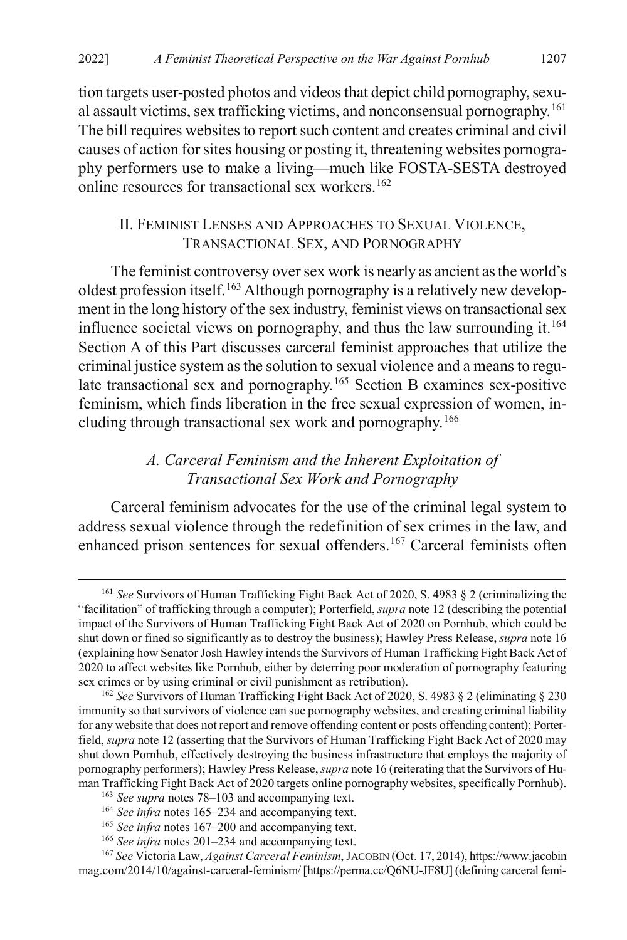tion targets user-posted photos and videos that depict child pornography, sexu-al assault victims, sex trafficking victims, and nonconsensual pornography.<sup>[161](#page-31-4)</sup> The bill requires websites to report such content and creates criminal and civil causes of action for sites housing or posting it, threatening websites pornography performers use to make a living—much like FOSTA-SESTA destroyed online resources for transactional sex workers.<sup>[162](#page-31-5)</sup>

## <span id="page-31-1"></span><span id="page-31-0"></span>II. FEMINIST LENSES AND APPROACHES TO SEXUAL VIOLENCE, TRANSACTIONAL SEX, AND PORNOGRAPHY

The feminist controversy over sex work is nearly as ancient as the world's oldest profession itself.<sup>[163](#page-31-6)</sup> Although pornography is a relatively new development in the long history of the sex industry, feminist views on transactional sex influence societal views on pornography, and thus the law surrounding it.<sup>[164](#page-31-7)</sup> Section A of this Part discusses carceral feminist approaches that utilize the criminal justice system as the solution to sexual violence and a means to regu-late transactional sex and pornography.<sup>[165](#page-31-8)</sup> Section B examines sex-positive feminism, which finds liberation in the free sexual expression of women, including through transactional sex work and pornography.[166](#page-31-9)

## <span id="page-31-3"></span><span id="page-31-2"></span>*A. Carceral Feminism and the Inherent Exploitation of Transactional Sex Work and Pornography*

Carceral feminism advocates for the use of the criminal legal system to address sexual violence through the redefinition of sex crimes in the law, and enhanced prison sentences for sexual offenders.<sup>[167](#page-31-10)</sup> Carceral feminists often

<span id="page-31-4"></span> <sup>161</sup> *See* Survivors of Human Trafficking Fight Back Act of 2020, S. 4983 § 2 (criminalizing the "facilitation" of trafficking through a computer); Porterfield, *supra* not[e 12](#page-4-5) (describing the potential impact of the Survivors of Human Trafficking Fight Back Act of 2020 on Pornhub, which could be shut down or fined so significantly as to destroy the business); Hawley Press Release, *supra* not[e 16](#page-6-0) (explaining how Senator Josh Hawley intends the Survivors of Human Trafficking Fight Back Act of 2020 to affect websites like Pornhub, either by deterring poor moderation of pornography featuring sex crimes or by using criminal or civil punishment as retribution).

<span id="page-31-5"></span><sup>162</sup> *See* Survivors of Human Trafficking Fight Back Act of 2020, S. 4983 § 2 (eliminating § 230 immunity so that survivors of violence can sue pornography websites, and creating criminal liability for any website that does not report and remove offending content or posts offending content); Porterfield, *supra* not[e 12](#page-4-5) (asserting that the Survivors of Human Trafficking Fight Back Act of 2020 may shut down Pornhub, effectively destroying the business infrastructure that employs the majority of pornography performers); Hawley Press Release, *supra* not[e 16](#page-6-0) (reiterating that the Survivors of Human Trafficking Fight Back Act of 2020 targets online pornography websites, specifically Pornhub).

<sup>163</sup> *See supra* note[s 78](#page-17-1)[–103](#page-21-0) and accompanying text.

<sup>164</sup> *See infra* notes [165–](#page-31-2)[234](#page-41-1) and accompanying text.

<sup>&</sup>lt;sup>165</sup> See infra notes 167-[200](#page-36-0) and accompanying text.

<sup>166</sup> *See infra* notes [201–](#page-36-1)[234](#page-41-1) and accompanying text.

<span id="page-31-10"></span><span id="page-31-9"></span><span id="page-31-8"></span><span id="page-31-7"></span><span id="page-31-6"></span><sup>167</sup> *See* Victoria Law, *Against Carceral Feminism*, JACOBIN (Oct. 17, 2014), https://www.jacobin mag.com/2014/10/against-carceral-feminism/ [https://perma.cc/Q6NU-JF8U] (defining carceral femi-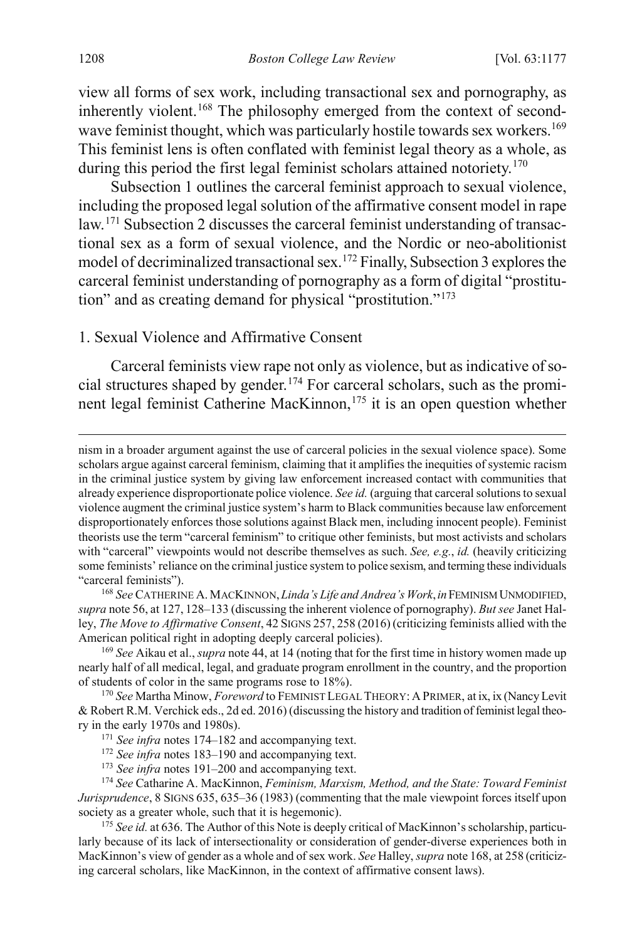<span id="page-32-1"></span>view all forms of sex work, including transactional sex and pornography, as inherently violent.<sup>[168](#page-32-2)</sup> The philosophy emerged from the context of second-wave feminist thought, which was particularly hostile towards sex workers.<sup>[169](#page-32-3)</sup> This feminist lens is often conflated with feminist legal theory as a whole, as during this period the first legal feminist scholars attained notoriety.<sup>[170](#page-32-4)</sup>

Subsection 1 outlines the carceral feminist approach to sexual violence, including the proposed legal solution of the affirmative consent model in rape law.[171](#page-32-5) Subsection 2 discusses the carceral feminist understanding of transactional sex as a form of sexual violence, and the Nordic or neo-abolitionist model of decriminalized transactional sex.[172](#page-32-6) Finally, Subsection 3 explores the carceral feminist understanding of pornography as a form of digital "prostitution" and as creating demand for physical "prostitution."[173](#page-32-7)

1. Sexual Violence and Affirmative Consent

<span id="page-32-0"></span>Carceral feminists view rape not only as violence, but as indicative of social structures shaped by gender.[174](#page-32-8) For carceral scholars, such as the promi-nent legal feminist Catherine MacKinnon,<sup>[175](#page-32-9)</sup> it is an open question whether

<span id="page-32-2"></span><sup>168</sup> *See* CATHERINE A. MACKINNON,*Linda's Life and Andrea's Work*,*in*FEMINISM UNMODIFIED, *supra* not[e 56,](#page-13-5) at 127, 128–133 (discussing the inherent violence of pornography). *But see* Janet Halley, *The Move to Affirmative Consent*, 42 SIGNS 257, 258 (2016) (criticizing feminists allied with the American political right in adopting deeply carceral policies).

<span id="page-32-3"></span><sup>169</sup> *See* Aikau et al., *supra* not[e 44,](#page-10-3) at 14 (noting that for the first time in history women made up nearly half of all medical, legal, and graduate program enrollment in the country, and the proportion of students of color in the same programs rose to 18%).

<span id="page-32-5"></span><span id="page-32-4"></span><sup>170</sup> *See* Martha Minow, *Foreword* to FEMINIST LEGAL THEORY: A PRIMER, at ix, ix (Nancy Levit & Robert R.M. Verchick eds., 2d ed. 2016) (discussing the history and tradition of feminist legal theory in the early 1970s and 1980s).

<span id="page-32-8"></span><span id="page-32-7"></span><span id="page-32-6"></span><sup>174</sup> *See* Catharine A. MacKinnon, *Feminism, Marxism, Method, and the State: Toward Feminist Jurisprudence*, 8 SIGNS 635, 635–36 (1983) (commenting that the male viewpoint forces itself upon society as a greater whole, such that it is hegemonic).

<span id="page-32-9"></span><sup>175</sup> See id. at 636. The Author of this Note is deeply critical of MacKinnon's scholarship, particularly because of its lack of intersectionality or consideration of gender-diverse experiences both in MacKinnon's view of gender as a whole and of sex work. *See* Halley, *supra* not[e 168,](#page-32-1) at 258 (criticizing carceral scholars, like MacKinnon, in the context of affirmative consent laws).

nism in a broader argument against the use of carceral policies in the sexual violence space). Some scholars argue against carceral feminism, claiming that it amplifies the inequities of systemic racism in the criminal justice system by giving law enforcement increased contact with communities that already experience disproportionate police violence. *See id.* (arguing that carceral solutions to sexual violence augment the criminal justice system's harm to Black communities because law enforcement disproportionately enforces those solutions against Black men, including innocent people). Feminist theorists use the term "carceral feminism" to critique other feminists, but most activists and scholars with "carceral" viewpoints would not describe themselves as such. *See, e.g.*, *id.* (heavily criticizing some feminists' reliance on the criminal justice system to police sexism, and terming these individuals "carceral feminists").

<sup>&</sup>lt;sup>171</sup> See infra notes [174–](#page-32-0)[182](#page-33-0) and accompanying text.

<sup>172</sup> *See infra* notes [183–](#page-33-1)[190](#page-34-0) and accompanying text.

<sup>173</sup> *See infra* notes [191–](#page-35-0)[200](#page-36-0) and accompanying text.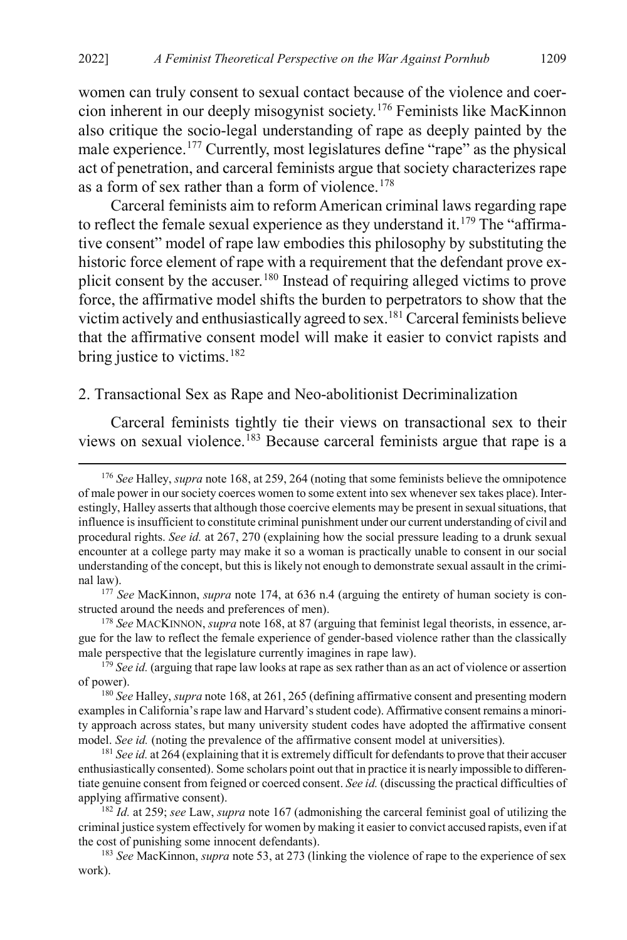women can truly consent to sexual contact because of the violence and coercion inherent in our deeply misogynist society.[176](#page-33-2) Feminists like MacKinnon also critique the socio-legal understanding of rape as deeply painted by the male experience.<sup>[177](#page-33-3)</sup> Currently, most legislatures define "rape" as the physical act of penetration, and carceral feminists argue that society characterizes rape as a form of sex rather than a form of violence.<sup>[178](#page-33-4)</sup>

Carceral feminists aim to reform American criminal laws regarding rape to reflect the female sexual experience as they understand it.<sup>[179](#page-33-5)</sup> The "affirmative consent" model of rape law embodies this philosophy by substituting the historic force element of rape with a requirement that the defendant prove explicit consent by the accuser.[180](#page-33-6) Instead of requiring alleged victims to prove force, the affirmative model shifts the burden to perpetrators to show that the victim actively and enthusiastically agreed to sex[.181](#page-33-7) Carceral feminists believe that the affirmative consent model will make it easier to convict rapists and bring justice to victims.<sup>[182](#page-33-8)</sup>

#### <span id="page-33-0"></span>2. Transactional Sex as Rape and Neo-abolitionist Decriminalization

<span id="page-33-1"></span>Carceral feminists tightly tie their views on transactional sex to their views on sexual violence.<sup>[183](#page-33-9)</sup> Because carceral feminists argue that rape is a

<span id="page-33-2"></span> <sup>176</sup> *See* Halley, *supra* not[e 168,](#page-32-1) at 259, 264 (noting that some feminists believe the omnipotence of male power in our society coerces women to some extent into sex whenever sex takes place). Interestingly, Halley asserts that although those coercive elements may be present in sexual situations, that influence is insufficient to constitute criminal punishment under our current understanding of civil and procedural rights. *See id.* at 267, 270 (explaining how the social pressure leading to a drunk sexual encounter at a college party may make it so a woman is practically unable to consent in our social understanding of the concept, but this is likely not enough to demonstrate sexual assault in the criminal law).

<span id="page-33-3"></span><sup>177</sup> *See* MacKinnon, *supra* note [174,](#page-32-0) at 636 n.4 (arguing the entirety of human society is constructed around the needs and preferences of men).

<span id="page-33-4"></span><sup>178</sup> *See* MACKINNON, *supra* not[e 168,](#page-32-1) at 87 (arguing that feminist legal theorists, in essence, argue for the law to reflect the female experience of gender-based violence rather than the classically male perspective that the legislature currently imagines in rape law).

<span id="page-33-5"></span><sup>&</sup>lt;sup>179</sup> See id. (arguing that rape law looks at rape as sex rather than as an act of violence or assertion of power).

<span id="page-33-6"></span><sup>180</sup> *See* Halley, *supra* not[e 168,](#page-32-1) at 261, 265 (defining affirmative consent and presenting modern examples in California's rape law and Harvard's student code). Affirmative consent remains a minority approach across states, but many university student codes have adopted the affirmative consent model. *See id.* (noting the prevalence of the affirmative consent model at universities).

<span id="page-33-7"></span><sup>&</sup>lt;sup>181</sup> *See id.* at 264 (explaining that it is extremely difficult for defendants to prove that their accuser enthusiastically consented). Some scholars point out that in practice it is nearly impossible to differentiate genuine consent from feigned or coerced consent. *See id.* (discussing the practical difficulties of applying affirmative consent).

<span id="page-33-8"></span><sup>182</sup> *Id.* at 259; *see* Law, *supra* note [167](#page-31-3) (admonishing the carceral feminist goal of utilizing the criminal justice system effectively for women by making it easier to convict accused rapists, even if at the cost of punishing some innocent defendants).

<span id="page-33-9"></span><sup>183</sup> *See* MacKinnon, *supra* not[e 53,](#page-12-5) at 273 (linking the violence of rape to the experience of sex work).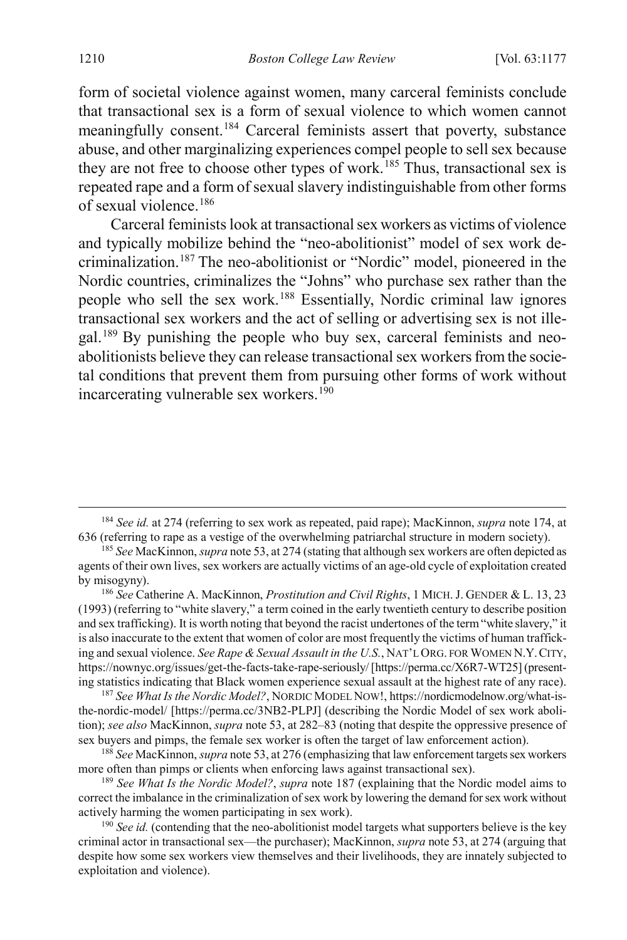form of societal violence against women, many carceral feminists conclude that transactional sex is a form of sexual violence to which women cannot meaningfully consent.<sup>[184](#page-34-2)</sup> Carceral feminists assert that poverty, substance abuse, and other marginalizing experiences compel people to sell sex because they are not free to choose other types of work.<sup>[185](#page-34-3)</sup> Thus, transactional sex is repeated rape and a form of sexual slavery indistinguishable from other forms of sexual violence.[186](#page-34-4)

<span id="page-34-9"></span><span id="page-34-1"></span>Carceral feminists look at transactional sex workers as victims of violence and typically mobilize behind the "neo-abolitionist" model of sex work decriminalization.[187](#page-34-5) The neo-abolitionist or "Nordic" model, pioneered in the Nordic countries, criminalizes the "Johns" who purchase sex rather than the people who sell the sex work.[188](#page-34-6) Essentially, Nordic criminal law ignores transactional sex workers and the act of selling or advertising sex is not illegal.[189](#page-34-7) By punishing the people who buy sex, carceral feminists and neoabolitionists believe they can release transactional sex workers from the societal conditions that prevent them from pursuing other forms of work without incarcerating vulnerable sex workers.<sup>190</sup>

<span id="page-34-4"></span><sup>186</sup> *See* Catherine A. MacKinnon, *Prostitution and Civil Rights*, 1 MICH. J. GENDER & L. 13, 23 (1993) (referring to "white slavery," a term coined in the early twentieth century to describe position and sex trafficking). It is worth noting that beyond the racist undertones of the term "white slavery," it is also inaccurate to the extent that women of color are most frequently the victims of human trafficking and sexual violence. *See Rape & Sexual Assault in the U.S.*, NAT'L ORG. FOR WOMEN N.Y.CITY, https://nownyc.org/issues/get-the-facts-take-rape-seriously/ [https://perma.cc/X6R7-WT25] (presenting statistics indicating that Black women experience sexual assault at the highest rate of any race).

<span id="page-34-5"></span><sup>187</sup> *See What Isthe Nordic Model?*, NORDIC MODEL NOW!, https://nordicmodelnow.org/what-isthe-nordic-model/ [https://perma.cc/3NB2-PLPJ] (describing the Nordic Model of sex work abolition); *see also* MacKinnon, *supra* not[e 53,](#page-12-5) at 282–83 (noting that despite the oppressive presence of sex buyers and pimps, the female sex worker is often the target of law enforcement action).

<span id="page-34-6"></span><sup>188</sup> *See* MacKinnon, *supra* not[e 53,](#page-12-5) at 276 (emphasizing that law enforcement targets sex workers more often than pimps or clients when enforcing laws against transactional sex).

<span id="page-34-7"></span><sup>189</sup> *See What Is the Nordic Model?*, *supra* not[e 187](#page-34-1) (explaining that the Nordic model aims to correct the imbalance in the criminalization of sex work by lowering the demand for sex work without actively harming the women participating in sex work).

<span id="page-34-8"></span><sup>190</sup> See id. (contending that the neo-abolitionist model targets what supporters believe is the key criminal actor in transactional sex—the purchaser); MacKinnon, *supra* not[e 53,](#page-12-5) at 274 (arguing that despite how some sex workers view themselves and their livelihoods, they are innately subjected to exploitation and violence).

<span id="page-34-2"></span><span id="page-34-0"></span> <sup>184</sup> *See id.* at 274 (referring to sex work as repeated, paid rape); MacKinnon, *supra* not[e 174,](#page-32-0) at 636 (referring to rape as a vestige of the overwhelming patriarchal structure in modern society).

<span id="page-34-3"></span><sup>185</sup> *See* MacKinnon, *supra* not[e 53,](#page-12-5) at 274 (stating that although sex workers are often depicted as agents of their own lives, sex workers are actually victims of an age-old cycle of exploitation created by misogyny).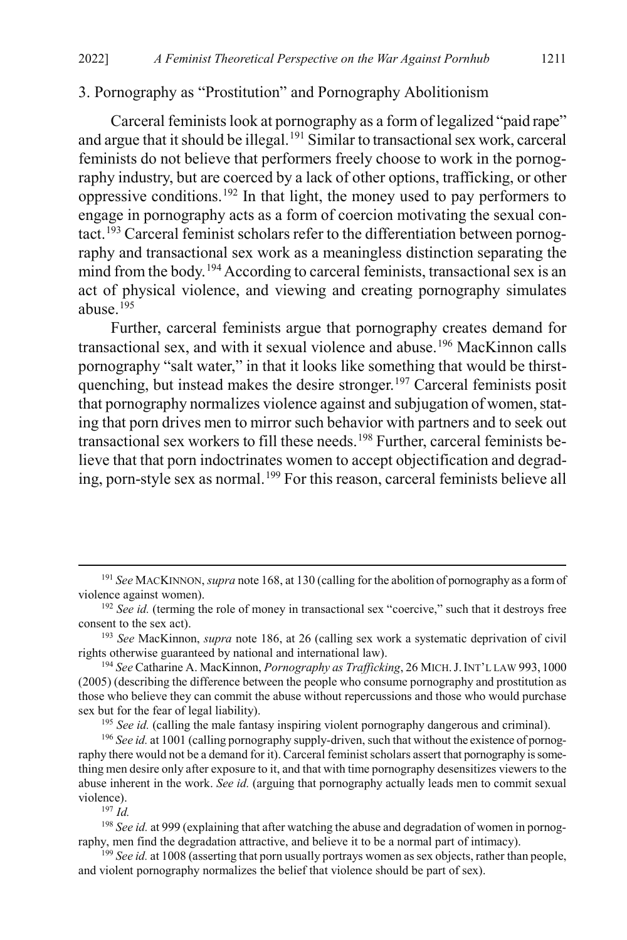### 3. Pornography as "Prostitution" and Pornography Abolitionism

<span id="page-35-0"></span>Carceral feminists look at pornography as a form of legalized "paid rape" and argue that it should be illegal.<sup>[191](#page-35-1)</sup> Similar to transactional sex work, carceral feminists do not believe that performers freely choose to work in the pornography industry, but are coerced by a lack of other options, trafficking, or other oppressive conditions[.192](#page-35-2) In that light, the money used to pay performers to engage in pornography acts as a form of coercion motivating the sexual contact.[193](#page-35-3) Carceral feminist scholars refer to the differentiation between pornography and transactional sex work as a meaningless distinction separating the mind from the body.<sup>[194](#page-35-4)</sup> According to carceral feminists, transactional sex is an act of physical violence, and viewing and creating pornography simulates abuse. $195$ 

<span id="page-35-10"></span>Further, carceral feminists argue that pornography creates demand for transactional sex, and with it sexual violence and abuse.<sup>[196](#page-35-6)</sup> MacKinnon calls pornography "salt water," in that it looks like something that would be thirst-quenching, but instead makes the desire stronger.<sup>[197](#page-35-7)</sup> Carceral feminists posit that pornography normalizes violence against and subjugation of women, stating that porn drives men to mirror such behavior with partners and to seek out transactional sex workers to fill these needs.<sup>198</sup> Further, carceral feminists believe that that porn indoctrinates women to accept objectification and degrad-ing, porn-style sex as normal.<sup>[199](#page-35-9)</sup> For this reason, carceral feminists believe all

 $197 \, \mu d$ 

<span id="page-35-8"></span><span id="page-35-7"></span><sup>198</sup> See id. at 999 (explaining that after watching the abuse and degradation of women in pornography, men find the degradation attractive, and believe it to be a normal part of intimacy).

<span id="page-35-9"></span><sup>199</sup> *See id.* at 1008 (asserting that porn usually portrays women as sex objects, rather than people, and violent pornography normalizes the belief that violence should be part of sex).

<span id="page-35-1"></span> <sup>191</sup> *See* MACKINNON, *supra* not[e 168,](#page-32-1) at 130 (calling for the abolition of pornography as a form of violence against women).

<span id="page-35-2"></span><sup>&</sup>lt;sup>192</sup> *See id.* (terming the role of money in transactional sex "coercive," such that it destroys free consent to the sex act).

<span id="page-35-3"></span><sup>193</sup> *See* MacKinnon, *supra* not[e 186,](#page-34-9) at 26 (calling sex work a systematic deprivation of civil rights otherwise guaranteed by national and international law).

<span id="page-35-4"></span><sup>194</sup> *See* Catharine A. MacKinnon, *Pornography as Trafficking*, 26 MICH.J.INT'L LAW 993, 1000 (2005) (describing the difference between the people who consume pornography and prostitution as those who believe they can commit the abuse without repercussions and those who would purchase sex but for the fear of legal liability).

<sup>&</sup>lt;sup>195</sup> See id. (calling the male fantasy inspiring violent pornography dangerous and criminal).

<span id="page-35-6"></span><span id="page-35-5"></span><sup>&</sup>lt;sup>196</sup> See id. at 1001 (calling pornography supply-driven, such that without the existence of pornography there would not be a demand for it). Carceral feminist scholars assert that pornography is something men desire only after exposure to it, and that with time pornography desensitizes viewers to the abuse inherent in the work. *See id.* (arguing that pornography actually leads men to commit sexual violence).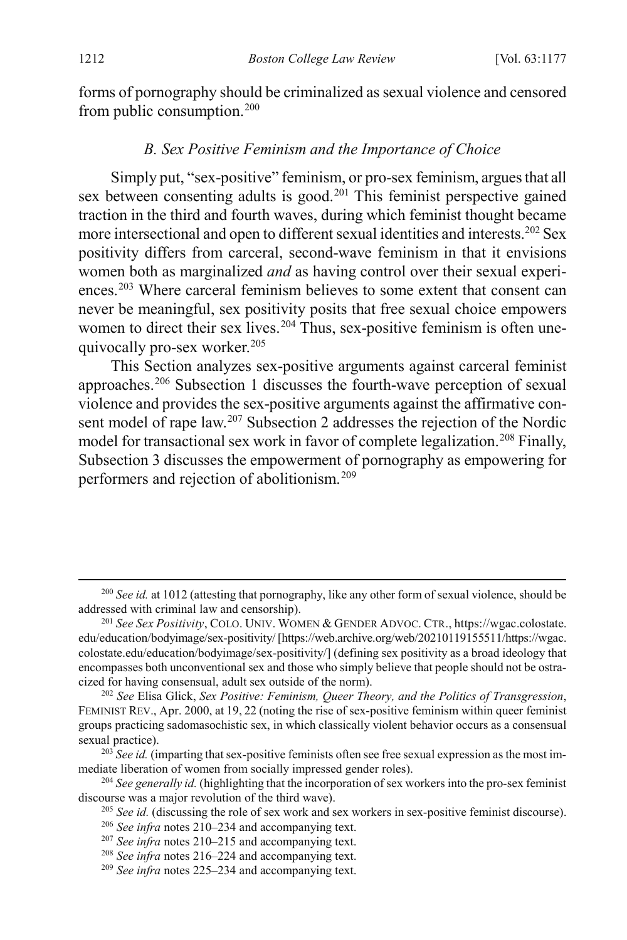forms of pornography should be criminalized as sexual violence and censored from public consumption[.200](#page-36-2)

#### <span id="page-36-12"></span><span id="page-36-1"></span><span id="page-36-0"></span>*B. Sex Positive Feminism and the Importance of Choice*

Simply put, "sex-positive" feminism, or pro-sex feminism, argues that all sex between consenting adults is good.<sup>[201](#page-36-3)</sup> This feminist perspective gained traction in the third and fourth waves, during which feminist thought became more intersectional and open to different sexual identities and interests.[202](#page-36-4) Sex positivity differs from carceral, second-wave feminism in that it envisions women both as marginalized *and* as having control over their sexual experi-ences.<sup>[203](#page-36-5)</sup> Where carceral feminism believes to some extent that consent can never be meaningful, sex positivity posits that free sexual choice empowers women to direct their sex lives.<sup>[204](#page-36-6)</sup> Thus, sex-positive feminism is often une-quivocally pro-sex worker.<sup>[205](#page-36-7)</sup>

This Section analyzes sex-positive arguments against carceral feminist approaches.[206](#page-36-8) Subsection 1 discusses the fourth-wave perception of sexual violence and provides the sex-positive arguments against the affirmative consent model of rape law.[207](#page-36-9) Subsection 2 addresses the rejection of the Nordic model for transactional sex work in favor of complete legalization.<sup>[208](#page-36-10)</sup> Finally, Subsection 3 discusses the empowerment of pornography as empowering for performers and rejection of abolitionism.[209](#page-36-11)

<span id="page-36-2"></span><sup>&</sup>lt;sup>200</sup> See id. at 1012 (attesting that pornography, like any other form of sexual violence, should be addressed with criminal law and censorship).

<span id="page-36-3"></span><sup>201</sup> *See Sex Positivity*, COLO. UNIV. WOMEN & GENDER ADVOC. CTR., https://wgac.colostate. edu/education/bodyimage/sex-positivity/ [https://web.archive.org/web/20210119155511/https://wgac. colostate.edu/education/bodyimage/sex-positivity/] (defining sex positivity as a broad ideology that encompasses both unconventional sex and those who simply believe that people should not be ostracized for having consensual, adult sex outside of the norm).

<span id="page-36-4"></span><sup>202</sup> *See* Elisa Glick, *Sex Positive: Feminism, Queer Theory, and the Politics of Transgression*, FEMINIST REV., Apr. 2000, at 19, 22 (noting the rise of sex-positive feminism within queer feminist groups practicing sadomasochistic sex, in which classically violent behavior occurs as a consensual sexual practice).

<span id="page-36-5"></span><sup>&</sup>lt;sup>203</sup> See id. (imparting that sex-positive feminists often see free sexual expression as the most immediate liberation of women from socially impressed gender roles).

<span id="page-36-9"></span><span id="page-36-8"></span><span id="page-36-7"></span><span id="page-36-6"></span><sup>204</sup> *See generally id.* (highlighting that the incorporation of sex workers into the pro-sex feminist discourse was a major revolution of the third wave).

<sup>&</sup>lt;sup>205</sup> *See id.* (discussing the role of sex work and sex workers in sex-positive feminist discourse).

<sup>206</sup> *See infra* notes [210–](#page-37-0)[234](#page-41-1) and accompanying text.

<sup>207</sup> *See infra* notes [210–](#page-37-0)[215](#page-37-1) and accompanying text.

<span id="page-36-10"></span><sup>208</sup> *See infra* notes [216–](#page-38-0)[224](#page-39-0) and accompanying text.

<span id="page-36-11"></span><sup>209</sup> *See infra* notes [225–](#page-39-1)[234](#page-41-1) and accompanying text.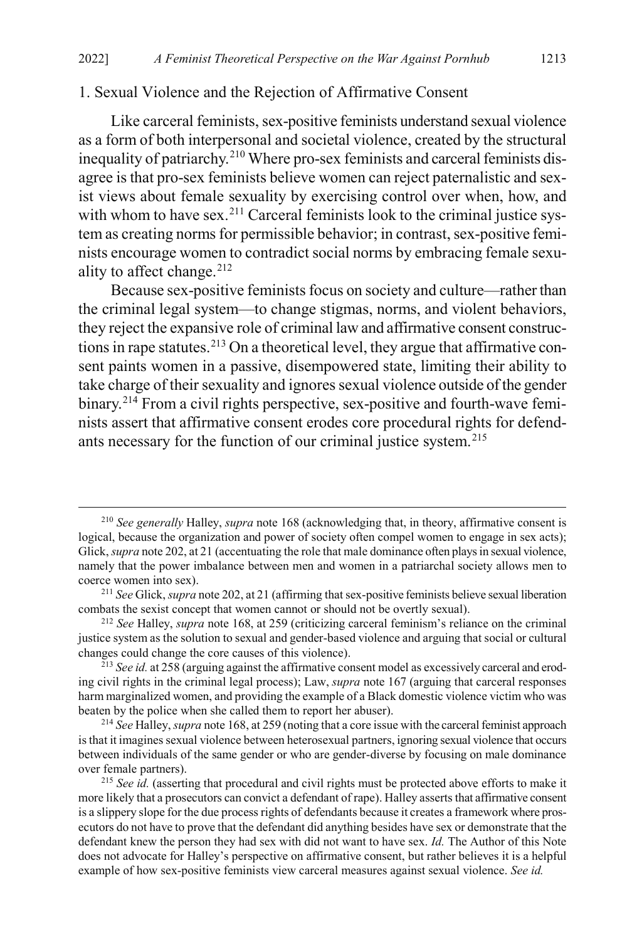#### 1. Sexual Violence and the Rejection of Affirmative Consent

<span id="page-37-0"></span>Like carceral feminists, sex-positive feminists understand sexual violence as a form of both interpersonal and societal violence, created by the structural inequality of patriarchy.<sup>[210](#page-37-2)</sup> Where pro-sex feminists and carceral feminists disagree is that pro-sex feminists believe women can reject paternalistic and sexist views about female sexuality by exercising control over when, how, and with whom to have sex.<sup>[211](#page-37-3)</sup> Carceral feminists look to the criminal justice system as creating norms for permissible behavior; in contrast, sex-positive feminists encourage women to contradict social norms by embracing female sexu-ality to affect change.<sup>[212](#page-37-4)</sup>

Because sex-positive feminists focus on society and culture—rather than the criminal legal system—to change stigmas, norms, and violent behaviors, they reject the expansive role of criminal law and affirmative consent construc-tions in rape statutes.<sup>[213](#page-37-5)</sup> On a theoretical level, they argue that affirmative consent paints women in a passive, disempowered state, limiting their ability to take charge of their sexuality and ignores sexual violence outside of the gender binary.<sup>[214](#page-37-6)</sup> From a civil rights perspective, sex-positive and fourth-wave feminists assert that affirmative consent erodes core procedural rights for defend-ants necessary for the function of our criminal justice system.<sup>[215](#page-37-7)</sup>

<span id="page-37-2"></span><span id="page-37-1"></span> <sup>210</sup> *See generally* Halley, *supra* not[e 168](#page-32-1) (acknowledging that, in theory, affirmative consent is logical, because the organization and power of society often compel women to engage in sex acts); Glick, *supra* not[e 202,](#page-36-12) at 21 (accentuating the role that male dominance often plays in sexual violence, namely that the power imbalance between men and women in a patriarchal society allows men to coerce women into sex).

<span id="page-37-3"></span><sup>211</sup> *See* Glick, *supra* not[e 202,](#page-36-12) at 21 (affirming that sex-positive feminists believe sexual liberation combats the sexist concept that women cannot or should not be overtly sexual).

<span id="page-37-4"></span><sup>212</sup> *See* Halley, *supra* note [168,](#page-32-1) at 259 (criticizing carceral feminism's reliance on the criminal justice system as the solution to sexual and gender-based violence and arguing that social or cultural changes could change the core causes of this violence).

<span id="page-37-5"></span><sup>213</sup> *See id.* at 258 (arguing against the affirmative consent model as excessively carceral and eroding civil rights in the criminal legal process); Law, *supra* note [167](#page-31-3) (arguing that carceral responses harm marginalized women, and providing the example of a Black domestic violence victim who was beaten by the police when she called them to report her abuser).

<span id="page-37-6"></span><sup>214</sup> *See* Halley, *supra* not[e 168,](#page-32-1) at 259 (noting that a core issue with the carceral feminist approach is that it imagines sexual violence between heterosexual partners, ignoring sexual violence that occurs between individuals of the same gender or who are gender-diverse by focusing on male dominance over female partners).

<span id="page-37-7"></span><sup>&</sup>lt;sup>215</sup> See id. (asserting that procedural and civil rights must be protected above efforts to make it more likely that a prosecutors can convict a defendant of rape). Halley asserts that affirmative consent is a slippery slope for the due process rights of defendants because it creates a framework where prosecutors do not have to prove that the defendant did anything besides have sex or demonstrate that the defendant knew the person they had sex with did not want to have sex. *Id.* The Author of this Note does not advocate for Halley's perspective on affirmative consent, but rather believes it is a helpful example of how sex-positive feminists view carceral measures against sexual violence. *See id.*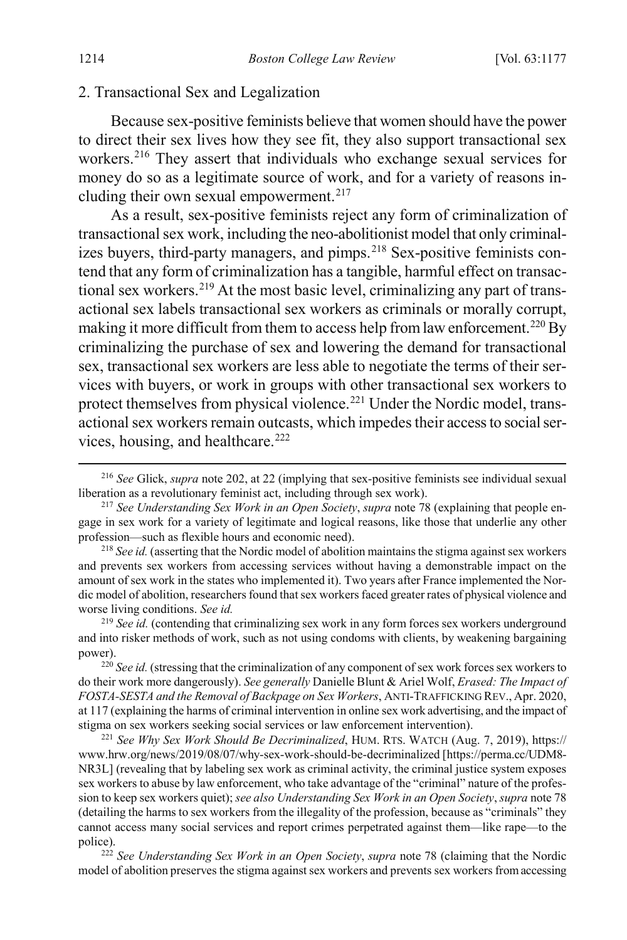#### 2. Transactional Sex and Legalization

<span id="page-38-0"></span>Because sex-positive feminists believe that women should have the power to direct their sex lives how they see fit, they also support transactional sex workers.[216](#page-38-1) They assert that individuals who exchange sexual services for money do so as a legitimate source of work, and for a variety of reasons in-cluding their own sexual empowerment.<sup>[217](#page-38-2)</sup>

<span id="page-38-9"></span>As a result, sex-positive feminists reject any form of criminalization of transactional sex work, including the neo-abolitionist model that only criminalizes buyers, third-party managers, and pimps. [218](#page-38-3) Sex-positive feminists contend that any form of criminalization has a tangible, harmful effect on transac-tional sex workers.<sup>[219](#page-38-4)</sup> At the most basic level, criminalizing any part of transactional sex labels transactional sex workers as criminals or morally corrupt, making it more difficult from them to access help from law enforcement.<sup>220</sup> By criminalizing the purchase of sex and lowering the demand for transactional sex, transactional sex workers are less able to negotiate the terms of their services with buyers, or work in groups with other transactional sex workers to protect themselves from physical violence.<sup>[221](#page-38-6)</sup> Under the Nordic model, transactional sex workers remain outcasts, which impedes their access to social services, housing, and healthcare.<sup>222</sup>

<span id="page-38-8"></span><span id="page-38-1"></span> <sup>216</sup> *See* Glick, *supra* not[e 202,](#page-36-12) at 22 (implying that sex-positive feminists see individual sexual liberation as a revolutionary feminist act, including through sex work).

<span id="page-38-2"></span><sup>217</sup> *See Understanding Sex Work in an Open Society*, *supra* not[e 78](#page-17-1) (explaining that people engage in sex work for a variety of legitimate and logical reasons, like those that underlie any other profession—such as flexible hours and economic need).

<span id="page-38-3"></span><sup>218</sup> *See id.* (asserting that the Nordic model of abolition maintains the stigma against sex workers and prevents sex workers from accessing services without having a demonstrable impact on the amount of sex work in the states who implemented it). Two years after France implemented the Nordic model of abolition, researchers found that sex workers faced greater rates of physical violence and worse living conditions. *See id.*

<span id="page-38-4"></span><sup>&</sup>lt;sup>219</sup> See id. (contending that criminalizing sex work in any form forces sex workers underground and into risker methods of work, such as not using condoms with clients, by weakening bargaining power).

<span id="page-38-5"></span><sup>&</sup>lt;sup>220</sup> See id. (stressing that the criminalization of any component of sex work forces sex workers to do their work more dangerously). *See generally* Danielle Blunt & Ariel Wolf, *Erased: The Impact of FOSTA-SESTA and the Removal of Backpage on Sex Workers*, ANTI-TRAFFICKING REV., Apr. 2020, at 117 (explaining the harms of criminal intervention in online sex work advertising, and the impact of stigma on sex workers seeking social services or law enforcement intervention).

<span id="page-38-6"></span><sup>221</sup> *See Why Sex Work Should Be Decriminalized*, HUM. RTS. WATCH (Aug. 7, 2019), https:// www.hrw.org/news/2019/08/07/why-sex-work-should-be-decriminalized [https://perma.cc/UDM8- NR3L] (revealing that by labeling sex work as criminal activity, the criminal justice system exposes sex workers to abuse by law enforcement, who take advantage of the "criminal" nature of the profession to keep sex workers quiet); *see also Understanding Sex Work in an Open Society*, *supra* not[e 78](#page-17-1) (detailing the harms to sex workers from the illegality of the profession, because as "criminals" they cannot access many social services and report crimes perpetrated against them—like rape—to the police).

<span id="page-38-7"></span><sup>222</sup> *See Understanding Sex Work in an Open Society*, *supra* not[e 78](#page-17-1) (claiming that the Nordic model of abolition preserves the stigma against sex workers and prevents sex workers from accessing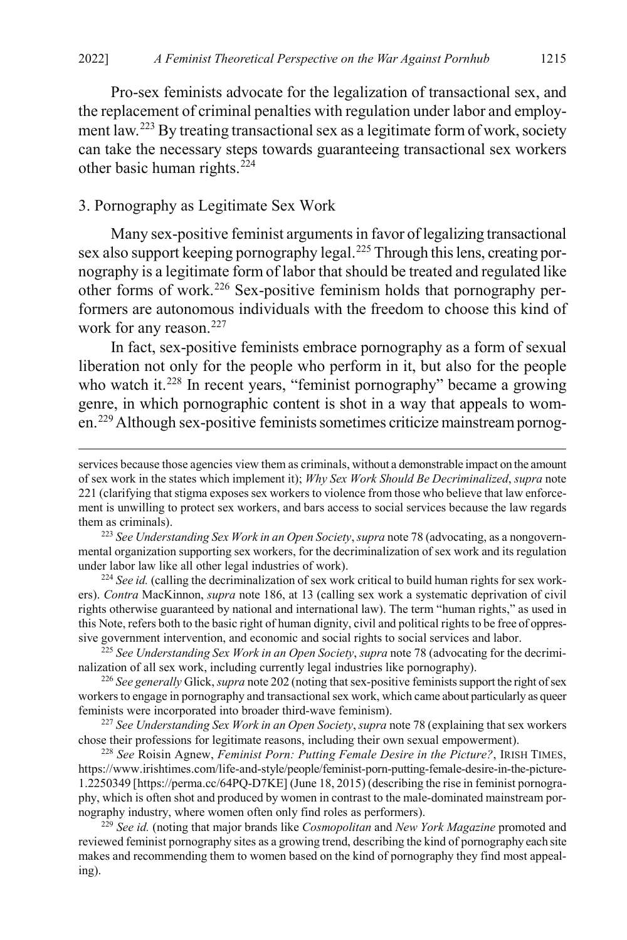Pro-sex feminists advocate for the legalization of transactional sex, and the replacement of criminal penalties with regulation under labor and employ-ment law.<sup>[223](#page-39-2)</sup> By treating transactional sex as a legitimate form of work, society can take the necessary steps towards guaranteeing transactional sex workers other basic human rights.<sup>[224](#page-39-3)</sup>

#### <span id="page-39-0"></span>3. Pornography as Legitimate Sex Work

<span id="page-39-1"></span>Many sex-positive feminist arguments in favor of legalizing transactional sex also support keeping pornography legal.<sup>225</sup> Through this lens, creating pornography is a legitimate form of labor that should be treated and regulated like other forms of work.[226](#page-39-5) Sex-positive feminism holds that pornography performers are autonomous individuals with the freedom to choose this kind of work for any reason.<sup>[227](#page-39-6)</sup>

In fact, sex-positive feminists embrace pornography as a form of sexual liberation not only for the people who perform in it, but also for the people who watch it.<sup>[228](#page-39-7)</sup> In recent years, "feminist pornography" became a growing genre, in which pornographic content is shot in a way that appeals to women.[229](#page-39-8)Although sex-positive feminists sometimes criticize mainstream pornog-

<span id="page-39-3"></span><sup>224</sup> See id. (calling the decriminalization of sex work critical to build human rights for sex workers). *Contra* MacKinnon, *supra* not[e 186,](#page-34-9) at 13 (calling sex work a systematic deprivation of civil rights otherwise guaranteed by national and international law). The term "human rights," as used in this Note, refers both to the basic right of human dignity, civil and political rights to be free of oppressive government intervention, and economic and social rights to social services and labor.

<span id="page-39-4"></span><sup>225</sup> *See Understanding Sex Work in an Open Society*, *supra* not[e 78](#page-17-1) (advocating for the decriminalization of all sex work, including currently legal industries like pornography).

<span id="page-39-5"></span><sup>226</sup> *See generally* Glick, *supra* not[e 202](#page-36-12) (noting that sex-positive feminists support the right of sex workers to engage in pornography and transactional sex work, which came about particularly as queer feminists were incorporated into broader third-wave feminism).

<span id="page-39-6"></span><sup>227</sup> *See Understanding Sex Work in an Open Society*, *supra* not[e 78](#page-17-1) (explaining that sex workers chose their professions for legitimate reasons, including their own sexual empowerment).

<span id="page-39-7"></span><sup>228</sup> *See* Roisin Agnew, *Feminist Porn: Putting Female Desire in the Picture?*, IRISH TIMES, https://www.irishtimes.com/life-and-style/people/feminist-porn-putting-female-desire-in-the-picture-1.2250349 [https://perma.cc/64PQ-D7KE] (June 18, 2015) (describing the rise in feminist pornography, which is often shot and produced by women in contrast to the male-dominated mainstream pornography industry, where women often only find roles as performers).

<span id="page-39-8"></span><sup>229</sup> *See id.* (noting that major brands like *Cosmopolitan* and *New York Magazine* promoted and reviewed feminist pornography sites as a growing trend, describing the kind of pornography each site makes and recommending them to women based on the kind of pornography they find most appealing).

services because those agencies view them as criminals, without a demonstrable impact on the amount of sex work in the states which implement it); *Why Sex Work Should Be Decriminalized*, *supra* note [221](#page-38-8) (clarifying that stigma exposes sex workers to violence from those who believe that law enforcement is unwilling to protect sex workers, and bars access to social services because the law regards them as criminals).

<span id="page-39-2"></span><sup>223</sup> *See Understanding Sex Work in an Open Society*, *supra* not[e 78](#page-17-1) (advocating, as a nongovernmental organization supporting sex workers, for the decriminalization of sex work and its regulation under labor law like all other legal industries of work).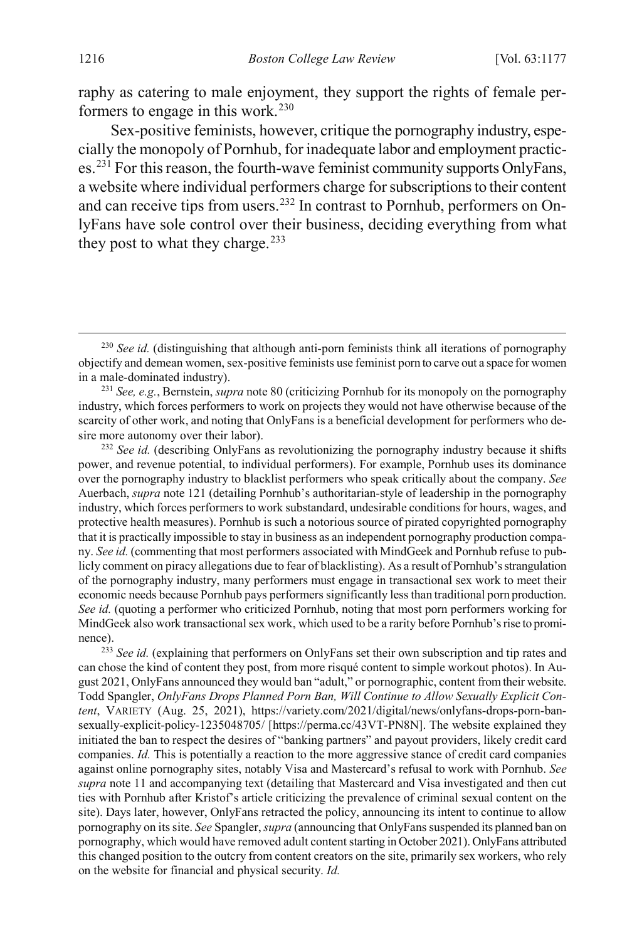raphy as catering to male enjoyment, they support the rights of female performers to engage in this work. $230$ 

Sex-positive feminists, however, critique the pornography industry, especially the monopoly of Pornhub, for inadequate labor and employment practices.[231](#page-40-1) For this reason, the fourth-wave feminist community supports OnlyFans, a website where individual performers charge for subscriptions to their content and can receive tips from users.[232](#page-40-2) In contrast to Pornhub, performers on OnlyFans have sole control over their business, deciding everything from what they post to what they charge. $233$ 

<span id="page-40-2"></span><sup>232</sup> See id. (describing OnlyFans as revolutionizing the pornography industry because it shifts power, and revenue potential, to individual performers). For example, Pornhub uses its dominance over the pornography industry to blacklist performers who speak critically about the company. *See*  Auerbach, *supra* not[e 121](#page-23-9) (detailing Pornhub's authoritarian-style of leadership in the pornography industry, which forces performers to work substandard, undesirable conditions for hours, wages, and protective health measures). Pornhub is such a notorious source of pirated copyrighted pornography that it is practically impossible to stay in business as an independent pornography production company. *See id.* (commenting that most performers associated with MindGeek and Pornhub refuse to publicly comment on piracy allegations due to fear of blacklisting). As a result of Pornhub's strangulation of the pornography industry, many performers must engage in transactional sex work to meet their economic needs because Pornhub pays performers significantly less than traditional porn production. *See id.* (quoting a performer who criticized Pornhub, noting that most porn performers working for MindGeek also work transactional sex work, which used to be a rarity before Pornhub's rise to prominence).

<span id="page-40-3"></span><sup>233</sup> *See id.* (explaining that performers on OnlyFans set their own subscription and tip rates and can chose the kind of content they post, from more risqué content to simple workout photos). In August 2021, OnlyFans announced they would ban "adult," or pornographic, content from their website. Todd Spangler, *OnlyFans Drops Planned Porn Ban, Will Continue to Allow Sexually Explicit Content*, VARIETY (Aug. 25, 2021), https://variety.com/2021/digital/news/onlyfans-drops-porn-bansexually-explicit-policy-1235048705/ [https://perma.cc/43VT-PN8N]. The website explained they initiated the ban to respect the desires of "banking partners" and payout providers, likely credit card companies. *Id.* This is potentially a reaction to the more aggressive stance of credit card companies against online pornography sites, notably Visa and Mastercard's refusal to work with Pornhub. *See supra* not[e 11](#page-4-0) and accompanying text (detailing that Mastercard and Visa investigated and then cut ties with Pornhub after Kristof's article criticizing the prevalence of criminal sexual content on the site). Days later, however, OnlyFans retracted the policy, announcing its intent to continue to allow pornography on its site. *See* Spangler, *supra* (announcing that OnlyFans suspended its planned ban on pornography, which would have removed adult content starting in October 2021). OnlyFans attributed this changed position to the outcry from content creators on the site, primarily sex workers, who rely on the website for financial and physical security. *Id.*

<span id="page-40-0"></span><sup>&</sup>lt;sup>230</sup> *See id.* (distinguishing that although anti-porn feminists think all iterations of pornography objectify and demean women, sex-positive feminists use feminist porn to carve out a space for women in a male-dominated industry).

<span id="page-40-1"></span><sup>231</sup> *See, e.g.*, Bernstein, *supra* not[e 80](#page-17-8) (criticizing Pornhub for its monopoly on the pornography industry, which forces performers to work on projects they would not have otherwise because of the scarcity of other work, and noting that OnlyFans is a beneficial development for performers who desire more autonomy over their labor).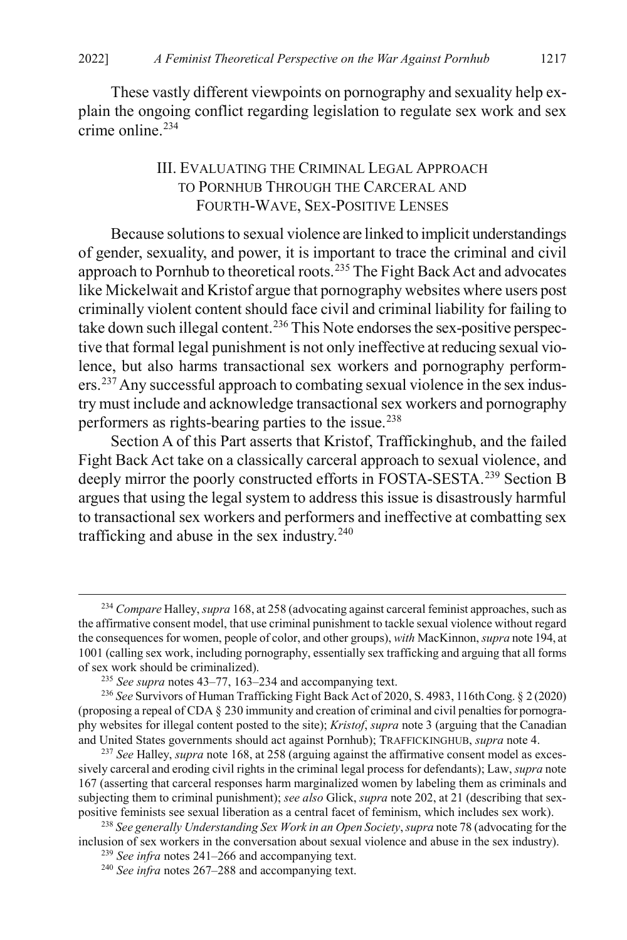These vastly different viewpoints on pornography and sexuality help explain the ongoing conflict regarding legislation to regulate sex work and sex  $c$ rime online.<sup>[234](#page-41-2)</sup>

### <span id="page-41-1"></span><span id="page-41-0"></span>III. EVALUATING THE CRIMINAL LEGAL APPROACH TO PORNHUB THROUGH THE CARCERAL AND FOURTH-WAVE, SEX-POSITIVE LENSES

Because solutions to sexual violence are linked to implicit understandings of gender, sexuality, and power, it is important to trace the criminal and civil approach to Pornhub to theoretical roots.<sup>[235](#page-41-3)</sup> The Fight Back Act and advocates like Mickelwait and Kristof argue that pornography websites where users post criminally violent content should face civil and criminal liability for failing to take down such illegal content.<sup>[236](#page-41-4)</sup> This Note endorses the sex-positive perspective that formal legal punishment is not only ineffective at reducing sexual violence, but also harms transactional sex workers and pornography performers.[237](#page-41-5)Any successful approach to combating sexual violence in the sex industry must include and acknowledge transactional sex workers and pornography performers as rights-bearing parties to the issue.[238](#page-41-6)

Section A of this Part asserts that Kristof, Traffickinghub, and the failed Fight Back Act take on a classically carceral approach to sexual violence, and deeply mirror the poorly constructed efforts in FOSTA-SESTA.<sup>[239](#page-41-7)</sup> Section B argues that using the legal system to address this issue is disastrously harmful to transactional sex workers and performers and ineffective at combatting sex trafficking and abuse in the sex industry. $240$ 

<span id="page-41-2"></span> <sup>234</sup> *Compare* Halley, *supra* [168,](#page-32-1) at 258 (advocating against carceral feminist approaches, such as the affirmative consent model, that use criminal punishment to tackle sexual violence without regard the consequences for women, people of color, and other groups), *with* MacKinnon, *supra* not[e 194,](#page-35-10) at 1001 (calling sex work, including pornography, essentially sex trafficking and arguing that all forms of sex work should be criminalized).

<sup>235</sup> *See supra* note[s 43](#page-10-12)[–77,](#page-17-0) [163](#page-31-1)[–234](#page-41-1) and accompanying text.

<span id="page-41-4"></span><span id="page-41-3"></span><sup>236</sup> *See* Survivors of Human Trafficking Fight Back Act of 2020, S. 4983, 116th Cong. § 2 (2020) (proposing a repeal of CDA § 230 immunity and creation of criminal and civil penalties for pornography websites for illegal content posted to the site); *Kristof*, *supra* not[e 3](#page-2-0) (arguing that the Canadian and United States governments should act against Pornhub); TRAFFICKINGHUB, *supra* not[e 4.](#page-2-5)

<span id="page-41-5"></span><sup>237</sup> *See* Halley, *supra* not[e 168,](#page-32-1) at 258 (arguing against the affirmative consent model as excessively carceral and eroding civil rights in the criminal legal process for defendants); Law, *supra* note [167](#page-31-3) (asserting that carceral responses harm marginalized women by labeling them as criminals and subjecting them to criminal punishment); *see also* Glick, *supra* not[e 202,](#page-36-12) at 21 (describing that sexpositive feminists see sexual liberation as a central facet of feminism, which includes sex work).

<span id="page-41-8"></span><span id="page-41-7"></span><span id="page-41-6"></span><sup>238</sup> *See generally Understanding Sex Work in an Open Society*, *supra* not[e 78](#page-17-1) (advocating for the inclusion of sex workers in the conversation about sexual violence and abuse in the sex industry).

<sup>239</sup> *See infra* notes [241–](#page-42-0)[266](#page-45-0) and accompanying text.

<sup>240</sup> *See infra* notes [267–](#page-45-1)[288](#page-48-0) and accompanying text.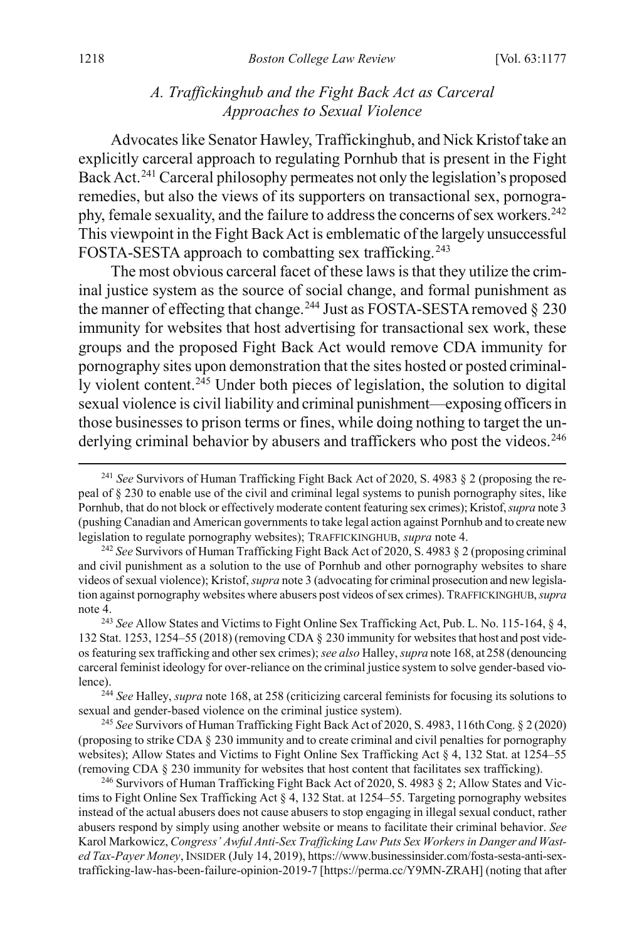## *A. Traffickinghub and the Fight Back Act as Carceral Approaches to Sexual Violence*

<span id="page-42-0"></span>Advocates like Senator Hawley, Traffickinghub, and Nick Kristof take an explicitly carceral approach to regulating Pornhub that is present in the Fight Back Act.<sup>[241](#page-42-1)</sup> Carceral philosophy permeates not only the legislation's proposed remedies, but also the views of its supporters on transactional sex, pornogra-phy, female sexuality, and the failure to address the concerns of sex workers.<sup>[242](#page-42-2)</sup> This viewpoint in the Fight Back Act is emblematic of the largely unsuccessful FOSTA-SESTA approach to combatting sex trafficking.<sup>[243](#page-42-3)</sup>

The most obvious carceral facet of these laws is that they utilize the criminal justice system as the source of social change, and formal punishment as the manner of effecting that change.<sup>[244](#page-42-4)</sup> Just as FOSTA-SESTA removed  $\S$  230 immunity for websites that host advertising for transactional sex work, these groups and the proposed Fight Back Act would remove CDA immunity for pornography sites upon demonstration that the sites hosted or posted criminal-ly violent content.<sup>[245](#page-42-5)</sup> Under both pieces of legislation, the solution to digital sexual violence is civil liability and criminal punishment—exposing officers in those businesses to prison terms or fines, while doing nothing to target the un-derlying criminal behavior by abusers and traffickers who post the videos.<sup>[246](#page-42-6)</sup>

<span id="page-42-1"></span> <sup>241</sup> *See* Survivors of Human Trafficking Fight Back Act of 2020, S. 4983 § 2 (proposing the repeal of § 230 to enable use of the civil and criminal legal systems to punish pornography sites, like Pornhub, that do not block or effectively moderate content featuring sex crimes); Kristof,*supra* note [3](#page-2-0) (pushing Canadian and American governments to take legal action against Pornhub and to create new legislation to regulate pornography websites); TRAFFICKINGHUB, *supra* not[e 4.](#page-2-5)

<span id="page-42-2"></span><sup>242</sup> *See* Survivors of Human Trafficking Fight Back Act of 2020, S. 4983 § 2 (proposing criminal and civil punishment as a solution to the use of Pornhub and other pornography websites to share videos of sexual violence); Kristof,*supra* not[e 3](#page-2-0) (advocating for criminal prosecution and new legislation against pornography websites where abusers post videos of sex crimes). TRAFFICKINGHUB, *supra*  note [4.](#page-2-5)

<span id="page-42-3"></span><sup>243</sup> *See* Allow States and Victims to Fight Online Sex Trafficking Act, Pub. L. No. 115-164, § 4, 132 Stat. 1253, 1254–55 (2018) (removing CDA § 230 immunity for websites that host and post videos featuring sex trafficking and other sex crimes); *see also* Halley, *supra* not[e 168,](#page-32-1) at 258 (denouncing carceral feminist ideology for over-reliance on the criminal justice system to solve gender-based violence).

<span id="page-42-4"></span><sup>244</sup> *See* Halley, *supra* not[e 168,](#page-32-1) at 258 (criticizing carceral feminists for focusing its solutions to sexual and gender-based violence on the criminal justice system).

<span id="page-42-5"></span><sup>245</sup> *See* Survivors of Human Trafficking Fight Back Act of 2020, S. 4983, 116th Cong. § 2 (2020) (proposing to strike CDA § 230 immunity and to create criminal and civil penalties for pornography websites); Allow States and Victims to Fight Online Sex Trafficking Act § 4, 132 Stat. at 1254–55 (removing CDA § 230 immunity for websites that host content that facilitates sex trafficking).

<span id="page-42-6"></span><sup>&</sup>lt;sup>246</sup> Survivors of Human Trafficking Fight Back Act of 2020, S. 4983 § 2; Allow States and Victims to Fight Online Sex Trafficking Act  $\S 4$ , 132 Stat. at 1254–55. Targeting pornography websites instead of the actual abusers does not cause abusers to stop engaging in illegal sexual conduct, rather abusers respond by simply using another website or means to facilitate their criminal behavior. *See*  Karol Markowicz, *Congress' Awful Anti-Sex Trafficking Law Puts Sex Workers in Danger and Wasted Tax-Payer Money*, INSIDER (July 14, 2019), https://www.businessinsider.com/fosta-sesta-anti-sextrafficking-law-has-been-failure-opinion-2019-7 [https://perma.cc/Y9MN-ZRAH] (noting that after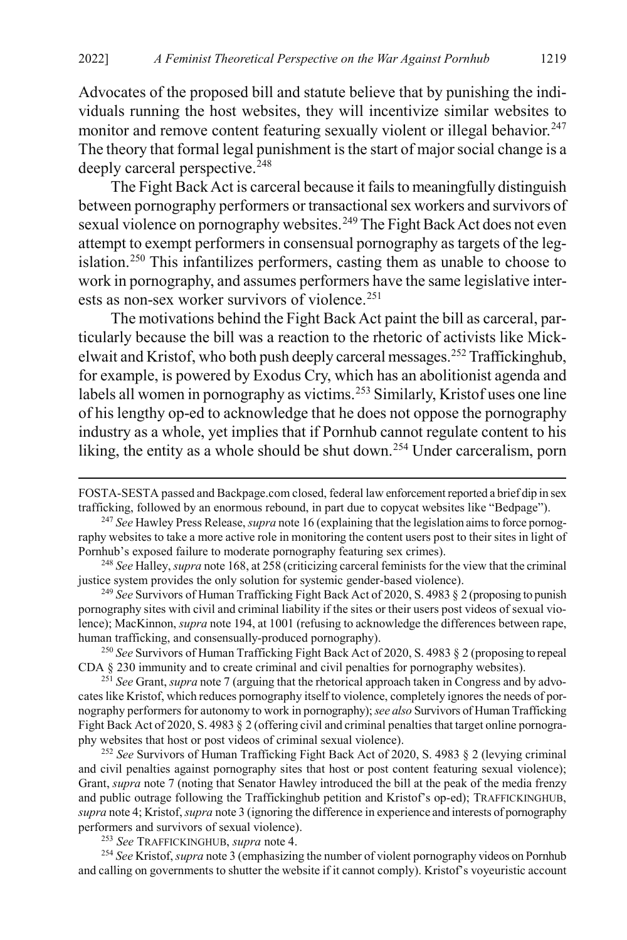Advocates of the proposed bill and statute believe that by punishing the individuals running the host websites, they will incentivize similar websites to monitor and remove content featuring sexually violent or illegal behavior.<sup>[247](#page-43-0)</sup> The theory that formal legal punishment is the start of major social change is a deeply carceral perspective.<sup>[248](#page-43-1)</sup>

The Fight Back Act is carceral because it fails to meaningfully distinguish between pornography performers or transactional sex workers and survivors of sexual violence on pornography websites.<sup>[249](#page-43-2)</sup> The Fight Back Act does not even attempt to exempt performers in consensual pornography as targets of the legislation.[250](#page-43-3) This infantilizes performers, casting them as unable to choose to work in pornography, and assumes performers have the same legislative inter-ests as non-sex worker survivors of violence.<sup>[251](#page-43-4)</sup>

The motivations behind the Fight Back Act paint the bill as carceral, particularly because the bill was a reaction to the rhetoric of activists like Mickelwait and Kristof, who both push deeply carceral messages.[252](#page-43-5) Traffickinghub, for example, is powered by Exodus Cry, which has an abolitionist agenda and labels all women in pornography as victims.<sup>[253](#page-43-6)</sup> Similarly, Kristof uses one line of his lengthy op-ed to acknowledge that he does not oppose the pornography industry as a whole, yet implies that if Pornhub cannot regulate content to his liking, the entity as a whole should be shut down.<sup>[254](#page-43-7)</sup> Under carceralism, porn

<span id="page-43-2"></span><sup>249</sup> *See* Survivors of Human Trafficking Fight Back Act of 2020, S. 4983 § 2 (proposing to punish pornography sites with civil and criminal liability if the sites or their users post videos of sexual violence); MacKinnon, *supra* not[e 194,](#page-35-10) at 1001 (refusing to acknowledge the differences between rape, human trafficking, and consensually-produced pornography).

<span id="page-43-3"></span><sup>250</sup> *See* Survivors of Human Trafficking Fight Back Act of 2020, S. 4983 § 2 (proposing to repeal CDA § 230 immunity and to create criminal and civil penalties for pornography websites).

<span id="page-43-4"></span><sup>251</sup> *See* Grant, *supra* not[e 7](#page-3-3) (arguing that the rhetorical approach taken in Congress and by advocates like Kristof, which reduces pornography itself to violence, completely ignores the needs of pornography performers for autonomy to work in pornography); *see also* Survivors of Human Trafficking Fight Back Act of 2020, S. 4983 § 2 (offering civil and criminal penalties that target online pornography websites that host or post videos of criminal sexual violence).

<span id="page-43-5"></span><sup>252</sup> *See* Survivors of Human Trafficking Fight Back Act of 2020, S. 4983 § 2 (levying criminal and civil penalties against pornography sites that host or post content featuring sexual violence); Grant, *supra* note [7](#page-3-3) (noting that Senator Hawley introduced the bill at the peak of the media frenzy and public outrage following the Traffickinghub petition and Kristof's op-ed); TRAFFICKINGHUB, *supra* not[e 4;](#page-2-5) Kristof, *supra* not[e 3](#page-2-0) (ignoring the difference in experience and interests of pornography performers and survivors of sexual violence).

<sup>253</sup> *See* TRAFFICKINGHUB, *supra* not[e 4.](#page-2-5)

<span id="page-43-7"></span><span id="page-43-6"></span><sup>254</sup> *See* Kristof, *supra* not[e 3](#page-2-0) (emphasizing the number of violent pornography videos on Pornhub and calling on governments to shutter the website if it cannot comply). Kristof's voyeuristic account

FOSTA-SESTA passed and Backpage.com closed, federal law enforcement reported a brief dip in sex trafficking, followed by an enormous rebound, in part due to copycat websites like "Bedpage").

<span id="page-43-0"></span><sup>247</sup> *See* Hawley Press Release, *supra* not[e 16](#page-6-0) (explaining that the legislation aims to force pornography websites to take a more active role in monitoring the content users post to their sites in light of Pornhub's exposed failure to moderate pornography featuring sex crimes).

<span id="page-43-1"></span><sup>248</sup> *See* Halley, *supra* not[e 168,](#page-32-1) at 258 (criticizing carceral feminists for the view that the criminal justice system provides the only solution for systemic gender-based violence).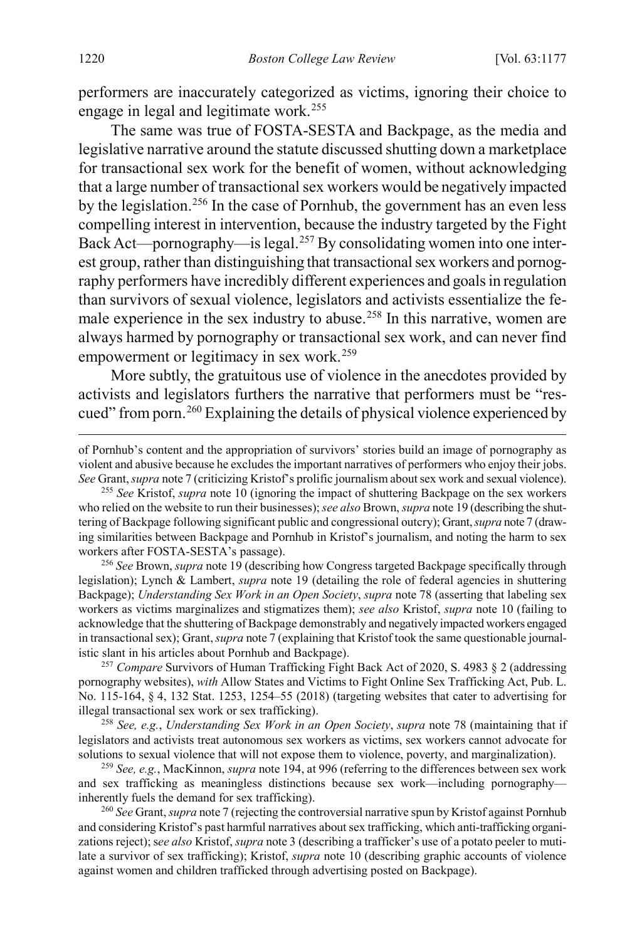performers are inaccurately categorized as victims, ignoring their choice to engage in legal and legitimate work.[255](#page-44-0)

The same was true of FOSTA-SESTA and Backpage, as the media and legislative narrative around the statute discussed shutting down a marketplace for transactional sex work for the benefit of women, without acknowledging that a large number of transactional sex workers would be negatively impacted by the legislation.[256](#page-44-1) In the case of Pornhub, the government has an even less compelling interest in intervention, because the industry targeted by the Fight Back Act—pornography—is legal.<sup>[257](#page-44-2)</sup> By consolidating women into one interest group, rather than distinguishing that transactional sex workers and pornography performers have incredibly different experiences and goals in regulation than survivors of sexual violence, legislators and activists essentialize the fe-male experience in the sex industry to abuse.<sup>[258](#page-44-3)</sup> In this narrative, women are always harmed by pornography or transactional sex work, and can never find empowerment or legitimacy in sex work.<sup>[259](#page-44-4)</sup>

More subtly, the gratuitous use of violence in the anecdotes provided by activists and legislators furthers the narrative that performers must be "rescued" from porn.[260](#page-44-5) Explaining the details of physical violence experienced by

<span id="page-44-0"></span><sup>255</sup> *See* Kristof, *supra* not[e 10](#page-4-6) (ignoring the impact of shuttering Backpage on the sex workers who relied on the website to run their businesses); *see also* Brown, *supra* not[e 19](#page-6-5) (describing the shuttering of Backpage following significant public and congressional outcry); Grant, *supra* not[e 7](#page-3-3) (drawing similarities between Backpage and Pornhub in Kristof's journalism, and noting the harm to sex workers after FOSTA-SESTA's passage).

<span id="page-44-1"></span><sup>256</sup> *See* Brown, *supra* not[e 19](#page-6-5) (describing how Congress targeted Backpage specifically through legislation); Lynch & Lambert, *supra* note [19](#page-6-5) (detailing the role of federal agencies in shuttering Backpage); *Understanding Sex Work in an Open Society*, *supra* note [78](#page-17-1) (asserting that labeling sex workers as victims marginalizes and stigmatizes them); *see also* Kristof, *supra* note [10](#page-4-6) (failing to acknowledge that the shuttering of Backpage demonstrably and negatively impacted workers engaged in transactional sex); Grant, *supra* not[e 7](#page-3-3) (explaining that Kristof took the same questionable journalistic slant in his articles about Pornhub and Backpage).

<span id="page-44-2"></span><sup>257</sup> *Compare* Survivors of Human Trafficking Fight Back Act of 2020, S. 4983 § 2 (addressing pornography websites), *with* Allow States and Victims to Fight Online Sex Trafficking Act, Pub. L. No. 115-164, § 4, 132 Stat. 1253, 1254–55 (2018) (targeting websites that cater to advertising for illegal transactional sex work or sex trafficking).

<span id="page-44-3"></span><sup>258</sup> *See, e.g.*, *Understanding Sex Work in an Open Society*, *supra* not[e 78](#page-17-1) (maintaining that if legislators and activists treat autonomous sex workers as victims, sex workers cannot advocate for solutions to sexual violence that will not expose them to violence, poverty, and marginalization).

<span id="page-44-4"></span><sup>259</sup> *See, e.g.*, MacKinnon, *supra* not[e 194,](#page-35-10) at 996 (referring to the differences between sex work and sex trafficking as meaningless distinctions because sex work—including pornography inherently fuels the demand for sex trafficking).

<span id="page-44-5"></span><sup>260</sup> *See* Grant, *supra* not[e 7](#page-3-3) (rejecting the controversial narrative spun by Kristof against Pornhub and considering Kristof's past harmful narratives about sex trafficking, which anti-trafficking organizations reject); s*ee also* Kristof, *supra* not[e 3](#page-2-0) (describing a trafficker's use of a potato peeler to mutilate a survivor of sex trafficking); Kristof, *supra* note [10](#page-4-6) (describing graphic accounts of violence against women and children trafficked through advertising posted on Backpage).

of Pornhub's content and the appropriation of survivors' stories build an image of pornography as violent and abusive because he excludes the important narratives of performers who enjoy their jobs. *See* Grant, *supra* not[e 7](#page-3-3) (criticizing Kristof's prolific journalism about sex work and sexual violence).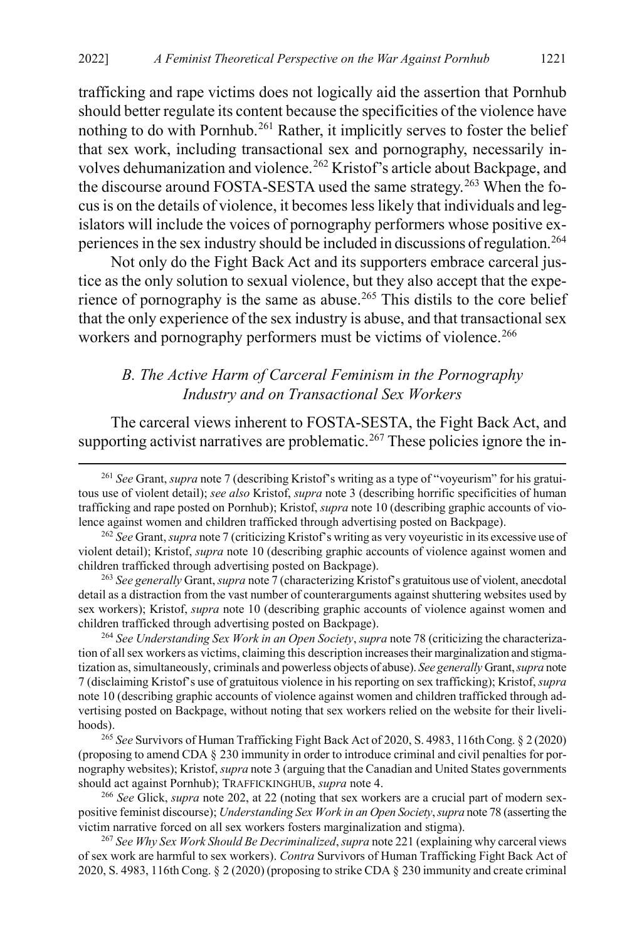trafficking and rape victims does not logically aid the assertion that Pornhub should better regulate its content because the specificities of the violence have nothing to do with Pornhub.<sup>[261](#page-45-2)</sup> Rather, it implicitly serves to foster the belief that sex work, including transactional sex and pornography, necessarily in-volves dehumanization and violence.<sup>[262](#page-45-3)</sup> Kristof's article about Backpage, and the discourse around FOSTA-SESTA used the same strategy.<sup>[263](#page-45-4)</sup> When the focus is on the details of violence, it becomes less likely that individuals and legislators will include the voices of pornography performers whose positive ex-periences in the sex industry should be included in discussions of regulation.<sup>[264](#page-45-5)</sup>

Not only do the Fight Back Act and its supporters embrace carceral justice as the only solution to sexual violence, but they also accept that the expe-rience of pornography is the same as abuse.<sup>[265](#page-45-6)</sup> This distils to the core belief that the only experience of the sex industry is abuse, and that transactional sex workers and pornography performers must be victims of violence.<sup>[266](#page-45-7)</sup>

## <span id="page-45-1"></span><span id="page-45-0"></span>*B. The Active Harm of Carceral Feminism in the Pornography Industry and on Transactional Sex Workers*

The carceral views inherent to FOSTA-SESTA, the Fight Back Act, and supporting activist narratives are problematic.<sup>267</sup> These policies ignore the in-

<span id="page-45-4"></span><sup>263</sup> *See generally* Grant, *supra* not[e 7](#page-3-3) (characterizing Kristof's gratuitous use of violent, anecdotal detail as a distraction from the vast number of counterarguments against shuttering websites used by sex workers); Kristof, *supra* note [10](#page-4-6) (describing graphic accounts of violence against women and children trafficked through advertising posted on Backpage).

<span id="page-45-5"></span><sup>264</sup> *See Understanding Sex Work in an Open Society*, *supra* not[e 78](#page-17-1) (criticizing the characterization of all sex workers as victims, claiming this description increases their marginalization and stigmatization as, simultaneously, criminals and powerless objects of abuse). *See generally* Grant, *supra* note [7](#page-3-3) (disclaiming Kristof's use of gratuitous violence in his reporting on sex trafficking); Kristof,*supra*  not[e 10](#page-4-6) (describing graphic accounts of violence against women and children trafficked through advertising posted on Backpage, without noting that sex workers relied on the website for their livelihoods).

<span id="page-45-6"></span><sup>265</sup> See Survivors of Human Trafficking Fight Back Act of 2020, S. 4983, 116th Cong. § 2 (2020) (proposing to amend CDA § 230 immunity in order to introduce criminal and civil penalties for pornography websites); Kristof,*supra* not[e 3](#page-2-0) (arguing that the Canadian and United States governments should act against Pornhub); TRAFFICKINGHUB, *supra* not[e 4.](#page-2-5)

<span id="page-45-7"></span><sup>266</sup> *See* Glick, *supra* not[e 202,](#page-36-12) at 22 (noting that sex workers are a crucial part of modern sexpositive feminist discourse); *Understanding Sex Work in an Open Society*, *supra* not[e 78](#page-17-1) (asserting the victim narrative forced on all sex workers fosters marginalization and stigma).

<span id="page-45-8"></span><sup>267</sup> *See Why Sex Work Should Be Decriminalized*, *supra* not[e 221](#page-38-8) (explaining why carceral views of sex work are harmful to sex workers). *Contra* Survivors of Human Trafficking Fight Back Act of 2020, S. 4983, 116th Cong. § 2 (2020) (proposing to strike CDA § 230 immunity and create criminal

<span id="page-45-2"></span> <sup>261</sup> *See* Grant, *supra* not[e 7](#page-3-3) (describing Kristof's writing as a type of "voyeurism" for his gratuitous use of violent detail); *see also* Kristof, *supra* note [3](#page-2-0) (describing horrific specificities of human trafficking and rape posted on Pornhub); Kristof, *supra* not[e 10](#page-4-6) (describing graphic accounts of violence against women and children trafficked through advertising posted on Backpage).

<span id="page-45-3"></span><sup>262</sup> *See* Grant, *supra* not[e 7](#page-3-3) (criticizing Kristof's writing as very voyeuristic in its excessive use of violent detail); Kristof, *supra* note [10](#page-4-6) (describing graphic accounts of violence against women and children trafficked through advertising posted on Backpage).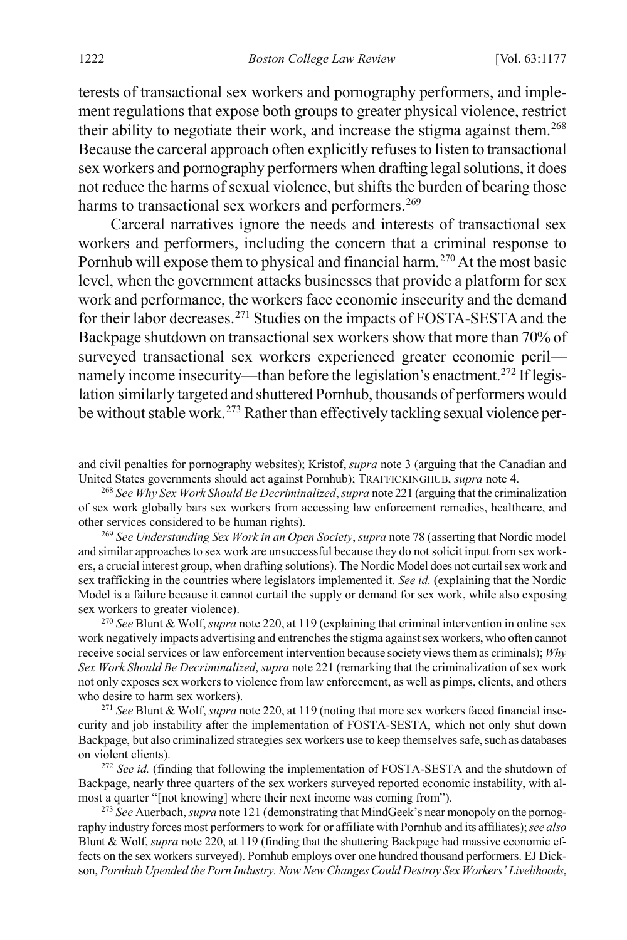terests of transactional sex workers and pornography performers, and implement regulations that expose both groups to greater physical violence, restrict their ability to negotiate their work, and increase the stigma against them.<sup>[268](#page-46-0)</sup> Because the carceral approach often explicitly refuses to listen to transactional sex workers and pornography performers when drafting legal solutions, it does not reduce the harms of sexual violence, but shifts the burden of bearing those harms to transactional sex workers and performers.<sup>[269](#page-46-1)</sup>

Carceral narratives ignore the needs and interests of transactional sex workers and performers, including the concern that a criminal response to Pornhub will expose them to physical and financial harm.<sup>[270](#page-46-2)</sup> At the most basic level, when the government attacks businesses that provide a platform for sex work and performance, the workers face economic insecurity and the demand for their labor decreases.[271](#page-46-3) Studies on the impacts of FOSTA-SESTA and the Backpage shutdown on transactional sex workers show that more than 70% of surveyed transactional sex workers experienced greater economic peril— namely income insecurity—than before the legislation's enactment.<sup>[272](#page-46-4)</sup> If legislation similarly targeted and shuttered Pornhub, thousands of performers would be without stable work.[273](#page-46-5) Rather than effectively tackling sexual violence per-

<span id="page-46-2"></span><sup>270</sup> *See* Blunt & Wolf, *supra* not[e 220,](#page-38-9) at 119 (explaining that criminal intervention in online sex work negatively impacts advertising and entrenches the stigma against sex workers, who often cannot receive social services or law enforcement intervention because society views them as criminals); *Why Sex Work Should Be Decriminalized*, *supra* not[e 221](#page-38-8) (remarking that the criminalization of sex work not only exposes sex workers to violence from law enforcement, as well as pimps, clients, and others who desire to harm sex workers).

<span id="page-46-3"></span><sup>271</sup> *See* Blunt & Wolf, *supra* not[e 220,](#page-38-9) at 119 (noting that more sex workers faced financial insecurity and job instability after the implementation of FOSTA-SESTA, which not only shut down Backpage, but also criminalized strategies sex workers use to keep themselves safe, such as databases on violent clients).

<span id="page-46-4"></span><sup>272</sup> *See id.* (finding that following the implementation of FOSTA-SESTA and the shutdown of Backpage, nearly three quarters of the sex workers surveyed reported economic instability, with almost a quarter "[not knowing] where their next income was coming from").

<span id="page-46-5"></span><sup>273</sup> *See* Auerbach, *supra* not[e 121](#page-23-9) (demonstrating that MindGeek's near monopoly on the pornography industry forces most performers to work for or affiliate with Pornhub and its affiliates); *see also*  Blunt & Wolf, *supra* not[e 220,](#page-38-9) at 119 (finding that the shuttering Backpage had massive economic effects on the sex workers surveyed). Pornhub employs over one hundred thousand performers. EJ Dickson, *Pornhub Upended the Porn Industry. Now New Changes Could Destroy Sex Workers' Livelihoods*,

and civil penalties for pornography websites); Kristof, *supra* note [3](#page-2-0) (arguing that the Canadian and United States governments should act against Pornhub); TRAFFICKINGHUB, *supra* not[e 4.](#page-2-5)

<span id="page-46-0"></span><sup>268</sup> *See Why Sex Work Should Be Decriminalized*, *supra* not[e 221](#page-38-8) (arguing that the criminalization of sex work globally bars sex workers from accessing law enforcement remedies, healthcare, and other services considered to be human rights).

<span id="page-46-1"></span><sup>269</sup> *See Understanding Sex Work in an Open Society*, *supra* not[e 78](#page-17-1) (asserting that Nordic model and similar approaches to sex work are unsuccessful because they do not solicit input from sex workers, a crucial interest group, when drafting solutions). The Nordic Model does not curtail sex work and sex trafficking in the countries where legislators implemented it. *See id.* (explaining that the Nordic Model is a failure because it cannot curtail the supply or demand for sex work, while also exposing sex workers to greater violence).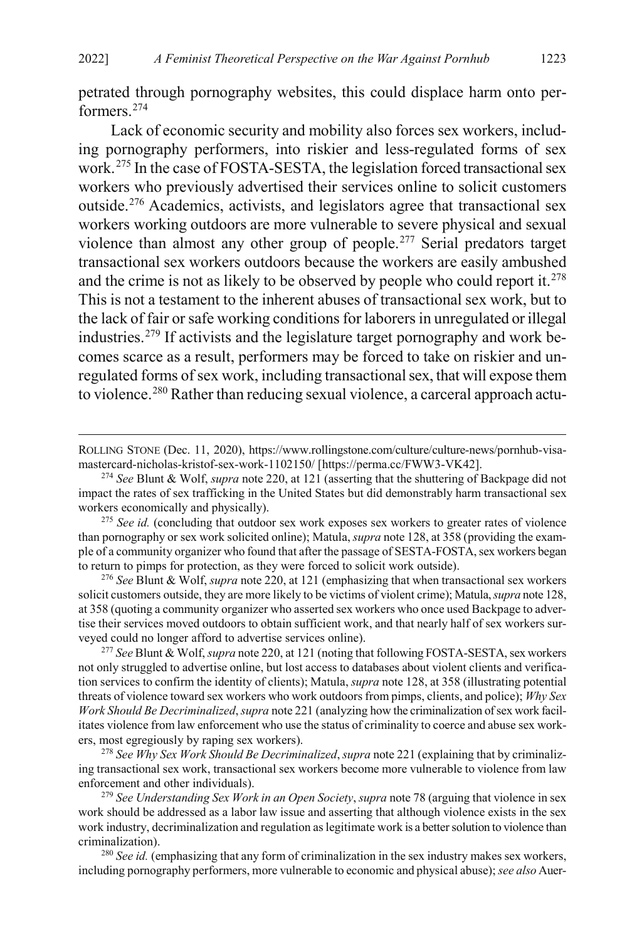petrated through pornography websites, this could displace harm onto performers[.274](#page-47-0)

Lack of economic security and mobility also forces sex workers, including pornography performers, into riskier and less-regulated forms of sex work.[275](#page-47-1) In the case of FOSTA-SESTA, the legislation forced transactional sex workers who previously advertised their services online to solicit customers outside.[276](#page-47-2) Academics, activists, and legislators agree that transactional sex workers working outdoors are more vulnerable to severe physical and sexual violence than almost any other group of people[.277](#page-47-3) Serial predators target transactional sex workers outdoors because the workers are easily ambushed and the crime is not as likely to be observed by people who could report it.<sup>[278](#page-47-4)</sup> This is not a testament to the inherent abuses of transactional sex work, but to the lack of fair or safe working conditions for laborers in unregulated or illegal industries.[279](#page-47-5) If activists and the legislature target pornography and work becomes scarce as a result, performers may be forced to take on riskier and unregulated forms of sex work, including transactional sex, that will expose them to violence.[280](#page-47-6) Rather than reducing sexual violence, a carceral approach actu-

<span id="page-47-2"></span><sup>276</sup> *See* Blunt & Wolf, *supra* not[e 220,](#page-38-9) at 121 (emphasizing that when transactional sex workers solicit customers outside, they are more likely to be victims of violent crime); Matula, *supra* not[e 128,](#page-25-0) at 358 (quoting a community organizer who asserted sex workers who once used Backpage to advertise their services moved outdoors to obtain sufficient work, and that nearly half of sex workers surveyed could no longer afford to advertise services online).

<span id="page-47-3"></span><sup>277</sup> *See* Blunt & Wolf,*supra* not[e 220,](#page-38-9) at 121 (noting that following FOSTA-SESTA, sex workers not only struggled to advertise online, but lost access to databases about violent clients and verification services to confirm the identity of clients); Matula, *supra* not[e 128,](#page-25-0) at 358 (illustrating potential threats of violence toward sex workers who work outdoors from pimps, clients, and police); *Why Sex Work Should Be Decriminalized*, *supra* not[e 221](#page-38-8) (analyzing how the criminalization of sex work facilitates violence from law enforcement who use the status of criminality to coerce and abuse sex workers, most egregiously by raping sex workers).

<span id="page-47-4"></span><sup>278</sup> *See Why Sex Work Should Be Decriminalized*, *supra* not[e 221](#page-38-8) (explaining that by criminalizing transactional sex work, transactional sex workers become more vulnerable to violence from law enforcement and other individuals).

<span id="page-47-5"></span><sup>279</sup> *See Understanding Sex Work in an Open Society*, *supra* not[e 78](#page-17-1) (arguing that violence in sex work should be addressed as a labor law issue and asserting that although violence exists in the sex work industry, decriminalization and regulation as legitimate work is a better solution to violence than criminalization).

<span id="page-47-6"></span><sup>280</sup> See id. (emphasizing that any form of criminalization in the sex industry makes sex workers, including pornography performers, more vulnerable to economic and physical abuse); *see also* Auer-

ROLLING STONE (Dec. 11, 2020), https://www.rollingstone.com/culture/culture-news/pornhub-visamastercard-nicholas-kristof-sex-work-1102150/ [https://perma.cc/FWW3-VK42].

<span id="page-47-0"></span><sup>274</sup> *See* Blunt & Wolf, *supra* not[e 220,](#page-38-9) at 121 (asserting that the shuttering of Backpage did not impact the rates of sex trafficking in the United States but did demonstrably harm transactional sex workers economically and physically).

<span id="page-47-1"></span><sup>&</sup>lt;sup>275</sup> See id. (concluding that outdoor sex work exposes sex workers to greater rates of violence than pornography or sex work solicited online); Matula, *supra* not[e 128,](#page-25-0) at 358 (providing the example of a community organizer who found that after the passage of SESTA-FOSTA, sex workers began to return to pimps for protection, as they were forced to solicit work outside).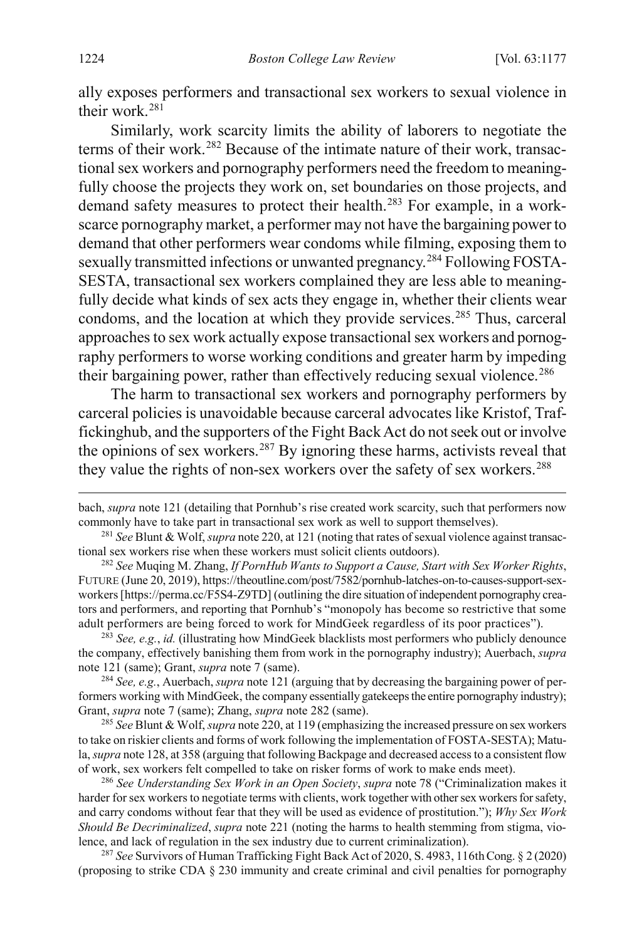ally exposes performers and transactional sex workers to sexual violence in their work.[281](#page-48-2)

<span id="page-48-1"></span>Similarly, work scarcity limits the ability of laborers to negotiate the terms of their work.<sup>[282](#page-48-3)</sup> Because of the intimate nature of their work, transactional sex workers and pornography performers need the freedom to meaningfully choose the projects they work on, set boundaries on those projects, and demand safety measures to protect their health.<sup>[283](#page-48-4)</sup> For example, in a workscarce pornography market, a performer may not have the bargaining power to demand that other performers wear condoms while filming, exposing them to sexually transmitted infections or unwanted pregnancy.<sup>[284](#page-48-5)</sup> Following FOSTA-SESTA, transactional sex workers complained they are less able to meaningfully decide what kinds of sex acts they engage in, whether their clients wear condoms, and the location at which they provide services.<sup>[285](#page-48-6)</sup> Thus, carceral approaches to sex work actually expose transactional sex workers and pornography performers to worse working conditions and greater harm by impeding their bargaining power, rather than effectively reducing sexual violence.<sup>[286](#page-48-7)</sup>

The harm to transactional sex workers and pornography performers by carceral policies is unavoidable because carceral advocates like Kristof, Traffickinghub, and the supporters of the Fight Back Act do not seek out or involve the opinions of sex workers.<sup>[287](#page-48-8)</sup> By ignoring these harms, activists reveal that they value the rights of non-sex workers over the safety of sex workers.<sup>[288](#page-48-8)</sup>

<span id="page-48-4"></span><sup>283</sup> *See, e.g.*, *id.* (illustrating how MindGeek blacklists most performers who publicly denounce the company, effectively banishing them from work in the pornography industry); Auerbach, *supra* note [121](#page-23-9) (same); Grant, *supra* not[e 7](#page-3-3) (same).

<span id="page-48-5"></span><sup>284</sup> *See, e.g.*, Auerbach, *supra* not[e 121](#page-23-9) (arguing that by decreasing the bargaining power of performers working with MindGeek, the company essentially gatekeeps the entire pornography industry); Grant, *supra* note [7](#page-3-3) (same); Zhang, *supra* note [282](#page-48-1) (same).

<span id="page-48-6"></span><sup>285</sup> *See* Blunt & Wolf,*supra* not[e 220,](#page-38-9) at 119 (emphasizing the increased pressure on sex workers to take on riskier clients and forms of work following the implementation of FOSTA-SESTA); Matula, *supra* not[e 128,](#page-25-0) at 358 (arguing that following Backpage and decreased access to a consistent flow of work, sex workers felt compelled to take on risker forms of work to make ends meet).

<span id="page-48-7"></span><sup>286</sup> *See Understanding Sex Work in an Open Society*, *supra* note [78 \(](#page-17-1)"Criminalization makes it harder for sex workers to negotiate terms with clients, work together with other sex workers for safety, and carry condoms without fear that they will be used as evidence of prostitution."); *Why Sex Work Should Be Decriminalized*, *supra* note [221](#page-38-8) (noting the harms to health stemming from stigma, violence, and lack of regulation in the sex industry due to current criminalization).

<span id="page-48-8"></span><sup>287</sup> See Survivors of Human Trafficking Fight Back Act of 2020, S. 4983, 116th Cong. § 2 (2020) (proposing to strike CDA § 230 immunity and create criminal and civil penalties for pornography

<span id="page-48-0"></span> $\overline{a}$ 

bach, *supra* not[e 121](#page-23-9) (detailing that Pornhub's rise created work scarcity, such that performers now commonly have to take part in transactional sex work as well to support themselves).

<span id="page-48-2"></span><sup>281</sup> *See* Blunt & Wolf,*supra* not[e 220,](#page-38-9) at 121 (noting that rates of sexual violence against transactional sex workers rise when these workers must solicit clients outdoors).

<span id="page-48-3"></span><sup>282</sup> *See* Muqing M. Zhang, *If PornHub Wants to Support a Cause, Start with Sex Worker Rights*, FUTURE (June 20, 2019), https://theoutline.com/post/7582/pornhub-latches-on-to-causes-support-sexworkers [https://perma.cc/F5S4-Z9TD] (outlining the dire situation of independent pornography creators and performers, and reporting that Pornhub's "monopoly has become so restrictive that some adult performers are being forced to work for MindGeek regardless of its poor practices").